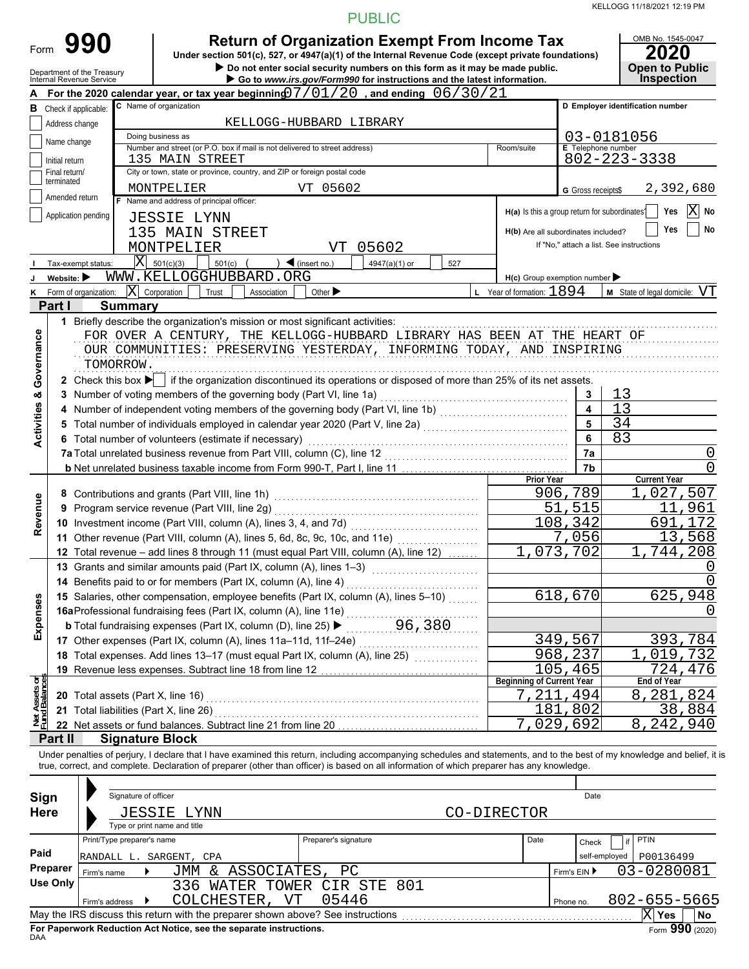KELLOGG 11/18/2021 12:19 PM

|                         |                                                               |                            | <b>PUBLIC</b>                                                                                                                                                                                                                                                                                                            |                                               |                         | KELLOGG 11/18/2021 12:19 PM                                             |
|-------------------------|---------------------------------------------------------------|----------------------------|--------------------------------------------------------------------------------------------------------------------------------------------------------------------------------------------------------------------------------------------------------------------------------------------------------------------------|-----------------------------------------------|-------------------------|-------------------------------------------------------------------------|
| Form                    | 990<br>Department of the Treasury<br>Internal Revenue Service |                            | <b>Return of Organization Exempt From Income Tax</b><br>Under section 501(c), 527, or 4947(a)(1) of the Internal Revenue Code (except private foundations)<br>Do not enter social security numbers on this form as it may be made public.<br>Go to www.irs.gov/Form990 for instructions and the latest information.      |                                               |                         | OMB No. 1545-0047<br>2020<br><b>Open to Public</b><br><b>Inspection</b> |
| A                       |                                                               |                            | For the 2020 calendar year, or tax year beginning $07/01/20$ , and ending $06/30/21$                                                                                                                                                                                                                                     |                                               |                         |                                                                         |
|                         | <b>B</b> Check if applicable:                                 |                            | C Name of organization                                                                                                                                                                                                                                                                                                   |                                               |                         | D Employer identification number                                        |
|                         | Address change                                                |                            | KELLOGG-HUBBARD LIBRARY                                                                                                                                                                                                                                                                                                  |                                               |                         |                                                                         |
|                         | Name change                                                   |                            | Doing business as<br>Number and street (or P.O. box if mail is not delivered to street address)<br>Room/suite                                                                                                                                                                                                            |                                               |                         | 03-0181056                                                              |
|                         | Initial return                                                | E Telephone number         | $802 - 223 - 3338$                                                                                                                                                                                                                                                                                                       |                                               |                         |                                                                         |
|                         | Final return/                                                 |                            |                                                                                                                                                                                                                                                                                                                          |                                               |                         |                                                                         |
|                         | terminated                                                    | <b>G</b> Gross receipts\$  | 2,392,680                                                                                                                                                                                                                                                                                                                |                                               |                         |                                                                         |
|                         | Amended return                                                |                            | VT 05602<br>MONTPELIER<br>F Name and address of principal officer:                                                                                                                                                                                                                                                       |                                               |                         |                                                                         |
|                         | Application pending                                           |                            | <b>JESSIE LYNN</b>                                                                                                                                                                                                                                                                                                       | H(a) Is this a group return for subordinates? |                         | $ {\rm X} $<br>Yes<br>No                                                |
|                         |                                                               |                            | 135 MAIN STREET                                                                                                                                                                                                                                                                                                          | H(b) Are all subordinates included?           |                         | No<br>Yes                                                               |
|                         |                                                               |                            | 05602<br>MONTPELIER<br>VT                                                                                                                                                                                                                                                                                                |                                               |                         | If "No," attach a list. See instructions                                |
|                         | Tax-exempt status:                                            |                            | $\overline{X}$ 501(c)(3)<br>$\sum$ (insert no.)<br>$501(c)$ (<br>4947(a)(1) or<br>527                                                                                                                                                                                                                                    |                                               |                         |                                                                         |
|                         | Website: $\blacktriangleright$                                |                            | WWW.KELLOGGHUBBARD.ORG                                                                                                                                                                                                                                                                                                   | $H(c)$ Group exemption number                 |                         |                                                                         |
| ĸ                       | Form of organization:                                         |                            | $\mathbf{X}$ Corporation<br><b>L</b> Year of formation: $1894$<br>Trust<br>Other $\blacktriangleright$<br>Association                                                                                                                                                                                                    |                                               |                         | <b>M</b> State of legal domicile: $VT$                                  |
|                         | Part I                                                        | <b>Summary</b>             |                                                                                                                                                                                                                                                                                                                          |                                               |                         |                                                                         |
| Governance              |                                                               | TOMORROW.                  | 1 Briefly describe the organization's mission or most significant activities:<br>FOR OVER A CENTURY, THE KELLOGG-HUBBARD LIBRARY HAS BEEN AT THE HEART OF<br>OUR COMMUNITIES: PRESERVING YESTERDAY, INFORMING TODAY, AND INSPIRING                                                                                       |                                               |                         |                                                                         |
|                         |                                                               |                            | 2 Check this box $\blacktriangleright$ if the organization discontinued its operations or disposed of more than 25% of its net assets.                                                                                                                                                                                   |                                               |                         |                                                                         |
|                         |                                                               |                            | 3 Number of voting members of the governing body (Part VI, line 1a)                                                                                                                                                                                                                                                      |                                               | 3                       | 13                                                                      |
| <b>Activities &amp;</b> |                                                               |                            | 4 Number of independent voting members of the governing body (Part VI, line 1b) [[[[[[[[[[[[[[[[[[[[[[[[[[[[[                                                                                                                                                                                                            |                                               | $\overline{\mathbf{4}}$ | $\overline{13}$                                                         |
|                         |                                                               |                            |                                                                                                                                                                                                                                                                                                                          |                                               | 5                       | 34                                                                      |
|                         |                                                               |                            | 6 Total number of volunteers (estimate if necessary)                                                                                                                                                                                                                                                                     |                                               | 6                       | 83                                                                      |
|                         |                                                               |                            |                                                                                                                                                                                                                                                                                                                          |                                               | 7a                      | 0                                                                       |
|                         |                                                               |                            |                                                                                                                                                                                                                                                                                                                          | Prior Year                                    | 7b                      | <b>Current Year</b>                                                     |
|                         |                                                               |                            |                                                                                                                                                                                                                                                                                                                          | 906,                                          | 789                     | 027,507                                                                 |
|                         |                                                               |                            | 9 Program service revenue (Part VIII, line 2g)                                                                                                                                                                                                                                                                           | 51                                            | 515                     | 961<br>11                                                               |
| Revenue                 |                                                               |                            |                                                                                                                                                                                                                                                                                                                          | 108                                           | , 342                   | .172<br>691                                                             |
|                         |                                                               |                            | 11 Other revenue (Part VIII, column (A), lines 5, 6d, 8c, 9c, 10c, and 11e) [[[[[[[[[[[[[[[[[[[[[[[[[[[[[[[[                                                                                                                                                                                                             | 7,056                                         |                         | 13,568                                                                  |
|                         |                                                               |                            | 12 Total revenue – add lines 8 through 11 (must equal Part VIII, column (A), line 12)                                                                                                                                                                                                                                    | 073,702                                       |                         | 744<br>1<br>,208                                                        |
|                         |                                                               |                            | 13 Grants and similar amounts paid (Part IX, column (A), lines 1-3)                                                                                                                                                                                                                                                      |                                               |                         | 0                                                                       |
|                         |                                                               |                            | 14 Benefits paid to or for members (Part IX, column (A), line 4)                                                                                                                                                                                                                                                         |                                               |                         |                                                                         |
|                         |                                                               |                            | 15 Salaries, other compensation, employee benefits (Part IX, column (A), lines 5-10)                                                                                                                                                                                                                                     | 618,670                                       |                         | 625,948                                                                 |
| Expenses                |                                                               |                            | 16aProfessional fundraising fees (Part IX, column (A), line 11e)                                                                                                                                                                                                                                                         |                                               |                         | $\left( \right)$                                                        |
|                         |                                                               |                            | 96,380<br><b>b</b> Total fundraising expenses (Part IX, column (D), line 25) ▶                                                                                                                                                                                                                                           |                                               |                         |                                                                         |
|                         |                                                               |                            | 17 Other expenses (Part IX, column (A), lines 11a-11d, 11f-24e)                                                                                                                                                                                                                                                          | 349,567                                       |                         | 393,784                                                                 |
|                         |                                                               |                            | 18 Total expenses. Add lines 13-17 (must equal Part IX, column (A), line 25)                                                                                                                                                                                                                                             | 968,237                                       |                         | 1,019,732                                                               |
| ಕ್ಷ                     |                                                               |                            | Beginning of Current Year                                                                                                                                                                                                                                                                                                | 105,465                                       |                         | 724,476<br>End of Year                                                  |
| Assets<br>1 Balanc      |                                                               |                            | 20 Total assets (Part X, line 16)                                                                                                                                                                                                                                                                                        | 7,211,494                                     |                         | 8,281,824                                                               |
|                         |                                                               |                            | 21 Total liabilities (Part X, line 26)                                                                                                                                                                                                                                                                                   | 181,802                                       |                         | 38,884                                                                  |
|                         |                                                               |                            | 22 Net assets or fund balances. Subtract line 21 from line 20                                                                                                                                                                                                                                                            | 7,029,692                                     |                         | 8,242,940                                                               |
|                         | Part II                                                       |                            | <b>Signature Block</b>                                                                                                                                                                                                                                                                                                   |                                               |                         |                                                                         |
|                         |                                                               |                            | Under penalties of perjury, I declare that I have examined this return, including accompanying schedules and statements, and to the best of my knowledge and belief, it is<br>true, correct, and complete. Declaration of preparer (other than officer) is based on all information of which preparer has any knowledge. |                                               |                         |                                                                         |
| Sign                    |                                                               | Signature of officer       |                                                                                                                                                                                                                                                                                                                          |                                               | Date                    |                                                                         |
| <b>Here</b>             |                                                               |                            | <b>JESSIE LYNN</b><br>CO-DIRECTOR                                                                                                                                                                                                                                                                                        |                                               |                         |                                                                         |
|                         |                                                               |                            | Type or print name and title                                                                                                                                                                                                                                                                                             |                                               |                         |                                                                         |
|                         |                                                               | Print/Type preparer's name | Preparer's signature<br>Date                                                                                                                                                                                                                                                                                             |                                               | Check                   | PTIN<br>if                                                              |
| Paid                    |                                                               |                            | RANDALL L. SARGENT, CPA                                                                                                                                                                                                                                                                                                  |                                               | self-employed           | P00136499                                                               |
|                         | Preparer<br>Firm's name                                       |                            | JMM & ASSOCIATES,<br>PC                                                                                                                                                                                                                                                                                                  | Firm's EIN ▶                                  |                         | 03-0280081                                                              |
|                         | Use Only                                                      |                            | 336 WATER TOWER CIR STE<br>801                                                                                                                                                                                                                                                                                           |                                               |                         |                                                                         |
|                         |                                                               | Firm's address ▶           | COLCHESTER, VT<br>05446                                                                                                                                                                                                                                                                                                  | Phone no.                                     |                         | 802-655-5665                                                            |
|                         |                                                               |                            | May the IRS discuss this return with the preparer shown above? See instructions                                                                                                                                                                                                                                          |                                               |                         | $ X $ Yes<br>No                                                         |

| Sign<br><b>Here</b>  | Signature of officer<br>JESSIE LYNN<br>Type or print name and title                                                                                   | CO-DIRECTOR                      |      | Date                      |                                          |  |
|----------------------|-------------------------------------------------------------------------------------------------------------------------------------------------------|----------------------------------|------|---------------------------|------------------------------------------|--|
| Paid                 | Print/Type preparer's name<br>SARGENT, CPA<br>RANDALL L.                                                                                              | Preparer's signature             | Date | Check<br>self-employed    | PTIN<br>if<br>P00136499                  |  |
| Preparer<br>Use Only | JMM & ASSOCIATES, PC<br>Firm's name<br>336<br>COLCHESTER,<br>VТ<br>Firm's address                                                                     | WATER TOWER CIR STE 801<br>05446 |      | Firm's EIN ▶<br>Phone no. | 03-0280081<br>802-655-5665               |  |
|                      | May the IRS discuss this return with the preparer shown above? See instructions<br>For Paperwork Reduction Act Notice, see the separate instructions. |                                  |      |                           | Χ<br>No<br><b>Yes</b><br>Form 990 (2020) |  |

**For Paperwork Reduction Act Notice, see the separate instructions.**<br><sub>DAA</sub>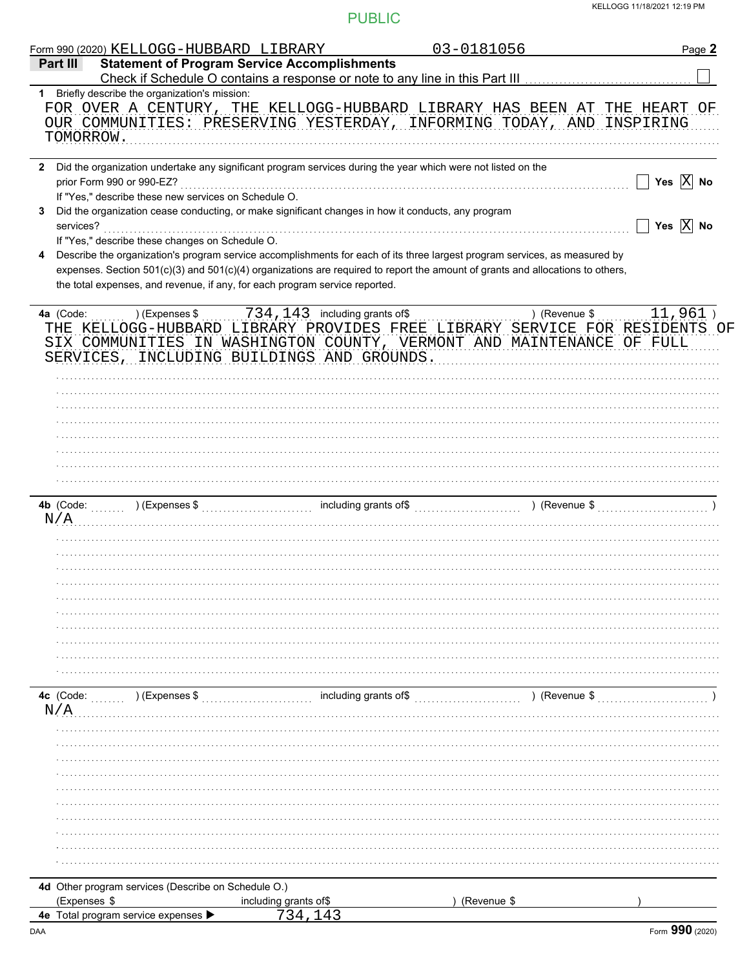|                  | Form 990 (2020) KELLOGG-HUBBARD LIBRARY                                                                                                                                                                                                                                                                                                     |                       | 03-0181056  |               | Page 2                                                  |
|------------------|---------------------------------------------------------------------------------------------------------------------------------------------------------------------------------------------------------------------------------------------------------------------------------------------------------------------------------------------|-----------------------|-------------|---------------|---------------------------------------------------------|
| Part III         | <b>Statement of Program Service Accomplishments</b>                                                                                                                                                                                                                                                                                         |                       |             |               |                                                         |
| TOMORROW.        | 1 Briefly describe the organization's mission:<br>FOR OVER A CENTURY, THE KELLOGG-HUBBARD LIBRARY HAS BEEN AT THE HEART OF<br>OUR COMMUNITIES: PRESERVING YESTERDAY, INFORMING TODAY, AND INSPIRING                                                                                                                                         |                       |             |               |                                                         |
|                  | 2 Did the organization undertake any significant program services during the year which were not listed on the<br>prior Form 990 or 990-EZ?<br>If "Yes," describe these new services on Schedule O.                                                                                                                                         |                       |             |               | Yes $\overline{X}$ No                                   |
| 3<br>services?   | Did the organization cease conducting, or make significant changes in how it conducts, any program<br>If "Yes," describe these changes on Schedule O.                                                                                                                                                                                       |                       |             |               | $\overline{\phantom{a}}$ Yes $\overline{\mathrm{X}}$ No |
| 4                | Describe the organization's program service accomplishments for each of its three largest program services, as measured by<br>expenses. Section 501(c)(3) and 501(c)(4) organizations are required to report the amount of grants and allocations to others,<br>the total expenses, and revenue, if any, for each program service reported. |                       |             |               |                                                         |
|                  | 4a (Code: ) (Expenses \$ 734, 143 including grants of \$<br>THE KELLOGG-HUBBARD LIBRARY PROVIDES FREE LIBRARY SERVICE FOR RESIDENTS OF<br>SIX COMMUNITIES IN WASHINGTON COUNTY, VERMONT AND MAINTENANCE OF FULL<br>SERVICES, INCLUDING BUILDINGS AND GROUNDS.                                                                               |                       |             | ) (Revenue \$ | $11,961$ )                                              |
|                  |                                                                                                                                                                                                                                                                                                                                             |                       |             |               |                                                         |
|                  |                                                                                                                                                                                                                                                                                                                                             |                       |             |               |                                                         |
|                  |                                                                                                                                                                                                                                                                                                                                             |                       |             |               |                                                         |
| N/A              |                                                                                                                                                                                                                                                                                                                                             |                       |             |               |                                                         |
|                  |                                                                                                                                                                                                                                                                                                                                             |                       |             |               |                                                         |
|                  |                                                                                                                                                                                                                                                                                                                                             |                       |             |               |                                                         |
|                  |                                                                                                                                                                                                                                                                                                                                             |                       |             |               |                                                         |
| 4c (Code:<br>N/A | $(\mathsf{Expenses}$                                                                                                                                                                                                                                                                                                                        | including grants of\$ |             | ) (Revenue \$ |                                                         |
|                  |                                                                                                                                                                                                                                                                                                                                             |                       |             |               |                                                         |
|                  |                                                                                                                                                                                                                                                                                                                                             |                       |             |               |                                                         |
|                  |                                                                                                                                                                                                                                                                                                                                             |                       |             |               |                                                         |
|                  |                                                                                                                                                                                                                                                                                                                                             |                       |             |               |                                                         |
| (Expenses \$     | 4d Other program services (Describe on Schedule O.)                                                                                                                                                                                                                                                                                         | including grants of\$ | (Revenue \$ |               |                                                         |
|                  | 4e Total program service expenses                                                                                                                                                                                                                                                                                                           | 734.143               |             |               |                                                         |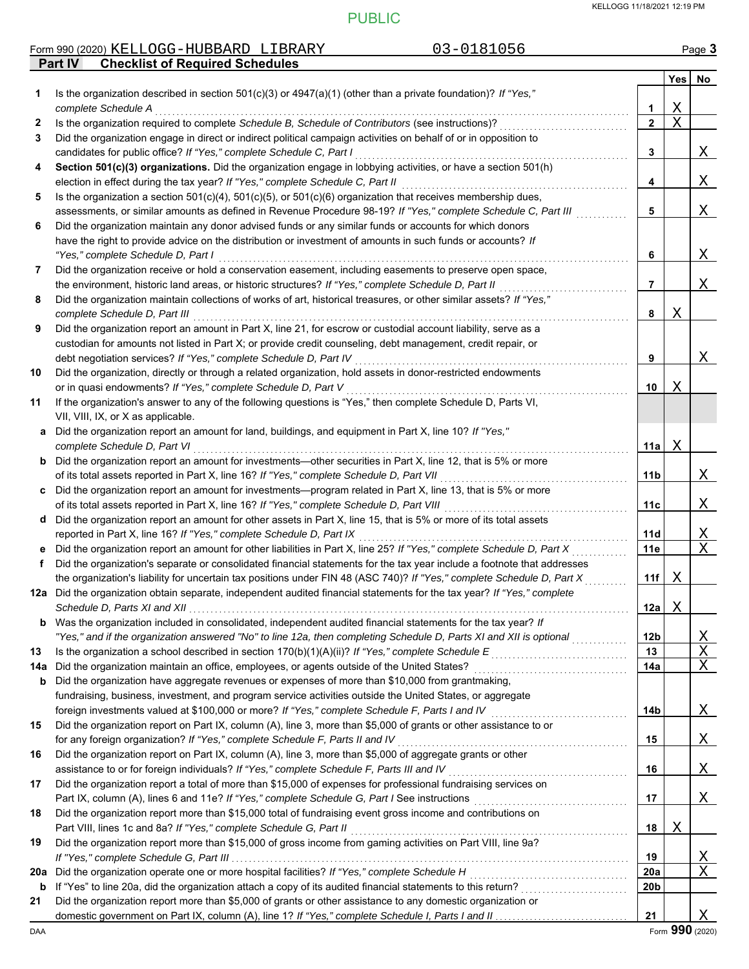|           | 03-0181056<br>Form 990 (2020) KELLOGG-HUBBARD LIBRARY                                                                                                                                                                       |                   |                            | Page 3                            |
|-----------|-----------------------------------------------------------------------------------------------------------------------------------------------------------------------------------------------------------------------------|-------------------|----------------------------|-----------------------------------|
|           | <b>Checklist of Required Schedules</b><br><b>Part IV</b>                                                                                                                                                                    |                   |                            |                                   |
|           |                                                                                                                                                                                                                             |                   | <b>Yes</b>                 | No                                |
| 1         | Is the organization described in section $501(c)(3)$ or $4947(a)(1)$ (other than a private foundation)? If "Yes,"                                                                                                           |                   |                            |                                   |
| 2         | complete Schedule A<br>Is the organization required to complete Schedule B, Schedule of Contributors (see instructions)?                                                                                                    | 1<br>$\mathbf{2}$ | Χ<br>$\overline{\text{X}}$ |                                   |
| 3         | Did the organization engage in direct or indirect political campaign activities on behalf of or in opposition to                                                                                                            |                   |                            |                                   |
|           | candidates for public office? If "Yes," complete Schedule C, Part I                                                                                                                                                         | 3                 |                            | X                                 |
| 4         | Section 501(c)(3) organizations. Did the organization engage in lobbying activities, or have a section 501(h)                                                                                                               |                   |                            |                                   |
|           | election in effect during the tax year? If "Yes," complete Schedule C, Part II                                                                                                                                              | 4                 |                            | X                                 |
| 5         | Is the organization a section $501(c)(4)$ , $501(c)(5)$ , or $501(c)(6)$ organization that receives membership dues,                                                                                                        |                   |                            |                                   |
|           | assessments, or similar amounts as defined in Revenue Procedure 98-19? If "Yes," complete Schedule C, Part III                                                                                                              | 5                 |                            | X                                 |
| 6         | Did the organization maintain any donor advised funds or any similar funds or accounts for which donors                                                                                                                     |                   |                            |                                   |
|           | have the right to provide advice on the distribution or investment of amounts in such funds or accounts? If                                                                                                                 |                   |                            |                                   |
|           | "Yes," complete Schedule D, Part I                                                                                                                                                                                          | 6                 |                            | X                                 |
| 7         | Did the organization receive or hold a conservation easement, including easements to preserve open space,                                                                                                                   |                   |                            |                                   |
|           | the environment, historic land areas, or historic structures? If "Yes," complete Schedule D, Part II<br>Did the organization maintain collections of works of art, historical treasures, or other similar assets? If "Yes," | 7                 |                            | X                                 |
| 8         | complete Schedule D, Part III                                                                                                                                                                                               | 8                 | Χ                          |                                   |
| 9         | Did the organization report an amount in Part X, line 21, for escrow or custodial account liability, serve as a                                                                                                             |                   |                            |                                   |
|           | custodian for amounts not listed in Part X; or provide credit counseling, debt management, credit repair, or                                                                                                                |                   |                            |                                   |
|           | debt negotiation services? If "Yes," complete Schedule D, Part IV                                                                                                                                                           | 9                 |                            | X                                 |
| 10        | Did the organization, directly or through a related organization, hold assets in donor-restricted endowments                                                                                                                |                   |                            |                                   |
|           | or in quasi endowments? If "Yes," complete Schedule D, Part V                                                                                                                                                               | 10                | Χ                          |                                   |
| 11        | If the organization's answer to any of the following questions is "Yes," then complete Schedule D, Parts VI,                                                                                                                |                   |                            |                                   |
|           | VII, VIII, IX, or X as applicable.                                                                                                                                                                                          |                   |                            |                                   |
| а         | Did the organization report an amount for land, buildings, and equipment in Part X, line 10? If "Yes,"                                                                                                                      |                   |                            |                                   |
|           | complete Schedule D, Part VI                                                                                                                                                                                                | 11a               | Χ                          |                                   |
|           | Did the organization report an amount for investments—other securities in Part X, line 12, that is 5% or more                                                                                                               |                   |                            | X                                 |
| c         | of its total assets reported in Part X, line 16? If "Yes," complete Schedule D, Part VII<br>Did the organization report an amount for investments—program related in Part X, line 13, that is 5% or more                    | 11 <sub>b</sub>   |                            |                                   |
|           | of its total assets reported in Part X, line 16? If "Yes," complete Schedule D, Part VIII                                                                                                                                   | 11c               |                            | X                                 |
| d         | Did the organization report an amount for other assets in Part X, line 15, that is 5% or more of its total assets                                                                                                           |                   |                            |                                   |
|           | reported in Part X, line 16? If "Yes," complete Schedule D, Part IX                                                                                                                                                         | 11d               |                            | <u>X</u>                          |
|           | Did the organization report an amount for other liabilities in Part X, line 25? If "Yes," complete Schedule D, Part X                                                                                                       | 11e               |                            | $\overline{X}$                    |
| f         | Did the organization's separate or consolidated financial statements for the tax year include a footnote that addresses                                                                                                     |                   |                            |                                   |
|           | the organization's liability for uncertain tax positions under FIN 48 (ASC 740)? If "Yes," complete Schedule D, Part X                                                                                                      | 11f               | Χ                          |                                   |
|           | 12a Did the organization obtain separate, independent audited financial statements for the tax year? If "Yes," complete                                                                                                     |                   |                            |                                   |
|           | Schedule D, Parts XI and XII                                                                                                                                                                                                | 12a               | Χ                          |                                   |
| b         | Was the organization included in consolidated, independent audited financial statements for the tax year? If                                                                                                                |                   |                            |                                   |
|           | "Yes," and if the organization answered "No" to line 12a, then completing Schedule D, Parts XI and XII is optional                                                                                                          | 12 <sub>b</sub>   |                            | <u>X</u><br>$\overline{\text{X}}$ |
| 13<br>14a | Is the organization a school described in section $170(b)(1)(A)(ii)$ ? If "Yes," complete Schedule E<br>Did the organization maintain an office, employees, or agents outside of the United States?                         | 13<br>14a         |                            | $\mathbf X$                       |
| b         | Did the organization have aggregate revenues or expenses of more than \$10,000 from grantmaking,                                                                                                                            |                   |                            |                                   |
|           | fundraising, business, investment, and program service activities outside the United States, or aggregate                                                                                                                   |                   |                            |                                   |
|           | foreign investments valued at \$100,000 or more? If "Yes," complete Schedule F, Parts I and IV                                                                                                                              | 14b               |                            | Χ                                 |
| 15        | Did the organization report on Part IX, column (A), line 3, more than \$5,000 of grants or other assistance to or                                                                                                           |                   |                            |                                   |
|           | for any foreign organization? If "Yes," complete Schedule F, Parts II and IV                                                                                                                                                | 15                |                            | Χ                                 |
| 16        | Did the organization report on Part IX, column (A), line 3, more than \$5,000 of aggregate grants or other                                                                                                                  |                   |                            |                                   |
|           | assistance to or for foreign individuals? If "Yes," complete Schedule F, Parts III and IV                                                                                                                                   | 16                |                            | Χ                                 |
| 17        | Did the organization report a total of more than \$15,000 of expenses for professional fundraising services on                                                                                                              |                   |                            |                                   |
|           | Part IX, column (A), lines 6 and 11e? If "Yes," complete Schedule G, Part I See instructions                                                                                                                                | 17                |                            | X                                 |
| 18        | Did the organization report more than \$15,000 total of fundraising event gross income and contributions on<br>Part VIII, lines 1c and 8a? If "Yes," complete Schedule G, Part II                                           | 18                | Χ                          |                                   |
| 19        | Did the organization report more than \$15,000 of gross income from gaming activities on Part VIII, line 9a?                                                                                                                |                   |                            |                                   |
|           | If "Yes," complete Schedule G, Part III                                                                                                                                                                                     | 19                |                            | <u>X</u>                          |
| 20a       | Did the organization operate one or more hospital facilities? If "Yes," complete Schedule H                                                                                                                                 | 20a               |                            | X                                 |
| b         | If "Yes" to line 20a, did the organization attach a copy of its audited financial statements to this return?                                                                                                                | 20 <sub>b</sub>   |                            |                                   |
| 21        | Did the organization report more than \$5,000 of grants or other assistance to any domestic organization or                                                                                                                 |                   |                            |                                   |
|           | domestic government on Part IX, column (A), line 1? If "Yes," complete Schedule I, Parts I and II                                                                                                                           | 21                |                            | X                                 |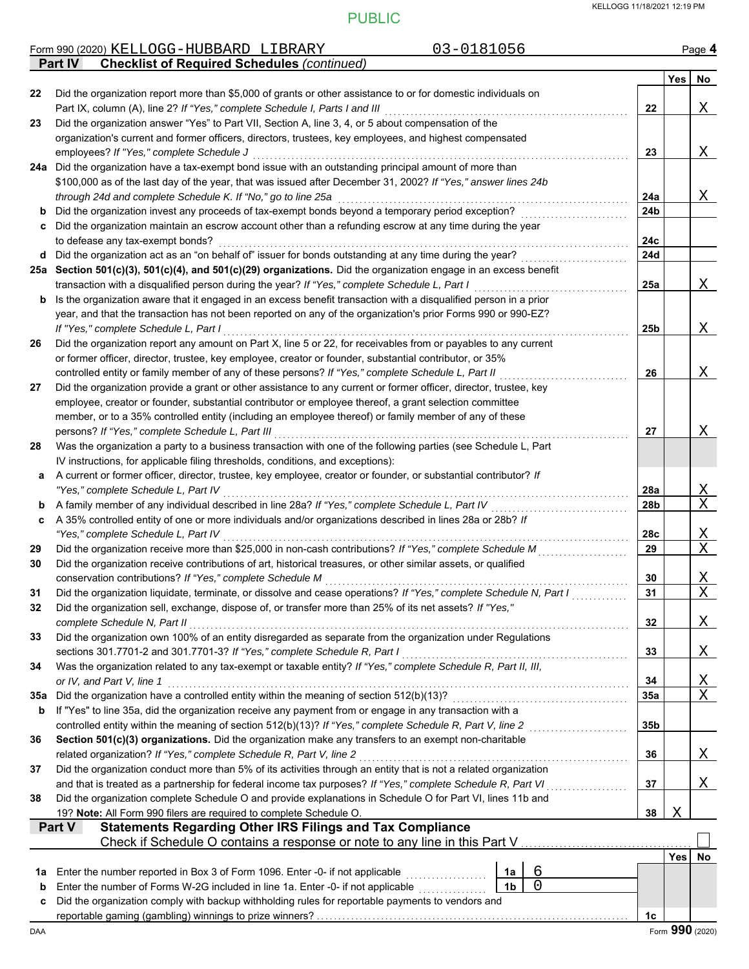|          | 03-0181056<br>Form 990 (2020) KELLOGG-HUBBARD LIBRARY                                                                                                                                   |                 |     | Page 4                     |
|----------|-----------------------------------------------------------------------------------------------------------------------------------------------------------------------------------------|-----------------|-----|----------------------------|
|          | <b>Checklist of Required Schedules (continued)</b><br><b>Part IV</b>                                                                                                                    |                 |     |                            |
| 22       | Did the organization report more than \$5,000 of grants or other assistance to or for domestic individuals on                                                                           |                 | Yes | No                         |
|          | Part IX, column (A), line 2? If "Yes," complete Schedule I, Parts I and III                                                                                                             | 22              |     | X                          |
| 23       | Did the organization answer "Yes" to Part VII, Section A, line 3, 4, or 5 about compensation of the                                                                                     |                 |     |                            |
|          | organization's current and former officers, directors, trustees, key employees, and highest compensated                                                                                 |                 |     |                            |
|          | employees? If "Yes," complete Schedule J                                                                                                                                                | 23              |     | Χ                          |
|          | 24a Did the organization have a tax-exempt bond issue with an outstanding principal amount of more than                                                                                 |                 |     |                            |
|          | \$100,000 as of the last day of the year, that was issued after December 31, 2002? If "Yes," answer lines 24b                                                                           |                 |     |                            |
|          | through 24d and complete Schedule K. If "No," go to line 25a                                                                                                                            | 24a             |     | X                          |
| b        | Did the organization invest any proceeds of tax-exempt bonds beyond a temporary period exception?                                                                                       | 24 <sub>b</sub> |     |                            |
| c        | Did the organization maintain an escrow account other than a refunding escrow at any time during the year                                                                               |                 |     |                            |
| d        | to defease any tax-exempt bonds?<br>Did the organization act as an "on behalf of" issuer for bonds outstanding at any time during the year?                                             | 24c<br>24d      |     |                            |
|          | 25a Section 501(c)(3), 501(c)(4), and 501(c)(29) organizations. Did the organization engage in an excess benefit                                                                        |                 |     |                            |
|          | transaction with a disqualified person during the year? If "Yes," complete Schedule L, Part I                                                                                           | 25a             |     | X                          |
| b        | Is the organization aware that it engaged in an excess benefit transaction with a disqualified person in a prior                                                                        |                 |     |                            |
|          | year, and that the transaction has not been reported on any of the organization's prior Forms 990 or 990-EZ?                                                                            |                 |     |                            |
|          | If "Yes," complete Schedule L, Part I                                                                                                                                                   | 25 <sub>b</sub> |     | X                          |
| 26       | Did the organization report any amount on Part X, line 5 or 22, for receivables from or payables to any current                                                                         |                 |     |                            |
|          | or former officer, director, trustee, key employee, creator or founder, substantial contributor, or 35%                                                                                 |                 |     |                            |
|          | controlled entity or family member of any of these persons? If "Yes," complete Schedule L, Part II                                                                                      | 26              |     | X                          |
| 27       | Did the organization provide a grant or other assistance to any current or former officer, director, trustee, key                                                                       |                 |     |                            |
|          | employee, creator or founder, substantial contributor or employee thereof, a grant selection committee                                                                                  |                 |     |                            |
|          | member, or to a 35% controlled entity (including an employee thereof) or family member of any of these<br>persons? If "Yes," complete Schedule L, Part III                              | 27              |     | Χ                          |
| 28       | Was the organization a party to a business transaction with one of the following parties (see Schedule L, Part                                                                          |                 |     |                            |
|          | IV instructions, for applicable filing thresholds, conditions, and exceptions):                                                                                                         |                 |     |                            |
| а        | A current or former officer, director, trustee, key employee, creator or founder, or substantial contributor? If                                                                        |                 |     |                            |
|          | "Yes," complete Schedule L, Part IV                                                                                                                                                     | 28a             |     | <u>X</u>                   |
| b        | A family member of any individual described in line 28a? If "Yes," complete Schedule L, Part IV                                                                                         | 28b             |     | $\overline{X}$             |
| c        | A 35% controlled entity of one or more individuals and/or organizations described in lines 28a or 28b? If                                                                               |                 |     |                            |
|          | "Yes," complete Schedule L, Part IV                                                                                                                                                     | 28c             |     | <u>X</u>                   |
| 29       | Did the organization receive more than \$25,000 in non-cash contributions? If "Yes," complete Schedule M                                                                                | 29              |     | $\overline{\text{X}}$      |
| 30       | Did the organization receive contributions of art, historical treasures, or other similar assets, or qualified                                                                          |                 |     |                            |
|          | conservation contributions? If "Yes," complete Schedule M<br>Did the organization liquidate, terminate, or dissolve and cease operations? If "Yes," complete Schedule N, Part I         | 30<br>31        |     | Χ<br>$\overline{\text{X}}$ |
| 31<br>32 | Did the organization sell, exchange, dispose of, or transfer more than 25% of its net assets? If "Yes,"                                                                                 |                 |     |                            |
|          | complete Schedule N, Part II                                                                                                                                                            | 32              |     | X                          |
| 33       | Did the organization own 100% of an entity disregarded as separate from the organization under Regulations                                                                              |                 |     |                            |
|          | sections 301.7701-2 and 301.7701-3? If "Yes," complete Schedule R, Part I                                                                                                               | 33              |     | Χ                          |
| 34       | Was the organization related to any tax-exempt or taxable entity? If "Yes," complete Schedule R, Part II, III,                                                                          |                 |     |                            |
|          | or IV, and Part V, line 1                                                                                                                                                               | 34              |     | $\frac{X}{X}$              |
| 35а      | Did the organization have a controlled entity within the meaning of section 512(b)(13)?                                                                                                 | 35a             |     |                            |
| b        | If "Yes" to line 35a, did the organization receive any payment from or engage in any transaction with a                                                                                 |                 |     |                            |
|          | controlled entity within the meaning of section 512(b)(13)? If "Yes," complete Schedule R, Part V, line 2                                                                               | 35b             |     |                            |
| 36       | Section 501(c)(3) organizations. Did the organization make any transfers to an exempt non-charitable                                                                                    |                 |     |                            |
| 37       | related organization? If "Yes," complete Schedule R, Part V, line 2<br>Did the organization conduct more than 5% of its activities through an entity that is not a related organization | 36              |     | Χ                          |
|          | and that is treated as a partnership for federal income tax purposes? If "Yes," complete Schedule R, Part VI                                                                            | 37              |     | Χ                          |
| 38       | Did the organization complete Schedule O and provide explanations in Schedule O for Part VI, lines 11b and                                                                              |                 |     |                            |
|          | 19? Note: All Form 990 filers are required to complete Schedule O.                                                                                                                      | 38              | Χ   |                            |
|          | <b>Statements Regarding Other IRS Filings and Tax Compliance</b><br>Part V                                                                                                              |                 |     |                            |
|          | Check if Schedule O contains a response or note to any line in this Part V                                                                                                              |                 |     |                            |
|          |                                                                                                                                                                                         |                 | Yes | No                         |
| 1а       | 6<br>Enter the number reported in Box 3 of Form 1096. Enter -0- if not applicable<br>1a                                                                                                 |                 |     |                            |
| b        | $\overline{0}$<br>1 <sub>b</sub><br>Enter the number of Forms W-2G included in line 1a. Enter -0- if not applicable                                                                     |                 |     |                            |
| c        | Did the organization comply with backup withholding rules for reportable payments to vendors and                                                                                        | 1c              |     |                            |
|          |                                                                                                                                                                                         |                 |     |                            |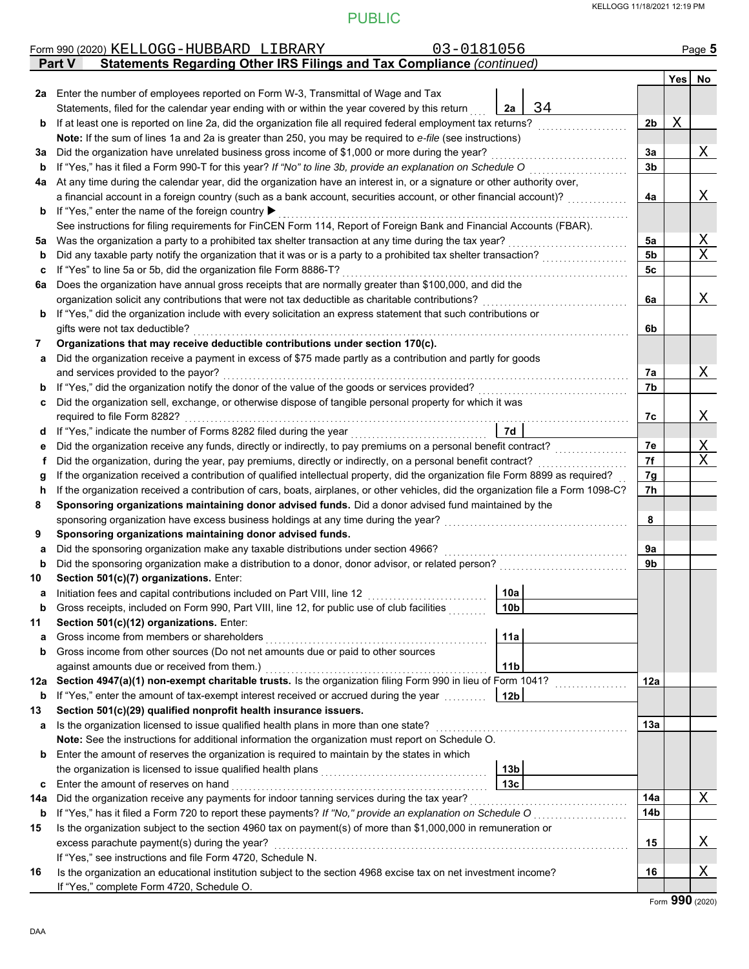|         | 03-0181056<br>Form 990 (2020) KELLOGG-HUBBARD LIBRARY                                                                                                                                                                     |                |     | Page 5           |
|---------|---------------------------------------------------------------------------------------------------------------------------------------------------------------------------------------------------------------------------|----------------|-----|------------------|
|         | <b>Statements Regarding Other IRS Filings and Tax Compliance (continued)</b><br><b>Part V</b>                                                                                                                             |                |     |                  |
|         |                                                                                                                                                                                                                           |                | Yes | No               |
| 2a      | Enter the number of employees reported on Form W-3, Transmittal of Wage and Tax                                                                                                                                           |                |     |                  |
|         | 34<br>Statements, filed for the calendar year ending with or within the year covered by this return<br>2a                                                                                                                 |                |     |                  |
| b       | If at least one is reported on line 2a, did the organization file all required federal employment tax returns?                                                                                                            | 2 <sub>b</sub> | X   |                  |
|         | Note: If the sum of lines 1a and 2a is greater than 250, you may be required to e-file (see instructions)                                                                                                                 |                |     |                  |
| За      | Did the organization have unrelated business gross income of \$1,000 or more during the year?                                                                                                                             | 3a             |     | Χ                |
| b       | If "Yes," has it filed a Form 990-T for this year? If "No" to line 3b, provide an explanation on Schedule O                                                                                                               | 3b             |     |                  |
| 4a      | At any time during the calendar year, did the organization have an interest in, or a signature or other authority over,                                                                                                   |                |     |                  |
|         | a financial account in a foreign country (such as a bank account, securities account, or other financial account)?                                                                                                        | 4a             |     | Χ                |
| b       | If "Yes," enter the name of the foreign country ▶                                                                                                                                                                         |                |     |                  |
|         | See instructions for filing requirements for FinCEN Form 114, Report of Foreign Bank and Financial Accounts (FBAR).                                                                                                       |                |     |                  |
| 5a      | Was the organization a party to a prohibited tax shelter transaction at any time during the tax year?<br>Did any taxable party notify the organization that it was or is a party to a prohibited tax shelter transaction? | 5a             |     | Χ<br>$\mathbf X$ |
| b       | If "Yes" to line 5a or 5b, did the organization file Form 8886-T?                                                                                                                                                         | 5b             |     |                  |
| c<br>6a | Does the organization have annual gross receipts that are normally greater than \$100,000, and did the                                                                                                                    | 5c             |     |                  |
|         | organization solicit any contributions that were not tax deductible as charitable contributions?                                                                                                                          | 6a             |     | Χ                |
| b       | If "Yes," did the organization include with every solicitation an express statement that such contributions or                                                                                                            |                |     |                  |
|         | gifts were not tax deductible?                                                                                                                                                                                            | 6b             |     |                  |
| 7       | Organizations that may receive deductible contributions under section 170(c).                                                                                                                                             |                |     |                  |
| a       | Did the organization receive a payment in excess of \$75 made partly as a contribution and partly for goods                                                                                                               |                |     |                  |
|         | and services provided to the payor?                                                                                                                                                                                       | 7а             |     | Χ                |
| b       | If "Yes," did the organization notify the donor of the value of the goods or services provided?                                                                                                                           | 7b             |     |                  |
| c       | Did the organization sell, exchange, or otherwise dispose of tangible personal property for which it was                                                                                                                  |                |     |                  |
|         | required to file Form 8282?                                                                                                                                                                                               | 7c             |     | Χ                |
| d       | <b>7d</b><br>If "Yes," indicate the number of Forms 8282 filed during the year                                                                                                                                            |                |     |                  |
| е       | Did the organization receive any funds, directly or indirectly, to pay premiums on a personal benefit contract?                                                                                                           | 7e             |     | Χ                |
| f       | Did the organization, during the year, pay premiums, directly or indirectly, on a personal benefit contract?                                                                                                              | 7f             |     | $\mathbf X$      |
| g       | If the organization received a contribution of qualified intellectual property, did the organization file Form 8899 as required?                                                                                          | 7g             |     |                  |
| h       | If the organization received a contribution of cars, boats, airplanes, or other vehicles, did the organization file a Form 1098-C?                                                                                        | 7h             |     |                  |
| 8       | Sponsoring organizations maintaining donor advised funds. Did a donor advised fund maintained by the                                                                                                                      |                |     |                  |
|         | sponsoring organization have excess business holdings at any time during the year?                                                                                                                                        | 8              |     |                  |
| 9       | Sponsoring organizations maintaining donor advised funds.                                                                                                                                                                 |                |     |                  |
| a       | Did the sponsoring organization make any taxable distributions under section 4966?                                                                                                                                        | 9a             |     |                  |
| b       | Did the sponsoring organization make a distribution to a donor, donor advisor, or related person?                                                                                                                         | 9b             |     |                  |
| 10      | Section 501(c)(7) organizations. Enter:                                                                                                                                                                                   |                |     |                  |
|         | 10a<br>Initiation fees and capital contributions included on Part VIII, line 12                                                                                                                                           |                |     |                  |
| b       | Gross receipts, included on Form 990, Part VIII, line 12, for public use of club facilities<br>10 <sub>b</sub>                                                                                                            |                |     |                  |
| 11      | Section 501(c)(12) organizations. Enter:                                                                                                                                                                                  |                |     |                  |
| a       | Gross income from members or shareholders<br>11a                                                                                                                                                                          |                |     |                  |
| b       | Gross income from other sources (Do not net amounts due or paid to other sources<br>against amounts due or received from them.)<br>11 <sub>b</sub>                                                                        |                |     |                  |
| 12a     | Section 4947(a)(1) non-exempt charitable trusts. Is the organization filing Form 990 in lieu of Form 1041?                                                                                                                | 12a            |     |                  |
| b       | If "Yes," enter the amount of tax-exempt interest received or accrued during the year [[[[[[[[[[[[[[[[]]]]]]]<br>12 <sub>b</sub>                                                                                          |                |     |                  |
| 13      | Section 501(c)(29) qualified nonprofit health insurance issuers.                                                                                                                                                          |                |     |                  |
| а       | Is the organization licensed to issue qualified health plans in more than one state?                                                                                                                                      | 13a            |     |                  |
|         | Note: See the instructions for additional information the organization must report on Schedule O.                                                                                                                         |                |     |                  |
| b       | Enter the amount of reserves the organization is required to maintain by the states in which                                                                                                                              |                |     |                  |
|         | 13 <sub>b</sub>                                                                                                                                                                                                           |                |     |                  |
| c       | 13 <sub>c</sub><br>Enter the amount of reserves on hand                                                                                                                                                                   |                |     |                  |
| 14a     | Did the organization receive any payments for indoor tanning services during the tax year?                                                                                                                                | 14a            |     | X                |
| b       | If "Yes," has it filed a Form 720 to report these payments? If "No," provide an explanation on Schedule O                                                                                                                 | 14b            |     |                  |
| 15      | Is the organization subject to the section 4960 tax on payment(s) of more than \$1,000,000 in remuneration or                                                                                                             |                |     |                  |
|         | excess parachute payment(s) during the year?                                                                                                                                                                              | 15             |     | Χ                |
|         | If "Yes," see instructions and file Form 4720, Schedule N.                                                                                                                                                                |                |     |                  |
| 16      | Is the organization an educational institution subject to the section 4968 excise tax on net investment income?                                                                                                           | 16             |     | Χ                |
|         | If "Yes," complete Form 4720, Schedule O.                                                                                                                                                                                 |                |     |                  |

Form **990** (2020)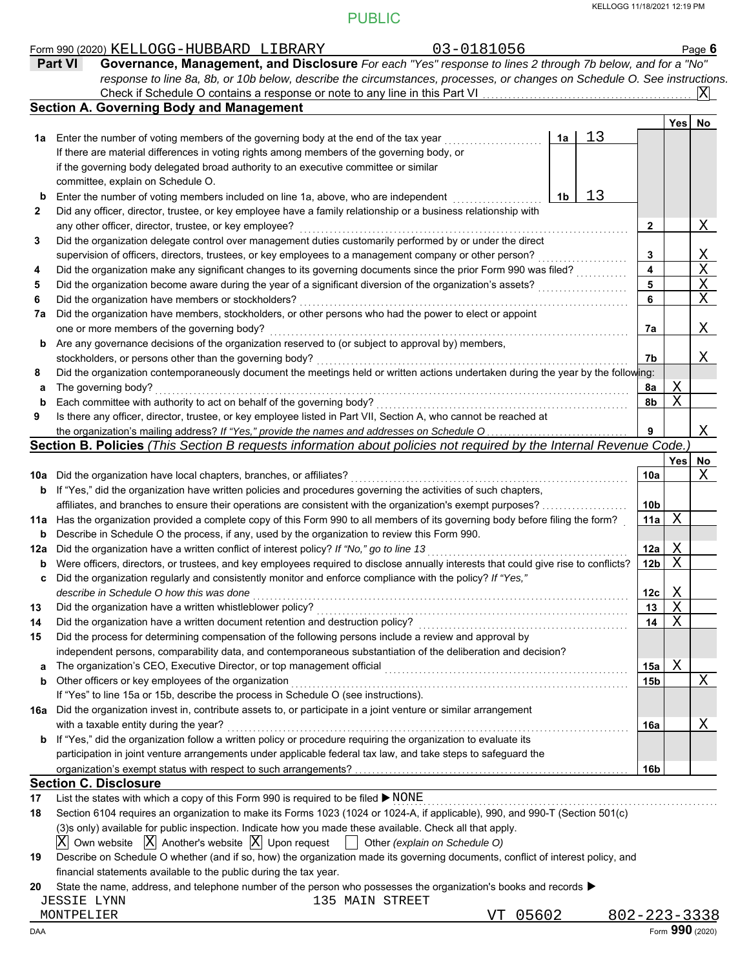#### KELLOGG 11/18/2021 12:19 PM

#### PUBLIC

Form 990 (2020) Page **6** KELLOGG-HUBBARD LIBRARY 03-0181056

|          | Part VI<br>Governance, Management, and Disclosure For each "Yes" response to lines 2 through 7b below, and for a "No"                |                         |     |                |
|----------|--------------------------------------------------------------------------------------------------------------------------------------|-------------------------|-----|----------------|
|          | response to line 8a, 8b, or 10b below, describe the circumstances, processes, or changes on Schedule O. See instructions.            |                         |     |                |
|          |                                                                                                                                      |                         |     | X              |
|          | <b>Section A. Governing Body and Management</b>                                                                                      |                         |     |                |
|          |                                                                                                                                      |                         | Yes | <b>No</b>      |
|          | 13<br>1a<br>1a Enter the number of voting members of the governing body at the end of the tax year                                   |                         |     |                |
|          | If there are material differences in voting rights among members of the governing body, or                                           |                         |     |                |
|          | if the governing body delegated broad authority to an executive committee or similar                                                 |                         |     |                |
|          | committee, explain on Schedule O.                                                                                                    |                         |     |                |
| b        | 13<br>Enter the number of voting members included on line 1a, above, who are independent<br>1b                                       |                         |     |                |
| 2        | Did any officer, director, trustee, or key employee have a family relationship or a business relationship with                       |                         |     |                |
|          | any other officer, director, trustee, or key employee?                                                                               | $\mathbf{2}$            |     | Χ              |
| 3        | Did the organization delegate control over management duties customarily performed by or under the direct                            |                         |     |                |
|          | supervision of officers, directors, trustees, or key employees to a management company or other person?                              | 3                       |     | X              |
| 4        | Did the organization make any significant changes to its governing documents since the prior Form 990 was filed?                     | $\overline{\mathbf{4}}$ |     |                |
| 5        | Did the organization become aware during the year of a significant diversion of the organization's assets?                           | $\overline{\mathbf{5}}$ |     | $\frac{X}{X}$  |
| 6        | Did the organization have members or stockholders?                                                                                   | 6                       |     | $\overline{X}$ |
| 7a       | Did the organization have members, stockholders, or other persons who had the power to elect or appoint                              |                         |     |                |
|          | one or more members of the governing body?                                                                                           | 7a                      |     | Χ              |
| b        | Are any governance decisions of the organization reserved to (or subject to approval by) members,                                    |                         |     |                |
|          | stockholders, or persons other than the governing body?                                                                              | 7b                      |     | Χ              |
| 8        | Did the organization contemporaneously document the meetings held or written actions undertaken during the year by the following:    |                         |     |                |
| a        | The governing body?                                                                                                                  | 8а                      | Χ   |                |
| b        | Each committee with authority to act on behalf of the governing body?                                                                | 8b                      | X   |                |
| 9        | Is there any officer, director, trustee, or key employee listed in Part VII, Section A, who cannot be reached at                     |                         |     |                |
|          |                                                                                                                                      | 9                       |     | X              |
|          | Section B. Policies (This Section B requests information about policies not required by the Internal Revenue Code.)                  |                         |     |                |
|          |                                                                                                                                      |                         | Yes | No             |
|          | 10a Did the organization have local chapters, branches, or affiliates?                                                               | 10a                     |     | Χ              |
| b        | If "Yes," did the organization have written policies and procedures governing the activities of such chapters,                       |                         |     |                |
|          | affiliates, and branches to ensure their operations are consistent with the organization's exempt purposes?                          | 10b                     |     |                |
|          | 11a Has the organization provided a complete copy of this Form 990 to all members of its governing body before filing the form?      | 11a                     | Χ   |                |
| b        | Describe in Schedule O the process, if any, used by the organization to review this Form 990.                                        |                         |     |                |
| 12a      | Did the organization have a written conflict of interest policy? If "No," go to line 13                                              | 12a                     | Χ   |                |
| b        | Were officers, directors, or trustees, and key employees required to disclose annually interests that could give rise to conflicts?  | 12 <sub>b</sub>         | X   |                |
| c        | Did the organization regularly and consistently monitor and enforce compliance with the policy? If "Yes,"                            |                         |     |                |
|          | describe in Schedule O how this was done                                                                                             | 12 <sub>c</sub>         | Χ   |                |
| 13       | Did the organization have a written whistleblower policy?                                                                            | 13                      | Χ   |                |
| 14       | Did the organization have a written document retention and destruction policy?                                                       | 14                      | Χ   |                |
| 15       | Did the process for determining compensation of the following persons include a review and approval by                               |                         |     |                |
|          | independent persons, comparability data, and contemporaneous substantiation of the deliberation and decision?                        |                         |     |                |
| a        | The organization's CEO, Executive Director, or top management official                                                               | 15a                     | Χ   |                |
| b        | Other officers or key employees of the organization                                                                                  | 15b                     |     | Χ              |
|          | If "Yes" to line 15a or 15b, describe the process in Schedule O (see instructions).                                                  |                         |     |                |
| 16a      | Did the organization invest in, contribute assets to, or participate in a joint venture or similar arrangement                       |                         |     |                |
|          | with a taxable entity during the year?                                                                                               | 16a                     |     | Χ              |
| b        | If "Yes," did the organization follow a written policy or procedure requiring the organization to evaluate its                       |                         |     |                |
|          | participation in joint venture arrangements under applicable federal tax law, and take steps to safeguard the                        |                         |     |                |
|          |                                                                                                                                      | 16b                     |     |                |
|          | <b>Section C. Disclosure</b>                                                                                                         |                         |     |                |
|          | List the states with which a copy of this Form 990 is required to be filed ▶ NONE                                                    |                         |     |                |
| 17<br>18 | Section 6104 requires an organization to make its Forms 1023 (1024 or 1024-A, if applicable), 990, and 990-T (Section 501(c)         |                         |     |                |
|          | (3) sonly) available for public inspection. Indicate how you made these available. Check all that apply.                             |                         |     |                |
|          | Own website $ X $ Another's website $ X $ Upon request<br>Other (explain on Schedule O)                                              |                         |     |                |
| 19       | Describe on Schedule O whether (and if so, how) the organization made its governing documents, conflict of interest policy, and      |                         |     |                |
|          | financial statements available to the public during the tax year.                                                                    |                         |     |                |
| 20       | State the name, address, and telephone number of the person who possesses the organization's books and records $\blacktriangleright$ |                         |     |                |
|          |                                                                                                                                      |                         |     |                |

JESSIE LYNN 135 MAIN STREET

MONTPELIER VT 05602 802-223-3338<br>DAA Form 990 (2020)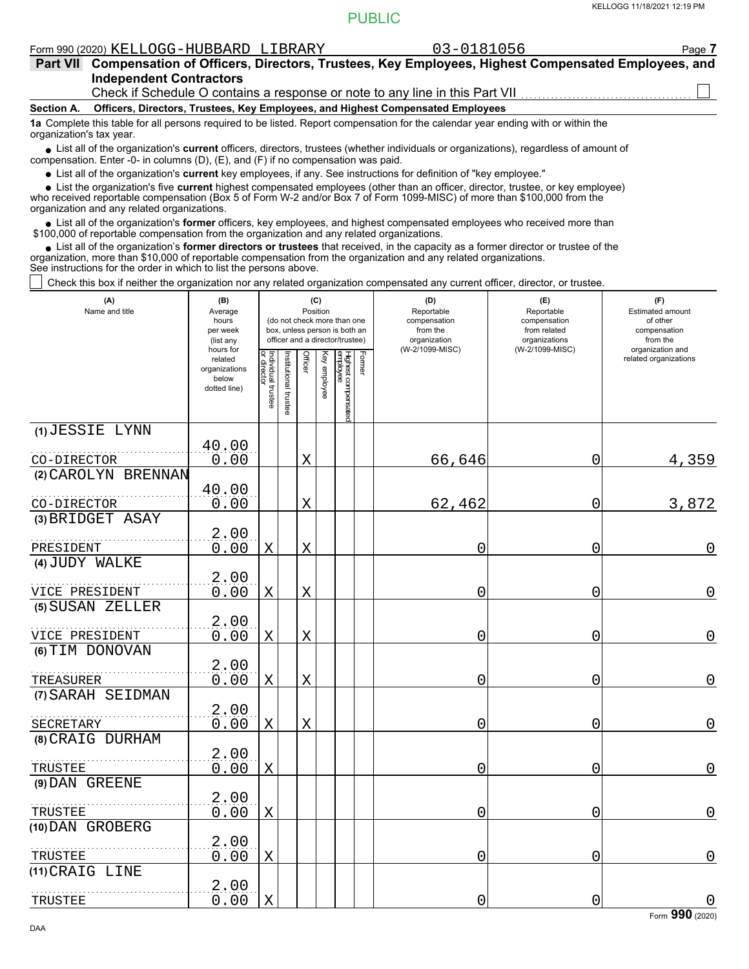| Form 990 (2020) KELLOGG-HUBBARD | LIBRARY | $\cap$ $\subseteq$ $\subset$<br>UJU | Page |
|---------------------------------|---------|-------------------------------------|------|
|                                 |         |                                     |      |

| <b>Part VII</b>          | Compensation of Officers, Directors, Trustees, Key Employees, Highest Compensated Employees, and                                                                                                                                    |
|--------------------------|-------------------------------------------------------------------------------------------------------------------------------------------------------------------------------------------------------------------------------------|
|                          | <b>Independent Contractors</b>                                                                                                                                                                                                      |
|                          | Check if Schedule O contains a response or note to any line in this Part VII                                                                                                                                                        |
| Section A.               | Officers, Directors, Trustees, Key Employees, and Highest Compensated Employees                                                                                                                                                     |
| organization's tax year. | 1a Complete this table for all persons required to be listed. Report compensation for the calendar year ending with or within the                                                                                                   |
|                          | • List all of the organization's current officers, directors, trustees (whether individuals or organizations), regardless of amount of<br>compensation. Enter -0- in columns $(D)$ , $(E)$ , and $(F)$ if no compensation was paid. |
|                          | . Liet all of the examization's <b>ourrent</b> key employees if any See instructions for definition of "key employee"                                                                                                               |

List all of the organization's **current** key employees, if any. See instructions for definition of "key employee."

■ List all of the organization's **current** key employees, if any. See instructions for definition of "key employee."<br>■ List the organization's five **current** highest compensated employees (other than an officer, director,

who received reportable compensation (Box 5 of Form W-2 and/or Box 7 of Form 1099-MISC) of more than \$100,000 from the organization and any related organizations.

List all of the organization's **former** officers, key employees, and highest compensated employees who received more than • List all of the organization's **former** officers, key employees, and highest compensate \$100,000 of reportable compensation from the organization and any related organizations.

List all of the organization's **former directors or trustees** that received, in the capacity as a former director or trustee of the organization, more than \$10,000 of reportable compensation from the organization and any related organizations. See instructions for the order in which to list the persons above. **•**

Check this box if neither the organization nor any related organization compensated any current officer, director, or trustee.

| (A)<br>Name and title | (B)<br>Average<br>hours<br>per week<br>(list any               | (C)<br>Position<br>(do not check more than one<br>box, unless person is both an<br>officer and a director/trustee) |                       |             |              |                                 |        | (D)<br>Reportable<br>compensation<br>from the<br>organization | (E)<br>Reportable<br>compensation<br>from related<br>organizations | (F)<br>Estimated amount<br>of other<br>compensation<br>from the |  |
|-----------------------|----------------------------------------------------------------|--------------------------------------------------------------------------------------------------------------------|-----------------------|-------------|--------------|---------------------------------|--------|---------------------------------------------------------------|--------------------------------------------------------------------|-----------------------------------------------------------------|--|
|                       | hours for<br>related<br>organizations<br>below<br>dotted line) | Individual trustee<br>or director                                                                                  | Institutional trustee | Officer     | Key employee | Highest compensated<br>employee | Former | (W-2/1099-MISC)                                               | (W-2/1099-MISC)                                                    | organization and<br>related organizations                       |  |
| (1) JESSIE LYNN       |                                                                |                                                                                                                    |                       |             |              |                                 |        |                                                               |                                                                    |                                                                 |  |
| CO-DIRECTOR           | 40.00<br>0.00                                                  |                                                                                                                    |                       | X           |              |                                 |        | 66,646                                                        | 0                                                                  | 4,359                                                           |  |
| (2) CAROLYN BRENNAN   |                                                                |                                                                                                                    |                       |             |              |                                 |        |                                                               |                                                                    |                                                                 |  |
| CO-DIRECTOR           | 40.00<br>0.00                                                  |                                                                                                                    |                       | $\mathbf X$ |              |                                 |        | 62,462                                                        | 0                                                                  | 3,872                                                           |  |
| (3) BRIDGET ASAY      |                                                                |                                                                                                                    |                       |             |              |                                 |        |                                                               |                                                                    |                                                                 |  |
| PRESIDENT             | 2.00<br>0.00                                                   | $\mathbf X$                                                                                                        |                       | $\mathbf X$ |              |                                 |        | 0                                                             | 0                                                                  | $\overline{0}$                                                  |  |
| (4) JUDY WALKE        |                                                                |                                                                                                                    |                       |             |              |                                 |        |                                                               |                                                                    |                                                                 |  |
| VICE PRESIDENT        | 2.00<br>0.00                                                   | $\mathbf X$                                                                                                        |                       | $\mathbf X$ |              |                                 |        | 0                                                             | 0                                                                  | 0                                                               |  |
| (5) SUSAN ZELLER      |                                                                |                                                                                                                    |                       |             |              |                                 |        |                                                               |                                                                    |                                                                 |  |
| VICE PRESIDENT        | 2.00<br>0.00                                                   | $\mathbf X$                                                                                                        |                       | $\mathbf X$ |              |                                 |        | 0                                                             | 0                                                                  | $\mathbf 0$                                                     |  |
| (6) TIM DONOVAN       |                                                                |                                                                                                                    |                       |             |              |                                 |        |                                                               |                                                                    |                                                                 |  |
| TREASURER             | 2.00<br>0.00                                                   | $\mathbf X$                                                                                                        |                       | $\mathbf X$ |              |                                 |        | 0                                                             | 0                                                                  | $\mathbf 0$                                                     |  |
| (7) SARAH SEIDMAN     |                                                                |                                                                                                                    |                       |             |              |                                 |        |                                                               |                                                                    |                                                                 |  |
| SECRETARY             | 2.00<br>0.00                                                   | $\mathbf X$                                                                                                        |                       | X           |              |                                 |        | 0                                                             | 0                                                                  | $\overline{0}$                                                  |  |
| (8) CRAIG DURHAM      |                                                                |                                                                                                                    |                       |             |              |                                 |        |                                                               |                                                                    |                                                                 |  |
| TRUSTEE               | 2.00<br>0.00                                                   | $\mathbf X$                                                                                                        |                       |             |              |                                 |        | 0                                                             | 0                                                                  | $\mathbf 0$                                                     |  |
| (9) DAN GREENE        |                                                                |                                                                                                                    |                       |             |              |                                 |        |                                                               |                                                                    |                                                                 |  |
| TRUSTEE               | 2.00<br>0.00                                                   | X                                                                                                                  |                       |             |              |                                 |        | 0                                                             | 0                                                                  | $\mathbf 0$                                                     |  |
| (10) DAN GROBERG      |                                                                |                                                                                                                    |                       |             |              |                                 |        |                                                               |                                                                    |                                                                 |  |
| TRUSTEE               | 2.00<br>0.00                                                   | Χ                                                                                                                  |                       |             |              |                                 |        | 0                                                             | 0                                                                  | $\overline{0}$                                                  |  |
| (11) CRAIG LINE       |                                                                |                                                                                                                    |                       |             |              |                                 |        |                                                               |                                                                    |                                                                 |  |
| TRUSTEE               | 2.00<br>0.00                                                   | $\mathbf X$                                                                                                        |                       |             |              |                                 |        | 0                                                             | 0                                                                  | $\mathbf 0$                                                     |  |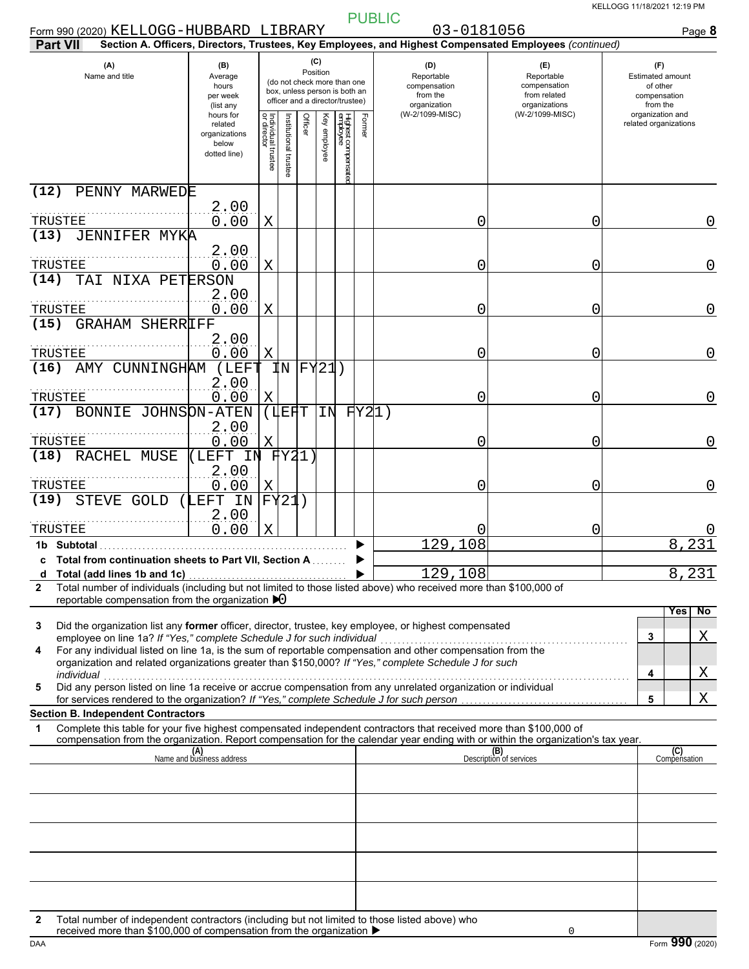|      | Form 990 (2020) KELLOGG-HUBBARD LIBRARY                                                                                                                                                                                                                                                        |                                                                |                                   |                      |         |                 |                                                                                                 |        | <b>PUDLIY</b> | 03-0181056                                                    |                                                                                                        | Page 8                                                                 |
|------|------------------------------------------------------------------------------------------------------------------------------------------------------------------------------------------------------------------------------------------------------------------------------------------------|----------------------------------------------------------------|-----------------------------------|----------------------|---------|-----------------|-------------------------------------------------------------------------------------------------|--------|---------------|---------------------------------------------------------------|--------------------------------------------------------------------------------------------------------|------------------------------------------------------------------------|
|      | <b>Part VII</b>                                                                                                                                                                                                                                                                                |                                                                |                                   |                      |         |                 |                                                                                                 |        |               |                                                               | Section A. Officers, Directors, Trustees, Key Employees, and Highest Compensated Employees (continued) |                                                                        |
|      | (A)<br>Name and title                                                                                                                                                                                                                                                                          | (B)<br>Average<br>hours<br>per week<br>(list any               |                                   |                      |         | (C)<br>Position | (do not check more than one<br>box, unless person is both an<br>officer and a director/trustee) |        |               | (D)<br>Reportable<br>compensation<br>from the<br>organization | (E)<br>Reportable<br>compensation<br>from related<br>organizations                                     | (F)<br><b>Estimated amount</b><br>of other<br>compensation<br>from the |
|      |                                                                                                                                                                                                                                                                                                | hours for<br>related<br>organizations<br>below<br>dotted line) | Individual trustee<br>or director | nstitutional trustee | Officer | Key employee    | Highest compensatec<br>employee                                                                 | Former |               | (W-2/1099-MISC)                                               | (W-2/1099-MISC)                                                                                        | organization and<br>related organizations                              |
| (12) | PENNY MARWEDE                                                                                                                                                                                                                                                                                  |                                                                |                                   |                      |         |                 |                                                                                                 |        |               |                                                               |                                                                                                        |                                                                        |
|      | TRUSTEE                                                                                                                                                                                                                                                                                        | 2.00<br>0.00                                                   | X                                 |                      |         |                 |                                                                                                 |        |               | 0                                                             | 0                                                                                                      | 0                                                                      |
| (13) | JENNIFER MYKA                                                                                                                                                                                                                                                                                  | 2.00                                                           |                                   |                      |         |                 |                                                                                                 |        |               |                                                               |                                                                                                        |                                                                        |
|      | TRUSTEE                                                                                                                                                                                                                                                                                        | 0.00                                                           | X                                 |                      |         |                 |                                                                                                 |        |               | 0                                                             | 0                                                                                                      | 0                                                                      |
| (14) | TAI NIXA PETERSON                                                                                                                                                                                                                                                                              | 2.00                                                           |                                   |                      |         |                 |                                                                                                 |        |               |                                                               |                                                                                                        |                                                                        |
|      | TRUSTEE                                                                                                                                                                                                                                                                                        | 0.00                                                           | X                                 |                      |         |                 |                                                                                                 |        |               | 0                                                             | 0                                                                                                      | $\mathbf 0$                                                            |
| (15) | GRAHAM SHERRIFF<br>TRUSTEE                                                                                                                                                                                                                                                                     | 2.00<br>0.00                                                   | Χ                                 |                      |         |                 |                                                                                                 |        |               | 0                                                             | 0                                                                                                      | 0                                                                      |
| (16) | AMY CUNNINGHAM                                                                                                                                                                                                                                                                                 | LEF                                                            |                                   | ΊN                   |         | FY21)           |                                                                                                 |        |               |                                                               |                                                                                                        |                                                                        |
|      | TRUSTEE                                                                                                                                                                                                                                                                                        | 2.00<br>0.00                                                   | Χ                                 |                      |         |                 |                                                                                                 |        |               | 0                                                             | 0                                                                                                      | $\mathbf 0$                                                            |
| (17) | BONNIE JOHNSON-ATEN                                                                                                                                                                                                                                                                            |                                                                |                                   | $($ $LEF$ $T$        |         | IN              |                                                                                                 |        | FY21)         |                                                               |                                                                                                        |                                                                        |
|      | TRUSTEE                                                                                                                                                                                                                                                                                        | 2.00<br>0.00                                                   | Χ                                 |                      |         |                 |                                                                                                 |        |               | 0                                                             | 0                                                                                                      | 0                                                                      |
| (18) | RACHEL MUSE                                                                                                                                                                                                                                                                                    | (LEFT IN<br>2.00                                               |                                   | FY21)                |         |                 |                                                                                                 |        |               |                                                               |                                                                                                        |                                                                        |
|      | TRUSTEE                                                                                                                                                                                                                                                                                        | 0.00                                                           | Χ                                 |                      |         |                 |                                                                                                 |        |               | 0                                                             | 0                                                                                                      | 0                                                                      |
| (19) | STEVE GOLD                                                                                                                                                                                                                                                                                     | LEFT<br>IN<br>2.00                                             |                                   | FY21)                |         |                 |                                                                                                 |        |               |                                                               |                                                                                                        |                                                                        |
|      | TRUSTEE                                                                                                                                                                                                                                                                                        | 0.00                                                           | X                                 |                      |         |                 |                                                                                                 |        |               | 0                                                             | 0                                                                                                      |                                                                        |
|      | 1b Subtotal<br>c Total from continuation sheets to Part VII, Section A                                                                                                                                                                                                                         |                                                                |                                   |                      |         |                 |                                                                                                 |        |               | 129,108                                                       |                                                                                                        | 8,231                                                                  |
| d    | Total (add lines 1b and 1c)                                                                                                                                                                                                                                                                    |                                                                |                                   |                      |         |                 |                                                                                                 |        |               | 129,108                                                       |                                                                                                        | 8,231                                                                  |
| 2    | Total number of individuals (including but not limited to those listed above) who received more than \$100,000 of<br>reportable compensation from the organization $\blacktriangleright$ 0                                                                                                     |                                                                |                                   |                      |         |                 |                                                                                                 |        |               |                                                               |                                                                                                        |                                                                        |
| 3    | Did the organization list any former officer, director, trustee, key employee, or highest compensated                                                                                                                                                                                          |                                                                |                                   |                      |         |                 |                                                                                                 |        |               |                                                               |                                                                                                        | Yes<br>No                                                              |
| 4    | employee on line 1a? If "Yes," complete Schedule J for such individual<br>For any individual listed on line 1a, is the sum of reportable compensation and other compensation from the<br>organization and related organizations greater than \$150,000? If "Yes," complete Schedule J for such |                                                                |                                   |                      |         |                 |                                                                                                 |        |               |                                                               |                                                                                                        | Χ<br>3                                                                 |
| 5    | individual<br>Did any person listed on line 1a receive or accrue compensation from any unrelated organization or individual<br>for services rendered to the organization? If "Yes," complete Schedule J for such person                                                                        |                                                                |                                   |                      |         |                 |                                                                                                 |        |               |                                                               |                                                                                                        | Χ<br>4<br>Χ<br>5                                                       |
|      | Section B. Independent Contractors                                                                                                                                                                                                                                                             |                                                                |                                   |                      |         |                 |                                                                                                 |        |               |                                                               |                                                                                                        |                                                                        |
| 1    | Complete this table for your five highest compensated independent contractors that received more than \$100,000 of<br>compensation from the organization. Report compensation for the calendar year ending with or within the organization's tax year.                                         |                                                                |                                   |                      |         |                 |                                                                                                 |        |               |                                                               |                                                                                                        |                                                                        |
|      |                                                                                                                                                                                                                                                                                                | (A)<br>Name and business address                               |                                   |                      |         |                 |                                                                                                 |        |               |                                                               | (B)<br>Description of services                                                                         | (C)<br>Compensation                                                    |
|      |                                                                                                                                                                                                                                                                                                |                                                                |                                   |                      |         |                 |                                                                                                 |        |               |                                                               |                                                                                                        |                                                                        |
|      |                                                                                                                                                                                                                                                                                                |                                                                |                                   |                      |         |                 |                                                                                                 |        |               |                                                               |                                                                                                        |                                                                        |
|      |                                                                                                                                                                                                                                                                                                |                                                                |                                   |                      |         |                 |                                                                                                 |        |               |                                                               |                                                                                                        |                                                                        |
|      |                                                                                                                                                                                                                                                                                                |                                                                |                                   |                      |         |                 |                                                                                                 |        |               |                                                               |                                                                                                        |                                                                        |
|      |                                                                                                                                                                                                                                                                                                |                                                                |                                   |                      |         |                 |                                                                                                 |        |               |                                                               |                                                                                                        |                                                                        |
|      |                                                                                                                                                                                                                                                                                                |                                                                |                                   |                      |         |                 |                                                                                                 |        |               |                                                               |                                                                                                        |                                                                        |

**2** Total number of independent contractors (including but not limited to those listed above) who received more than \$100,000 of compensation from the organization  $\blacktriangleright$ 

0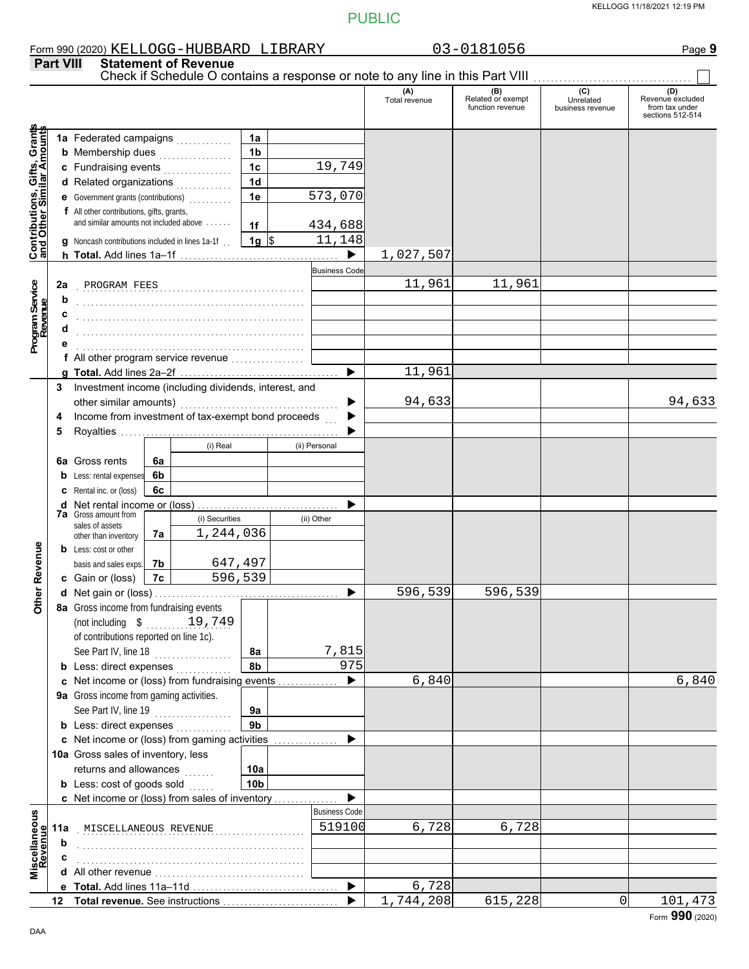|                                                                  |                                                         | Form 990 (2020) KELLOGG-HUBBARD LIBRARY                                          |    |                             |                 |                                                                                                                |                      | 03-0181056                                   |                                                 | Page 9                                                        |
|------------------------------------------------------------------|---------------------------------------------------------|----------------------------------------------------------------------------------|----|-----------------------------|-----------------|----------------------------------------------------------------------------------------------------------------|----------------------|----------------------------------------------|-------------------------------------------------|---------------------------------------------------------------|
|                                                                  | <b>Part VIII</b>                                        |                                                                                  |    | <b>Statement of Revenue</b> |                 |                                                                                                                |                      |                                              |                                                 |                                                               |
|                                                                  |                                                         |                                                                                  |    |                             |                 | Check if Schedule O contains a response or note to any line in this Part VIII [11] [11] [11] [11] [11] [11] [1 |                      |                                              |                                                 |                                                               |
|                                                                  |                                                         |                                                                                  |    |                             |                 |                                                                                                                | (A)<br>Total revenue | (B)<br>Related or exempt<br>function revenue | $\overline{C}$<br>Unrelated<br>business revenue | (D)<br>Revenue excluded<br>from tax under<br>sections 512-514 |
| <b>Contributions, Gifts, Grants</b><br>and Other Similar Amounts |                                                         | 1a Federated campaigns                                                           |    |                             | 1a              |                                                                                                                |                      |                                              |                                                 |                                                               |
|                                                                  |                                                         | <b>b</b> Membership dues <b>contained</b>                                        |    |                             | 1 <sub>b</sub>  |                                                                                                                |                      |                                              |                                                 |                                                               |
|                                                                  |                                                         | c Fundraising events                                                             |    |                             | 1 <sub>c</sub>  | 19,749                                                                                                         |                      |                                              |                                                 |                                                               |
|                                                                  |                                                         | d Related organizations                                                          |    | .                           | 1 <sub>d</sub>  |                                                                                                                |                      |                                              |                                                 |                                                               |
|                                                                  |                                                         | <b>e</b> Government grants (contributions)                                       |    |                             | 1e              | 573,070                                                                                                        |                      |                                              |                                                 |                                                               |
|                                                                  |                                                         | f All other contributions, gifts, grants,                                        |    |                             |                 |                                                                                                                |                      |                                              |                                                 |                                                               |
|                                                                  |                                                         | and similar amounts not included above                                           |    |                             | 1f              | 434,688                                                                                                        |                      |                                              |                                                 |                                                               |
|                                                                  |                                                         | g Noncash contributions included in lines 1a-1f.                                 |    |                             | $1g$ \$         | 11,148                                                                                                         |                      |                                              |                                                 |                                                               |
|                                                                  |                                                         |                                                                                  |    |                             |                 | $\blacktriangleright$                                                                                          | 1,027,507            |                                              |                                                 |                                                               |
|                                                                  |                                                         |                                                                                  |    |                             |                 | <b>Business Code</b>                                                                                           |                      |                                              |                                                 |                                                               |
|                                                                  | 2a                                                      |                                                                                  |    | PROGRAM FEES                |                 |                                                                                                                | $\overline{1}1,961$  | 11,961                                       |                                                 |                                                               |
| Program Service<br>Revenue                                       | b                                                       |                                                                                  |    |                             |                 |                                                                                                                |                      |                                              |                                                 |                                                               |
|                                                                  | c                                                       |                                                                                  |    |                             |                 |                                                                                                                |                      |                                              |                                                 |                                                               |
|                                                                  |                                                         |                                                                                  |    |                             |                 |                                                                                                                |                      |                                              |                                                 |                                                               |
|                                                                  |                                                         |                                                                                  |    |                             |                 |                                                                                                                |                      |                                              |                                                 |                                                               |
|                                                                  |                                                         | f All other program service revenue                                              |    |                             |                 |                                                                                                                |                      |                                              |                                                 |                                                               |
|                                                                  |                                                         |                                                                                  |    |                             |                 | ▶                                                                                                              | 11,961               |                                              |                                                 |                                                               |
|                                                                  | 3                                                       | Investment income (including dividends, interest, and                            |    |                             |                 |                                                                                                                |                      |                                              |                                                 |                                                               |
|                                                                  |                                                         |                                                                                  |    |                             |                 |                                                                                                                | 94,633               |                                              |                                                 | 94,633                                                        |
|                                                                  | Income from investment of tax-exempt bond proceeds<br>4 |                                                                                  |    |                             |                 |                                                                                                                |                      |                                              |                                                 |                                                               |
|                                                                  | 5                                                       |                                                                                  |    |                             |                 |                                                                                                                |                      |                                              |                                                 |                                                               |
|                                                                  |                                                         |                                                                                  |    | (i) Real                    |                 | (ii) Personal                                                                                                  |                      |                                              |                                                 |                                                               |
|                                                                  |                                                         | <b>6a</b> Gross rents                                                            | 6a |                             |                 |                                                                                                                |                      |                                              |                                                 |                                                               |
|                                                                  |                                                         | $\mathbf b$ Less: rental expenses                                                | 6b |                             |                 |                                                                                                                |                      |                                              |                                                 |                                                               |
|                                                                  |                                                         | <b>c</b> Rental inc. or (loss)                                                   | 6c |                             |                 |                                                                                                                |                      |                                              |                                                 |                                                               |
|                                                                  |                                                         | <b>7a</b> Gross amount from                                                      |    |                             |                 |                                                                                                                |                      |                                              |                                                 |                                                               |
|                                                                  |                                                         | sales of assets                                                                  |    | (i) Securities              |                 | (ii) Other                                                                                                     |                      |                                              |                                                 |                                                               |
|                                                                  |                                                         | other than inventory                                                             | 7a | 1,244,036                   |                 |                                                                                                                |                      |                                              |                                                 |                                                               |
| Revenue                                                          |                                                         | <b>b</b> Less: cost or other                                                     |    |                             |                 |                                                                                                                |                      |                                              |                                                 |                                                               |
|                                                                  |                                                         | basis and sales exps.                                                            | 7b | 647,497                     |                 |                                                                                                                |                      |                                              |                                                 |                                                               |
|                                                                  |                                                         | c Gain or (loss)                                                                 | 7c | 596,539                     |                 |                                                                                                                |                      |                                              |                                                 |                                                               |
| Othe                                                             |                                                         | d Net gain or (loss)                                                             |    |                             |                 |                                                                                                                | 596,539              | 596,539                                      |                                                 |                                                               |
|                                                                  |                                                         | 8a Gross income from fundraising events                                          |    |                             |                 |                                                                                                                |                      |                                              |                                                 |                                                               |
|                                                                  |                                                         | (not including $$$                                                               |    | 19,749                      |                 |                                                                                                                |                      |                                              |                                                 |                                                               |
|                                                                  |                                                         | of contributions reported on line 1c).                                           |    |                             |                 |                                                                                                                |                      |                                              |                                                 |                                                               |
|                                                                  |                                                         | See Part IV, line 18                                                             |    |                             | <b>8a</b><br>8b | 7,815<br>975                                                                                                   |                      |                                              |                                                 |                                                               |
|                                                                  |                                                         | <b>b</b> Less: direct expenses<br>c Net income or (loss) from fundraising events |    |                             |                 |                                                                                                                | 6,840                |                                              |                                                 | 6,840                                                         |
|                                                                  |                                                         | 9a Gross income from gaming activities.                                          |    |                             |                 |                                                                                                                |                      |                                              |                                                 |                                                               |
|                                                                  |                                                         | See Part IV, line 19                                                             |    |                             | 9a              |                                                                                                                |                      |                                              |                                                 |                                                               |
|                                                                  |                                                         | <b>b</b> Less: direct expenses                                                   |    | .                           | 9 <sub>b</sub>  |                                                                                                                |                      |                                              |                                                 |                                                               |
|                                                                  |                                                         | c Net income or (loss) from gaming activities                                    |    |                             |                 |                                                                                                                |                      |                                              |                                                 |                                                               |
|                                                                  |                                                         | 10a Gross sales of inventory, less                                               |    |                             |                 |                                                                                                                |                      |                                              |                                                 |                                                               |
|                                                                  |                                                         | returns and allowances                                                           |    |                             | 10a             |                                                                                                                |                      |                                              |                                                 |                                                               |
|                                                                  |                                                         | <b>b</b> Less: cost of goods sold                                                |    |                             | 10 <sub>b</sub> |                                                                                                                |                      |                                              |                                                 |                                                               |
|                                                                  |                                                         | c Net income or (loss) from sales of inventory                                   |    |                             |                 |                                                                                                                |                      |                                              |                                                 |                                                               |
|                                                                  |                                                         |                                                                                  |    |                             |                 | <b>Business Code</b>                                                                                           |                      |                                              |                                                 |                                                               |
| Miscellaneous<br>Revenue                                         | 11a                                                     | MISCELLANEOUS REVENUE                                                            |    |                             |                 | 519100                                                                                                         | 6,728                | 6,728                                        |                                                 |                                                               |
|                                                                  | b                                                       |                                                                                  |    |                             |                 |                                                                                                                |                      |                                              |                                                 |                                                               |
|                                                                  | с                                                       |                                                                                  |    |                             |                 |                                                                                                                |                      |                                              |                                                 |                                                               |
|                                                                  |                                                         |                                                                                  |    |                             |                 |                                                                                                                |                      |                                              |                                                 |                                                               |
|                                                                  |                                                         |                                                                                  |    |                             |                 |                                                                                                                | 6,728                |                                              |                                                 |                                                               |
|                                                                  |                                                         |                                                                                  |    |                             |                 |                                                                                                                | 1,744,208            | 615,228                                      | 0                                               | 101,473                                                       |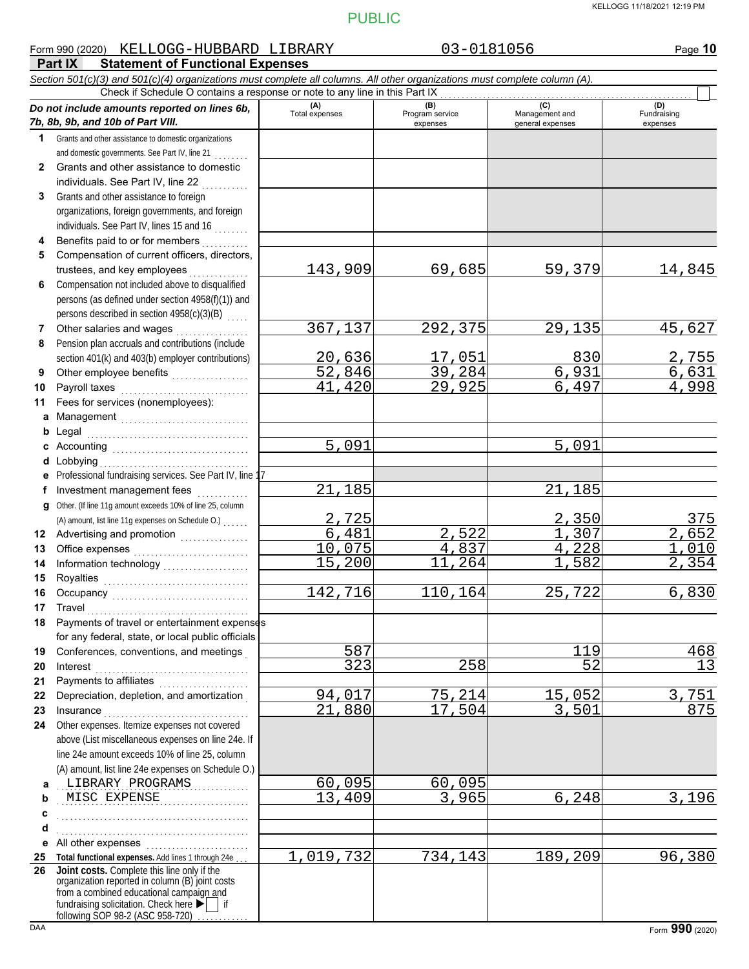#### **Part IX Statement of Functional Expenses** Form 990 (2020) Page **10** KELLOGG-HUBBARD LIBRARY 03-0181056 *Section 501(c)(3) and 501(c)(4) organizations must complete all columns. All other organizations must complete column (A). Do not include amounts reported on lines 6b, 7b, 8b, 9b, and 10b of Part VIII.* **1 2 3 4 5 6 7 8 9 10 11 a** Management . . . . . . . . . . . . . . . . . . . . . . . . . . . . . . **b** Legal **c** Accounting . . . . . . . . . . . . . . . . . . . . . . . . . . . . . . . . **d** Lobbying . . . . . . . . . . . . . . . . . . . . . . . . . . . . . . . . . . . **e f g** Other. (If line 11g amount exceeds 10% of line 25, column **12** Advertising and promotion **. . . . . . . . . . . .** . . **13 14 15 16 17 18 19 20 21 22 23 24 a** . . . . . . . . . . . . . . . . . . . . . . . . . . . . . . . . . . . . . . . . . . . . . LIBRARY PROGRAMS 60,095 60,095 **b c d e** All other expenses . . . . . . . . . . . . . . . . . . . . . . . . **25 Total functional expenses.** Add lines 1 through 24e . . . **26** Grants and other assistance to domestic organizations and domestic governments. See Part IV, line 21 . . . . . . . . Grants and other assistance to domestic individuals. See Part IV, line 22 Grants and other assistance to foreign organizations, foreign governments, and foreign individuals. See Part IV, lines 15 and 16 Benefits paid to or for members . . . . . . . . . . Compensation of current officers, directors, trustees, and key employees ......... Compensation not included above to disqualified persons (as defined under section 4958(f)(1)) and persons described in section  $4958(c)(3)(B)$ Other salaries and wages . . . . . . . . . . . . . . . . Pension plan accruals and contributions (include section 401(k) and 403(b) employer contributions) Other employee benefits ................... Payroll taxes . . . . . . . . . . . . . . . . . . . . . . . . . . . . . . Fees for services (nonemployees): Legal . . . . . . . . . . . . . . . . . . . . . . . . . . . . . . . . . . . . . . Professional fundraising services. See Part IV, line 17 Investment management fees ............. Office expenses . . . . . . . . . . . . . . . . . . . . . . . . . . . Information technology . . . . . . . . . . . . . . . . . . . . Royalties . . . . . . . . . . . . . . . . . . . . . . . . . . . . . . . . . . Occupancy . . . . . . . . . . . . . . . . . . . . . . . . . . . . . . . . Travel . . . . . . . . . . . . . . . . . . . . . . . . . . . . . . . . . . . . . . Payments of travel or entertainment expenses for any federal, state, or local public officials Conferences, conventions, and meetings . Interest . . . . . . . . . . . . . . . . . . . . . . . . . . . . . . . . . . . . Payments to affiliates . . . . . . . . . . . . . . . . . . . . . Depreciation, depletion, and amortization . Insurance . . . . . . . . . . . . . . . . . . . . . . . . . . . . . . . . . . Other expenses. Itemize expenses not covered above (List miscellaneous expenses on line 24e. If line 24e amount exceeds 10% of line 25, column (A) amount, list line 24e expenses on Schedule O.) fundraising solicitation. Check here  $\blacktriangleright$  | if organization reported in column (B) joint costs from a combined educational campaign and following SOP 98-2 (ASC 958-720) **(A)** (B) (B) (B) (C) (C) (A) (D)<br>Total expenses Program service Management and Fundrai expenses general expenses (D)<br>Fundraising expenses . . . . . . . . . . . . . . . . . . . . . . . . . . . . . . . . . . . . . . . . . . . . . MISC EXPENSE 13,409 3,965 6,248 3,196 . . . . . . . . . . . . . . . . . . . . . . . . . . . . . . . . . . . . . . . . . . . . . Check if Schedule O contains a response or note to any line in this Part IX **Joint costs.** Complete this line only if the (A) amount, list line 11g expenses on Schedule O.) . . . . . . 143,909 69,685 59,379 14,845 367,137 292,375 29,135 45,627 <u>20,636 17,051 830 2,755 </u><br>52,846 39,284 6,931 6,631 52,846 39,284 6,931 6,631 41,420 29,925 6,497 4,998 5,091 5,091 21,185 21,185 2,725 2,350 375 6,481 2,522 1,307 2,652 10,075 4,837 4,228 1,010 15,200 11,264 1,582 2,354 142,716 110,164 25,722 6,830 587 119 468 <u>323 258 52 13</u> 94,017 75,214 15,052 3,751 21,880 17,504 3,501 875 1,019,732 734,143 189,209 96,380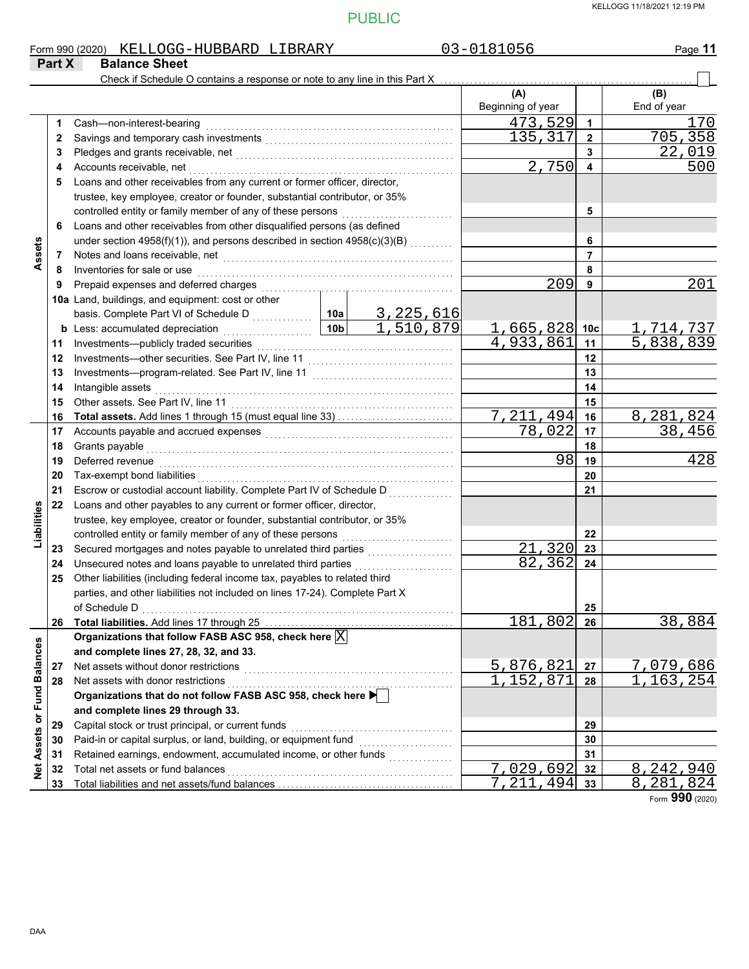KELLOGG 11/18/2021 12:19 PM

# PUBLIC

|                             |        | Form 990 (2020) KELLOGG-HUBBARD LIBRARY                                                                                                                                                                                             |                           |                  | 03-0181056        |                         | Page 11          |
|-----------------------------|--------|-------------------------------------------------------------------------------------------------------------------------------------------------------------------------------------------------------------------------------------|---------------------------|------------------|-------------------|-------------------------|------------------|
|                             | Part X | <b>Balance Sheet</b>                                                                                                                                                                                                                |                           |                  |                   |                         |                  |
|                             |        | Check if Schedule O contains a response or note to any line in this Part X                                                                                                                                                          |                           |                  |                   |                         |                  |
|                             |        |                                                                                                                                                                                                                                     |                           |                  | (A)               |                         | (B)              |
|                             |        |                                                                                                                                                                                                                                     |                           |                  | Beginning of year |                         | End of year      |
|                             | 1.     | Cash-non-interest-bearing                                                                                                                                                                                                           |                           |                  | 473,529           | $\mathbf{1}$            | 170              |
|                             | 2      |                                                                                                                                                                                                                                     |                           |                  | 135,317           | $\overline{\mathbf{2}}$ | 705,358          |
|                             | 3      |                                                                                                                                                                                                                                     |                           |                  |                   | 3                       | 22,019           |
|                             | 4      | Accounts receivable, net                                                                                                                                                                                                            |                           |                  | 2,750             | $\overline{\mathbf{4}}$ | 500              |
|                             | 5      | Loans and other receivables from any current or former officer, director,                                                                                                                                                           |                           |                  |                   |                         |                  |
|                             |        | trustee, key employee, creator or founder, substantial contributor, or 35%                                                                                                                                                          |                           |                  |                   |                         |                  |
|                             |        | controlled entity or family member of any of these persons                                                                                                                                                                          |                           |                  |                   | 5                       |                  |
|                             | 6      | Loans and other receivables from other disqualified persons (as defined                                                                                                                                                             |                           |                  |                   |                         |                  |
|                             |        | under section 4958(f)(1)), and persons described in section 4958(c)(3)(B)                                                                                                                                                           |                           |                  |                   | 6                       |                  |
| Assets                      | 7      | Notes and loans receivable, net <b>construction</b> and construction of the set of the set of the set of the set of the set of the set of the set of the set of the set of the set of the set of the set of the set of the set of t |                           |                  |                   | $\overline{7}$          |                  |
|                             | 8      | Inventories for sale or use                                                                                                                                                                                                         |                           | 8                |                   |                         |                  |
|                             | 9      | Prepaid expenses and deferred charges                                                                                                                                                                                               |                           |                  | 209               | 9                       | 201              |
|                             |        | 10a Land, buildings, and equipment: cost or other                                                                                                                                                                                   |                           |                  |                   |                         |                  |
|                             |        |                                                                                                                                                                                                                                     |                           | <u>3,225,616</u> |                   |                         |                  |
|                             |        | <b>b</b> Less: accumulated depreciation<br>.                                                                                                                                                                                        | 10 <sub>b</sub>           | 1,510,879        | $1,665,828$ 10c   |                         | <u>1,714,737</u> |
|                             | 11     | Investments-publicly traded securities                                                                                                                                                                                              |                           |                  |                   |                         | 5,838,839        |
|                             | 12     |                                                                                                                                                                                                                                     | 4,933,861                 | 11<br>$12 \,$    |                   |                         |                  |
|                             | 13     |                                                                                                                                                                                                                                     |                           | 13               |                   |                         |                  |
|                             | 14     | Intangible assets                                                                                                                                                                                                                   |                           |                  |                   | 14                      |                  |
|                             | 15     | Other assets. See Part IV, line 11                                                                                                                                                                                                  |                           | 15               |                   |                         |                  |
|                             | 16     |                                                                                                                                                                                                                                     |                           |                  | 7,211<br>,494     | 16                      | 8,281,824        |
|                             | 17     |                                                                                                                                                                                                                                     |                           |                  | 78,022            | 17                      | 38, 456          |
|                             | 18     | Grants payable                                                                                                                                                                                                                      |                           | 18               |                   |                         |                  |
|                             | 19     | Deferred revenue                                                                                                                                                                                                                    |                           |                  | 98                | 19                      | 428              |
|                             | 20     | Tax-exempt bond liabilities                                                                                                                                                                                                         |                           |                  |                   | 20                      |                  |
|                             | 21     | Escrow or custodial account liability. Complete Part IV of Schedule D                                                                                                                                                               |                           |                  |                   | 21                      |                  |
|                             | 22     | Loans and other payables to any current or former officer, director,                                                                                                                                                                |                           |                  |                   |                         |                  |
| Liabilities                 |        | trustee, key employee, creator or founder, substantial contributor, or 35%                                                                                                                                                          |                           |                  |                   |                         |                  |
|                             |        | controlled entity or family member of any of these persons                                                                                                                                                                          |                           |                  |                   | 22                      |                  |
|                             | 23     | Secured mortgages and notes payable to unrelated third parties                                                                                                                                                                      |                           |                  | , 320<br>21       | 23                      |                  |
|                             | 24     | Unsecured notes and loans payable to unrelated third parties                                                                                                                                                                        |                           |                  | 82,362            | 24                      |                  |
|                             | 25     | Other liabilities (including federal income tax, payables to related third                                                                                                                                                          |                           |                  |                   |                         |                  |
|                             |        | parties, and other liabilities not included on lines 17-24). Complete Part X                                                                                                                                                        |                           |                  |                   |                         |                  |
|                             |        | of Schedule D                                                                                                                                                                                                                       |                           |                  |                   | 25                      |                  |
|                             | 26     |                                                                                                                                                                                                                                     |                           |                  | ,802<br>181       | 26                      | 38,884           |
|                             |        | Organizations that follow FASB ASC 958, check here $\boxed{\text{X}}$                                                                                                                                                               |                           |                  |                   |                         |                  |
|                             |        | and complete lines 27, 28, 32, and 33.                                                                                                                                                                                              |                           |                  |                   |                         |                  |
|                             | 27     | Net assets without donor restrictions                                                                                                                                                                                               | 5,876,821                 | 27               | <u>7,079,686</u>  |                         |                  |
|                             | 28     | Net assets with donor restrictions                                                                                                                                                                                                  | 1,152,871                 | 28               | 1,163,254         |                         |                  |
|                             |        | Organizations that do not follow FASB ASC 958, check here M                                                                                                                                                                         |                           |                  |                   |                         |                  |
|                             |        | and complete lines 29 through 33.                                                                                                                                                                                                   |                           |                  |                   |                         |                  |
|                             | 29     | Capital stock or trust principal, or current funds                                                                                                                                                                                  |                           |                  |                   | 29                      |                  |
|                             | 30     | Paid-in or capital surplus, or land, building, or equipment fund                                                                                                                                                                    |                           |                  |                   | 30                      |                  |
|                             | 31     | Retained earnings, endowment, accumulated income, or other funds                                                                                                                                                                    |                           | <u>.</u>         |                   | 31                      |                  |
| Net Assets or Fund Balances | 32     | Total net assets or fund balances                                                                                                                                                                                                   |                           |                  | 7,029,692         | 32                      | 8,242,940        |
|                             | 33     |                                                                                                                                                                                                                                     | $\overline{7}$ , 211, 494 | 33               | 8,281,824         |                         |                  |

Form **990** (2020)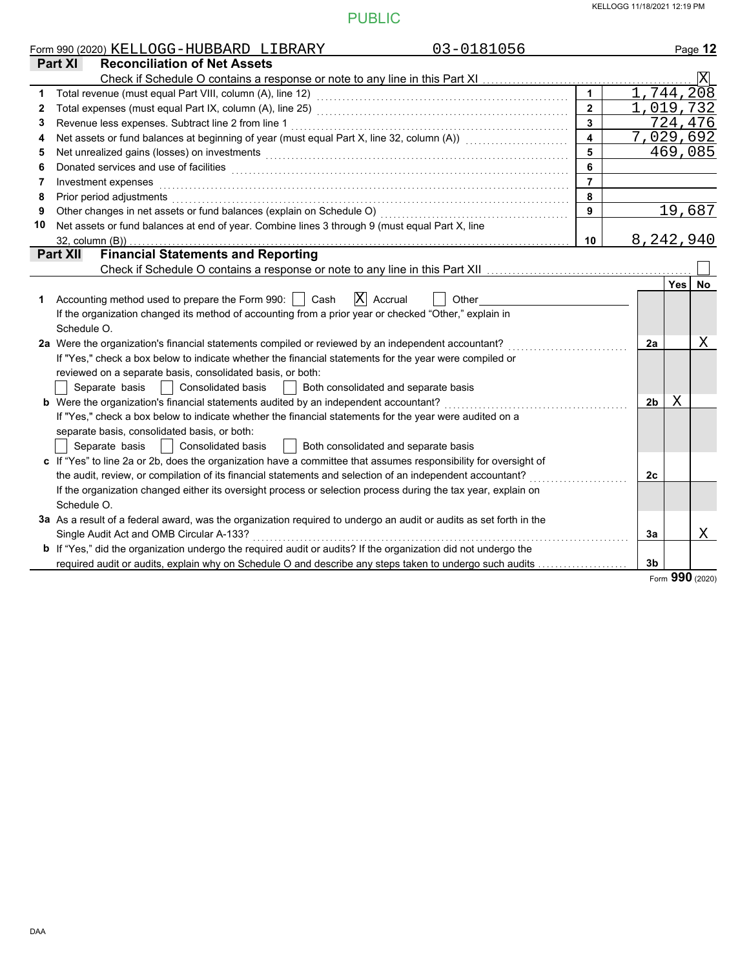|    | 03-0181056<br>Form 990 (2020) KELLOGG-HUBBARD LIBRARY                                                                                                                                                                          |                         |                |            | Page 12        |
|----|--------------------------------------------------------------------------------------------------------------------------------------------------------------------------------------------------------------------------------|-------------------------|----------------|------------|----------------|
|    | Part XI<br><b>Reconciliation of Net Assets</b>                                                                                                                                                                                 |                         |                |            |                |
|    |                                                                                                                                                                                                                                |                         |                |            | $ \mathrm{X} $ |
| 1  |                                                                                                                                                                                                                                | $\mathbf{1}$            | 1,744,208      |            |                |
| 2  |                                                                                                                                                                                                                                | $\overline{2}$          | 1,019,732      |            |                |
| 3  | Revenue less expenses. Subtract line 2 from line 1                                                                                                                                                                             | $\mathbf{3}$            |                |            | 724,476        |
| 4  | Net assets or fund balances at beginning of year (must equal Part X, line 32, column (A)) [[[[[[[[[[[[[[[[[[[                                                                                                                  | $\overline{\mathbf{4}}$ | 7,029,692      |            |                |
| 5  | Net unrealized gains (losses) on investments [11] with an intervention of the state of the state of the state of the state of the state of the state of the state of the state of the state of the state of the state of the s | 5                       |                |            | 469,085        |
| 6  | Donated services and use of facilities                                                                                                                                                                                         | 6                       |                |            |                |
| 7  | Investment expenses                                                                                                                                                                                                            | $\overline{7}$          |                |            |                |
| 8  | Prior period adjustments                                                                                                                                                                                                       | 8                       |                |            |                |
| 9  | Other changes in net assets or fund balances (explain on Schedule O)                                                                                                                                                           | $\overline{9}$          |                |            | 19,687         |
| 10 | Net assets or fund balances at end of year. Combine lines 3 through 9 (must equal Part X, line                                                                                                                                 |                         |                |            |                |
|    | 32, column (B))                                                                                                                                                                                                                | 10                      | 8,242,940      |            |                |
|    | <b>Financial Statements and Reporting</b><br><b>Part XII</b>                                                                                                                                                                   |                         |                |            |                |
|    |                                                                                                                                                                                                                                |                         |                |            |                |
|    |                                                                                                                                                                                                                                |                         |                | <b>Yes</b> | No             |
| 1  | $ \mathbf{X} $ Accrual<br>Accounting method used to prepare the Form 990:    <br>Cash<br>Other                                                                                                                                 |                         |                |            |                |
|    | If the organization changed its method of accounting from a prior year or checked "Other," explain in                                                                                                                          |                         |                |            |                |
|    | Schedule O.                                                                                                                                                                                                                    |                         |                |            |                |
|    | 2a Were the organization's financial statements compiled or reviewed by an independent accountant?                                                                                                                             |                         | 2a             |            | Χ              |
|    | If "Yes," check a box below to indicate whether the financial statements for the year were compiled or                                                                                                                         |                         |                |            |                |
|    | reviewed on a separate basis, consolidated basis, or both:                                                                                                                                                                     |                         |                |            |                |
|    | Separate basis   Consolidated basis<br>Both consolidated and separate basis<br>$\mathbf{1}$                                                                                                                                    |                         |                |            |                |
|    | b Were the organization's financial statements audited by an independent accountant?                                                                                                                                           |                         | 2 <sub>b</sub> | Χ          |                |
|    | If "Yes," check a box below to indicate whether the financial statements for the year were audited on a                                                                                                                        |                         |                |            |                |
|    | separate basis, consolidated basis, or both:                                                                                                                                                                                   |                         |                |            |                |
|    | Consolidated basis<br>Both consolidated and separate basis<br>Separate basis                                                                                                                                                   |                         |                |            |                |
|    | c If "Yes" to line 2a or 2b, does the organization have a committee that assumes responsibility for oversight of                                                                                                               |                         |                |            |                |
|    | the audit, review, or compilation of its financial statements and selection of an independent accountant?                                                                                                                      |                         | 2c             |            |                |
|    | If the organization changed either its oversight process or selection process during the tax year, explain on                                                                                                                  |                         |                |            |                |
|    | Schedule O.                                                                                                                                                                                                                    |                         |                |            |                |
|    | 3a As a result of a federal award, was the organization required to undergo an audit or audits as set forth in the                                                                                                             |                         |                |            |                |
|    | Single Audit Act and OMB Circular A-133?                                                                                                                                                                                       |                         | 3a             |            | Χ              |
|    | b If "Yes," did the organization undergo the required audit or audits? If the organization did not undergo the                                                                                                                 |                         |                |            |                |
|    | required audit or audits, explain why on Schedule O and describe any steps taken to undergo such audits                                                                                                                        |                         | 3 <sub>b</sub> |            |                |

Form **990** (2020)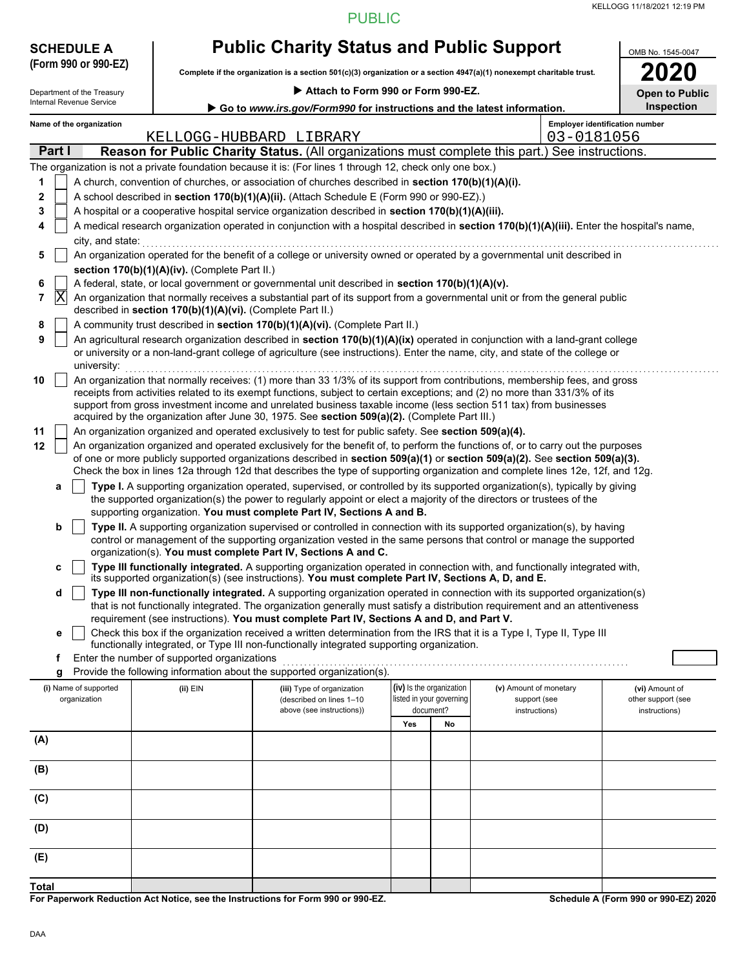| <b>SCHEDULE A</b>                     | <b>Public Charity Status and Public Support</b>                                                                      | OMB No. 1545-0047                                                                                                                                                                                                                                                                                                                                                                                                                                                                |                                                      |                                        |                                      |  |  |
|---------------------------------------|----------------------------------------------------------------------------------------------------------------------|----------------------------------------------------------------------------------------------------------------------------------------------------------------------------------------------------------------------------------------------------------------------------------------------------------------------------------------------------------------------------------------------------------------------------------------------------------------------------------|------------------------------------------------------|----------------------------------------|--------------------------------------|--|--|
| (Form 990 or 990-EZ)                  | Complete if the organization is a section 501(c)(3) organization or a section 4947(a)(1) nonexempt charitable trust. |                                                                                                                                                                                                                                                                                                                                                                                                                                                                                  |                                                      |                                        |                                      |  |  |
| Department of the Treasury            |                                                                                                                      | <b>Open to Public</b>                                                                                                                                                                                                                                                                                                                                                                                                                                                            |                                                      |                                        |                                      |  |  |
| Internal Revenue Service              |                                                                                                                      | ▶ Attach to Form 990 or Form 990-EZ.                                                                                                                                                                                                                                                                                                                                                                                                                                             | Inspection                                           |                                        |                                      |  |  |
| Name of the organization              |                                                                                                                      | Go to www.irs.gov/Form990 for instructions and the latest information.<br><b>Employer identification number</b>                                                                                                                                                                                                                                                                                                                                                                  |                                                      |                                        |                                      |  |  |
|                                       |                                                                                                                      | KELLOGG-HUBBARD LIBRARY                                                                                                                                                                                                                                                                                                                                                                                                                                                          |                                                      | 03-0181056                             |                                      |  |  |
| Part I                                |                                                                                                                      | Reason for Public Charity Status. (All organizations must complete this part.) See instructions.                                                                                                                                                                                                                                                                                                                                                                                 |                                                      |                                        |                                      |  |  |
|                                       |                                                                                                                      | The organization is not a private foundation because it is: (For lines 1 through 12, check only one box.)                                                                                                                                                                                                                                                                                                                                                                        |                                                      |                                        |                                      |  |  |
| 1                                     |                                                                                                                      | A church, convention of churches, or association of churches described in section 170(b)(1)(A)(i).                                                                                                                                                                                                                                                                                                                                                                               |                                                      |                                        |                                      |  |  |
| 2                                     |                                                                                                                      | A school described in section 170(b)(1)(A)(ii). (Attach Schedule E (Form 990 or 990-EZ).)                                                                                                                                                                                                                                                                                                                                                                                        |                                                      |                                        |                                      |  |  |
| 3                                     |                                                                                                                      | A hospital or a cooperative hospital service organization described in section 170(b)(1)(A)(iii).                                                                                                                                                                                                                                                                                                                                                                                |                                                      |                                        |                                      |  |  |
| 4                                     |                                                                                                                      | A medical research organization operated in conjunction with a hospital described in section 170(b)(1)(A)(iii). Enter the hospital's name,                                                                                                                                                                                                                                                                                                                                       |                                                      |                                        |                                      |  |  |
| city, and state:<br>5                 |                                                                                                                      | An organization operated for the benefit of a college or university owned or operated by a governmental unit described in                                                                                                                                                                                                                                                                                                                                                        |                                                      |                                        |                                      |  |  |
|                                       | section 170(b)(1)(A)(iv). (Complete Part II.)                                                                        |                                                                                                                                                                                                                                                                                                                                                                                                                                                                                  |                                                      |                                        |                                      |  |  |
| 6                                     |                                                                                                                      | A federal, state, or local government or governmental unit described in section 170(b)(1)(A)(v).                                                                                                                                                                                                                                                                                                                                                                                 |                                                      |                                        |                                      |  |  |
| $ {\rm X} $<br>7                      | described in section 170(b)(1)(A)(vi). (Complete Part II.)                                                           | An organization that normally receives a substantial part of its support from a governmental unit or from the general public                                                                                                                                                                                                                                                                                                                                                     |                                                      |                                        |                                      |  |  |
| 8                                     |                                                                                                                      | A community trust described in section 170(b)(1)(A)(vi). (Complete Part II.)                                                                                                                                                                                                                                                                                                                                                                                                     |                                                      |                                        |                                      |  |  |
| 9                                     |                                                                                                                      | An agricultural research organization described in section 170(b)(1)(A)(ix) operated in conjunction with a land-grant college<br>or university or a non-land-grant college of agriculture (see instructions). Enter the name, city, and state of the college or                                                                                                                                                                                                                  |                                                      |                                        |                                      |  |  |
| university:<br>10                     |                                                                                                                      | An organization that normally receives: (1) more than 33 1/3% of its support from contributions, membership fees, and gross<br>receipts from activities related to its exempt functions, subject to certain exceptions; and (2) no more than 331/3% of its<br>support from gross investment income and unrelated business taxable income (less section 511 tax) from businesses<br>acquired by the organization after June 30, 1975. See section 509(a)(2). (Complete Part III.) |                                                      |                                        |                                      |  |  |
| 11                                    |                                                                                                                      | An organization organized and operated exclusively to test for public safety. See section 509(a)(4).                                                                                                                                                                                                                                                                                                                                                                             |                                                      |                                        |                                      |  |  |
| 12                                    |                                                                                                                      | An organization organized and operated exclusively for the benefit of, to perform the functions of, or to carry out the purposes                                                                                                                                                                                                                                                                                                                                                 |                                                      |                                        |                                      |  |  |
|                                       |                                                                                                                      | of one or more publicly supported organizations described in section 509(a)(1) or section 509(a)(2). See section 509(a)(3).                                                                                                                                                                                                                                                                                                                                                      |                                                      |                                        |                                      |  |  |
|                                       |                                                                                                                      | Check the box in lines 12a through 12d that describes the type of supporting organization and complete lines 12e, 12f, and 12g.                                                                                                                                                                                                                                                                                                                                                  |                                                      |                                        |                                      |  |  |
| а                                     |                                                                                                                      | Type I. A supporting organization operated, supervised, or controlled by its supported organization(s), typically by giving                                                                                                                                                                                                                                                                                                                                                      |                                                      |                                        |                                      |  |  |
|                                       |                                                                                                                      | the supported organization(s) the power to regularly appoint or elect a majority of the directors or trustees of the<br>supporting organization. You must complete Part IV, Sections A and B.                                                                                                                                                                                                                                                                                    |                                                      |                                        |                                      |  |  |
| b                                     |                                                                                                                      | Type II. A supporting organization supervised or controlled in connection with its supported organization(s), by having                                                                                                                                                                                                                                                                                                                                                          |                                                      |                                        |                                      |  |  |
|                                       |                                                                                                                      | control or management of the supporting organization vested in the same persons that control or manage the supported<br>organization(s). You must complete Part IV, Sections A and C.                                                                                                                                                                                                                                                                                            |                                                      |                                        |                                      |  |  |
| c                                     |                                                                                                                      | Type III functionally integrated. A supporting organization operated in connection with, and functionally integrated with,<br>its supported organization(s) (see instructions). You must complete Part IV, Sections A, D, and E.                                                                                                                                                                                                                                                 |                                                      |                                        |                                      |  |  |
| d                                     |                                                                                                                      | Type III non-functionally integrated. A supporting organization operated in connection with its supported organization(s)<br>that is not functionally integrated. The organization generally must satisfy a distribution requirement and an attentiveness                                                                                                                                                                                                                        |                                                      |                                        |                                      |  |  |
|                                       |                                                                                                                      | requirement (see instructions). You must complete Part IV, Sections A and D, and Part V.                                                                                                                                                                                                                                                                                                                                                                                         |                                                      |                                        |                                      |  |  |
| е                                     |                                                                                                                      | Check this box if the organization received a written determination from the IRS that it is a Type I, Type II, Type III                                                                                                                                                                                                                                                                                                                                                          |                                                      |                                        |                                      |  |  |
| f                                     | Enter the number of supported organizations                                                                          | functionally integrated, or Type III non-functionally integrated supporting organization.                                                                                                                                                                                                                                                                                                                                                                                        |                                                      |                                        |                                      |  |  |
| g                                     |                                                                                                                      | Provide the following information about the supported organization(s).                                                                                                                                                                                                                                                                                                                                                                                                           |                                                      |                                        |                                      |  |  |
| (i) Name of supported<br>organization | (ii) EIN                                                                                                             | (iii) Type of organization<br>(described on lines 1-10                                                                                                                                                                                                                                                                                                                                                                                                                           | (iv) Is the organization<br>listed in your governing | (v) Amount of monetary<br>support (see | (vi) Amount of<br>other support (see |  |  |
|                                       |                                                                                                                      | above (see instructions))                                                                                                                                                                                                                                                                                                                                                                                                                                                        | document?<br>Yes                                     | instructions)                          | instructions)                        |  |  |
| (A)                                   |                                                                                                                      |                                                                                                                                                                                                                                                                                                                                                                                                                                                                                  | No                                                   |                                        |                                      |  |  |
|                                       |                                                                                                                      |                                                                                                                                                                                                                                                                                                                                                                                                                                                                                  |                                                      |                                        |                                      |  |  |
| (B)                                   |                                                                                                                      |                                                                                                                                                                                                                                                                                                                                                                                                                                                                                  |                                                      |                                        |                                      |  |  |
| (C)                                   |                                                                                                                      |                                                                                                                                                                                                                                                                                                                                                                                                                                                                                  |                                                      |                                        |                                      |  |  |
| (D)                                   |                                                                                                                      |                                                                                                                                                                                                                                                                                                                                                                                                                                                                                  |                                                      |                                        |                                      |  |  |
| (E)                                   |                                                                                                                      |                                                                                                                                                                                                                                                                                                                                                                                                                                                                                  |                                                      |                                        |                                      |  |  |
| Total                                 |                                                                                                                      |                                                                                                                                                                                                                                                                                                                                                                                                                                                                                  |                                                      |                                        |                                      |  |  |
|                                       |                                                                                                                      | For Paperwork Reduction Act Notice, see the Instructions for Form 990 or 990-EZ.                                                                                                                                                                                                                                                                                                                                                                                                 |                                                      |                                        | Schedule A (Form 990 or 990-EZ) 2020 |  |  |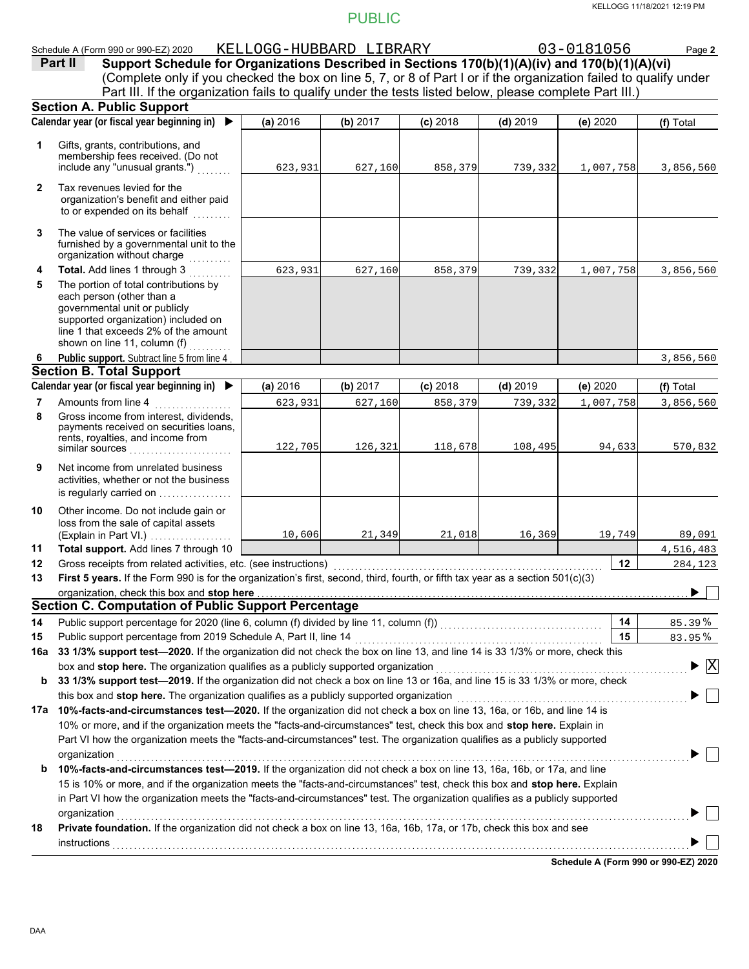| Schedule A (Form 990 or 990-EZ) 2020 | KELLOGG-HUBBARD | LIBRARY | 1056<br>. റ∸<br>Ō<br>$\mathbf{L}$ | Paqe <b>2</b> |
|--------------------------------------|-----------------|---------|-----------------------------------|---------------|
|                                      |                 |         |                                   |               |

(Complete only if you checked the box on line 5, 7, or 8 of Part I or if the organization failed to qualify under **Part II Support Schedule for Organizations Described in Sections 170(b)(1)(A)(iv) and 170(b)(1)(A)(vi)** Part III. If the organization fails to qualify under the tests listed below, please complete Part III.)

|              | <b>Section A. Public Support</b>                                                                                                                                                                                   |          |          |            |            |                                      |                                               |  |  |
|--------------|--------------------------------------------------------------------------------------------------------------------------------------------------------------------------------------------------------------------|----------|----------|------------|------------|--------------------------------------|-----------------------------------------------|--|--|
|              | Calendar year (or fiscal year beginning in)<br>▶                                                                                                                                                                   | (a) 2016 | (b) 2017 | $(c)$ 2018 | $(d)$ 2019 | (e) 2020                             | (f) Total                                     |  |  |
| 1            | Gifts, grants, contributions, and<br>membership fees received. (Do not<br>include any "unusual grants.")                                                                                                           | 623,931  | 627,160  | 858,379    | 739,332    | 1,007,758                            | 3,856,560                                     |  |  |
| $\mathbf{2}$ | Tax revenues levied for the<br>organization's benefit and either paid<br>to or expended on its behalf                                                                                                              |          |          |            |            |                                      |                                               |  |  |
| 3            | The value of services or facilities<br>furnished by a governmental unit to the<br>organization without charge                                                                                                      |          |          |            |            |                                      |                                               |  |  |
| 4            | Total. Add lines 1 through 3                                                                                                                                                                                       | 623,931  | 627,160  | 858,379    | 739,332    | 1,007,758                            | 3,856,560                                     |  |  |
| 5            | The portion of total contributions by<br>each person (other than a<br>governmental unit or publicly<br>supported organization) included on<br>line 1 that exceeds 2% of the amount<br>shown on line 11, column (f) |          |          |            |            |                                      |                                               |  |  |
| 6            | Public support. Subtract line 5 from line 4                                                                                                                                                                        |          |          |            |            |                                      | 3,856,560                                     |  |  |
|              | <b>Section B. Total Support</b>                                                                                                                                                                                    |          |          |            |            |                                      |                                               |  |  |
|              | Calendar year (or fiscal year beginning in) ▶                                                                                                                                                                      | (a) 2016 | (b) 2017 | $(c)$ 2018 | $(d)$ 2019 | (e) 2020                             | (f) Total                                     |  |  |
| 7            | Amounts from line 4                                                                                                                                                                                                | 623,931  | 627,160  | 858,379    | 739,332    | 1,007,758                            | 3,856,560                                     |  |  |
| 8            | Gross income from interest, dividends,<br>payments received on securities loans,<br>rents, royalties, and income from<br>similar sources                                                                           | 122,705  | 126,321  | 118,678    | 108,495    | 94,633                               | 570,832                                       |  |  |
| 9            | Net income from unrelated business<br>activities, whether or not the business<br>is regularly carried on                                                                                                           |          |          |            |            |                                      |                                               |  |  |
| 10<br>11     | Other income. Do not include gain or<br>loss from the sale of capital assets<br>(Explain in Part VI.)<br>Total support. Add lines 7 through 10                                                                     | 10,606   | 21,349   | 21,018     | 16,369     | 19,749                               | 89,091<br>4,516,483                           |  |  |
| 12           | Gross receipts from related activities, etc. (see instructions)                                                                                                                                                    |          |          |            |            | 12                                   | 284,123                                       |  |  |
| 13           | First 5 years. If the Form 990 is for the organization's first, second, third, fourth, or fifth tax year as a section 501(c)(3)                                                                                    |          |          |            |            |                                      |                                               |  |  |
|              | organization, check this box and stop here                                                                                                                                                                         |          |          |            |            |                                      |                                               |  |  |
|              | <b>Section C. Computation of Public Support Percentage</b>                                                                                                                                                         |          |          |            |            |                                      |                                               |  |  |
| 14           |                                                                                                                                                                                                                    |          |          |            |            | 14                                   | 85.39%                                        |  |  |
| 15           | Public support percentage from 2019 Schedule A, Part II, line 14                                                                                                                                                   |          |          |            |            | 15                                   | 83.95%                                        |  |  |
|              | 16a 33 1/3% support test-2020. If the organization did not check the box on line 13, and line 14 is 33 1/3% or more, check this                                                                                    |          |          |            |            |                                      |                                               |  |  |
|              | box and stop here. The organization qualifies as a publicly supported organization                                                                                                                                 |          |          |            |            |                                      | $\blacktriangleright$ $\overline{\mathrm{X}}$ |  |  |
| b            | 33 1/3% support test-2019. If the organization did not check a box on line 13 or 16a, and line 15 is 33 1/3% or more, check                                                                                        |          |          |            |            |                                      |                                               |  |  |
|              | this box and stop here. The organization qualifies as a publicly supported organization                                                                                                                            |          |          |            |            |                                      |                                               |  |  |
| 17a          | 10%-facts-and-circumstances test-2020. If the organization did not check a box on line 13, 16a, or 16b, and line 14 is                                                                                             |          |          |            |            |                                      |                                               |  |  |
|              | 10% or more, and if the organization meets the "facts-and-circumstances" test, check this box and stop here. Explain in                                                                                            |          |          |            |            |                                      |                                               |  |  |
|              | Part VI how the organization meets the "facts-and-circumstances" test. The organization qualifies as a publicly supported                                                                                          |          |          |            |            |                                      |                                               |  |  |
|              | organization                                                                                                                                                                                                       |          |          |            |            |                                      |                                               |  |  |
| b            | 10%-facts-and-circumstances test-2019. If the organization did not check a box on line 13, 16a, 16b, or 17a, and line                                                                                              |          |          |            |            |                                      |                                               |  |  |
|              | 15 is 10% or more, and if the organization meets the "facts-and-circumstances" test, check this box and stop here. Explain                                                                                         |          |          |            |            |                                      |                                               |  |  |
|              | in Part VI how the organization meets the "facts-and-circumstances" test. The organization qualifies as a publicly supported                                                                                       |          |          |            |            |                                      |                                               |  |  |
|              | organization                                                                                                                                                                                                       |          |          |            |            |                                      |                                               |  |  |
| 18           | Private foundation. If the organization did not check a box on line 13, 16a, 16b, 17a, or 17b, check this box and see                                                                                              |          |          |            |            |                                      |                                               |  |  |
|              |                                                                                                                                                                                                                    |          |          |            |            |                                      |                                               |  |  |
|              |                                                                                                                                                                                                                    |          |          |            |            | Schedule A (Form 990 or 990-EZ) 2020 |                                               |  |  |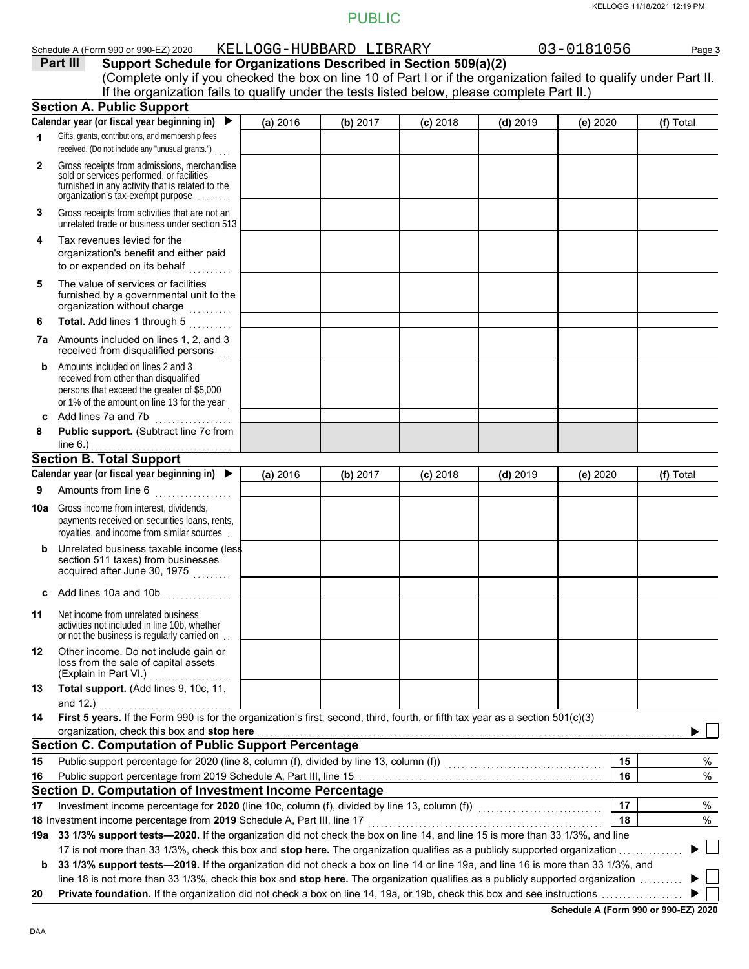|              | Schedule A (Form 990 or 990-EZ) 2020                                                                                                                                          |          | KELLOGG-HUBBARD LIBRARY |            |            | 03-0181056 | Page 3    |
|--------------|-------------------------------------------------------------------------------------------------------------------------------------------------------------------------------|----------|-------------------------|------------|------------|------------|-----------|
|              | Support Schedule for Organizations Described in Section 509(a)(2)<br>Part III                                                                                                 |          |                         |            |            |            |           |
|              | (Complete only if you checked the box on line 10 of Part I or if the organization failed to qualify under Part II.                                                            |          |                         |            |            |            |           |
|              | If the organization fails to qualify under the tests listed below, please complete Part II.)                                                                                  |          |                         |            |            |            |           |
|              | <b>Section A. Public Support</b>                                                                                                                                              |          |                         |            |            |            |           |
|              | Calendar year (or fiscal year beginning in)<br>$\blacktriangleright$                                                                                                          | (a) 2016 | (b) 2017                | $(c)$ 2018 | $(d)$ 2019 | (e) 2020   | (f) Total |
| 1            | Gifts, grants, contributions, and membership fees                                                                                                                             |          |                         |            |            |            |           |
| $\mathbf{2}$ | received. (Do not include any "unusual grants.")<br>Gross receipts from admissions, merchandise                                                                               |          |                         |            |            |            |           |
|              | sold or services performed, or facilities<br>furnished in any activity that is related to the<br>organization's tax-exempt purpose                                            |          |                         |            |            |            |           |
| 3            | Gross receipts from activities that are not an<br>unrelated trade or business under section 513                                                                               |          |                         |            |            |            |           |
| 4            | Tax revenues levied for the<br>organization's benefit and either paid<br>to or expended on its behalf                                                                         |          |                         |            |            |            |           |
| 5            | The value of services or facilities<br>furnished by a governmental unit to the<br>organization without charge                                                                 |          |                         |            |            |            |           |
| 6            | Total. Add lines 1 through 5                                                                                                                                                  |          |                         |            |            |            |           |
|              | 7a Amounts included on lines 1, 2, and 3<br>received from disqualified persons                                                                                                |          |                         |            |            |            |           |
| b            | Amounts included on lines 2 and 3<br>received from other than disqualified<br>persons that exceed the greater of \$5,000<br>or 1% of the amount on line 13 for the year       |          |                         |            |            |            |           |
| c            | Add lines 7a and 7b                                                                                                                                                           |          |                         |            |            |            |           |
| 8            | Public support. (Subtract line 7c from<br>line $6.$ )                                                                                                                         |          |                         |            |            |            |           |
|              | <b>Section B. Total Support</b>                                                                                                                                               |          |                         |            |            |            |           |
|              | Calendar year (or fiscal year beginning in)<br>▶                                                                                                                              | (a) 2016 | (b) 2017                | $(c)$ 2018 | $(d)$ 2019 | (e) 2020   | (f) Total |
| 9            | Amounts from line 6<br>an an Dùbhlachd an Dùbhlachd a                                                                                                                         |          |                         |            |            |            |           |
| 10a          | Gross income from interest, dividends,<br>payments received on securities loans, rents,<br>royalties, and income from similar sources.                                        |          |                         |            |            |            |           |
|              | Unrelated business taxable income (less<br>section 511 taxes) from businesses<br>acquired after June 30, 1975                                                                 |          |                         |            |            |            |           |
|              | c Add lines 10a and 10b $\ldots$                                                                                                                                              |          |                         |            |            |            |           |
| 11           | Net income from unrelated business<br>activities not included in line 10b, whether<br>or not the business is regularly carried on                                             |          |                         |            |            |            |           |
| 12           | Other income. Do not include gain or<br>loss from the sale of capital assets<br>(Explain in Part VI.)                                                                         |          |                         |            |            |            |           |
| 13           | Total support. (Add lines 9, 10c, 11,<br>and 12.)                                                                                                                             |          |                         |            |            |            |           |
| 14           | First 5 years. If the Form 990 is for the organization's first, second, third, fourth, or fifth tax year as a section 501(c)(3)<br>organization, check this box and stop here |          |                         |            |            |            |           |
|              | <b>Section C. Computation of Public Support Percentage</b>                                                                                                                    |          |                         |            |            |            |           |
| 15           | Public support percentage for 2020 (line 8, column (f), divided by line 13, column (f)) [[[[[[[[[[[[[[[[[[[[[                                                                 |          |                         |            |            | 15         | $\%$      |
| 16           |                                                                                                                                                                               |          |                         |            |            | 16         | $\%$      |
|              | Section D. Computation of Investment Income Percentage                                                                                                                        |          |                         |            |            |            |           |
| 17           | Investment income percentage for 2020 (line 10c, column (f), divided by line 13, column (f)) [[[[[[[[[[[[[[[[[                                                                |          |                         |            |            | 17         | $\%$      |
|              | 18 Investment income percentage from 2019 Schedule A, Part III, line 17                                                                                                       |          |                         |            |            | 18         | %         |
|              | 19a 33 1/3% support tests-2020. If the organization did not check the box on line 14, and line 15 is more than 33 1/3%, and line                                              |          |                         |            |            |            |           |
|              | 17 is not more than 33 1/3%, check this box and stop here. The organization qualifies as a publicly supported organization                                                    |          |                         |            |            |            |           |
| b            | 33 1/3% support tests-2019. If the organization did not check a box on line 14 or line 19a, and line 16 is more than 33 1/3%, and                                             |          |                         |            |            |            |           |
|              | line 18 is not more than 33 1/3%, check this box and stop here. The organization qualifies as a publicly supported organization                                               |          |                         |            |            |            |           |

**20 Private foundation.** If the organization did not check a box on line 14, 19a, or 19b, check this box and see instructions . . . . . . . . . . . . . . . . . . .

**Schedule A (Form 990 or 990-EZ) 2020**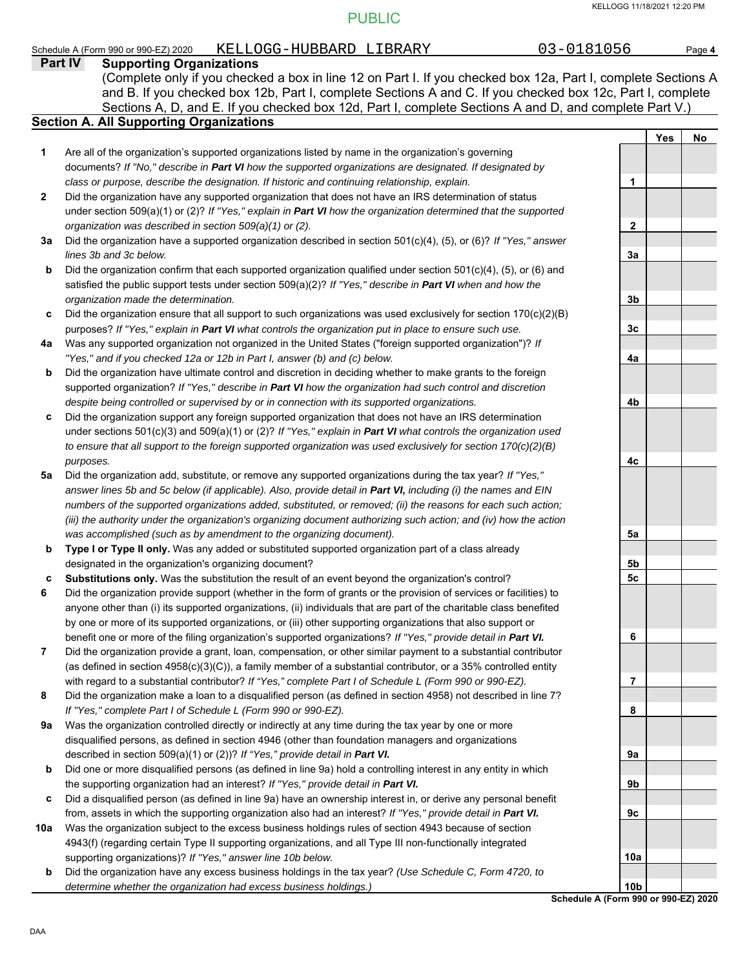**Part IV Supporting Organizations** Sections A, D, and E. If you checked box 12d, Part I, complete Sections A and D, and complete Part V.) Schedule A (Form 990 or 990-EZ) 2020 KELLOGG-HUBBARD LIBRARY 03-0181056 Page 4 **Section A. All Supporting Organizations** (Complete only if you checked a box in line 12 on Part I. If you checked box 12a, Part I, complete Sections A and B. If you checked box 12b, Part I, complete Sections A and C. If you checked box 12c, Part I, complete Are all of the organization's supported organizations listed by name in the organization's governing documents? *If "No," describe in Part VI how the supported organizations are designated. If designated by class or purpose, describe the designation. If historic and continuing relationship, explain.* Did the organization have any supported organization that does not have an IRS determination of status under section 509(a)(1) or (2)? *If "Yes," explain in Part VI how the organization determined that the supported organization was described in section 509(a)(1) or (2).* **1 2 3a** Did the organization have a supported organization described in section 501(c)(4), (5), or (6)? *If "Yes," answer* **b c** Did the organization ensure that all support to such organizations was used exclusively for section 170(c)(2)(B) **4a** Was any supported organization not organized in the United States ("foreign supported organization")? *If* **b c** Did the organization support any foreign supported organization that does not have an IRS determination **5a** Did the organization add, substitute, or remove any supported organizations during the tax year? *If "Yes,"* **b c 6 7 8 9a b c** Did a disqualified person (as defined in line 9a) have an ownership interest in, or derive any personal benefit **10a b** *lines 3b and 3c below.* Did the organization confirm that each supported organization qualified under section 501(c)(4), (5), or (6) and satisfied the public support tests under section 509(a)(2)? *If "Yes," describe in Part VI when and how the organization made the determination.* purposes? *If "Yes," explain in Part VI what controls the organization put in place to ensure such use. "Yes," and if you checked 12a or 12b in Part I, answer (b) and (c) below.* Did the organization have ultimate control and discretion in deciding whether to make grants to the foreign supported organization? *If "Yes," describe in Part VI how the organization had such control and discretion despite being controlled or supervised by or in connection with its supported organizations.* under sections 501(c)(3) and 509(a)(1) or (2)? *If "Yes," explain in Part VI what controls the organization used to ensure that all support to the foreign supported organization was used exclusively for section 170(c)(2)(B) purposes. answer lines 5b and 5c below (if applicable). Also, provide detail in Part VI, including (i) the names and EIN numbers of the supported organizations added, substituted, or removed; (ii) the reasons for each such action; (iii) the authority under the organization's organizing document authorizing such action; and (iv) how the action was accomplished (such as by amendment to the organizing document).* **Type I or Type II only.** Was any added or substituted supported organization part of a class already designated in the organization's organizing document? **Substitutions only.** Was the substitution the result of an event beyond the organization's control? Did the organization provide support (whether in the form of grants or the provision of services or facilities) to anyone other than (i) its supported organizations, (ii) individuals that are part of the charitable class benefited by one or more of its supported organizations, or (iii) other supporting organizations that also support or benefit one or more of the filing organization's supported organizations? *If "Yes," provide detail in Part VI.* Did the organization provide a grant, loan, compensation, or other similar payment to a substantial contributor (as defined in section 4958(c)(3)(C)), a family member of a substantial contributor, or a 35% controlled entity with regard to a substantial contributor? *If "Yes," complete Part I of Schedule L (Form 990 or 990-EZ).* Did the organization make a loan to a disqualified person (as defined in section 4958) not described in line 7? *If "Yes," complete Part I of Schedule L (Form 990 or 990-EZ).* Was the organization controlled directly or indirectly at any time during the tax year by one or more disqualified persons, as defined in section 4946 (other than foundation managers and organizations described in section 509(a)(1) or (2))? *If "Yes," provide detail in Part VI.* Did one or more disqualified persons (as defined in line 9a) hold a controlling interest in any entity in which the supporting organization had an interest? *If "Yes," provide detail in Part VI.* from, assets in which the supporting organization also had an interest? *If "Yes," provide detail in Part VI.* Was the organization subject to the excess business holdings rules of section 4943 because of section 4943(f) (regarding certain Type II supporting organizations, and all Type III non-functionally integrated supporting organizations)? *If "Yes," answer line 10b below.* Did the organization have any excess business holdings in the tax year? *(Use Schedule C, Form 4720, to determine whether the organization had excess business holdings.)* **Yes No 1 2 3a 3b 3c 4a 4b 4c 5a 5b 5c 6 7 8 9a 9b 9c 10a 10b**

**Schedule A (Form 990 or 990-EZ) 2020**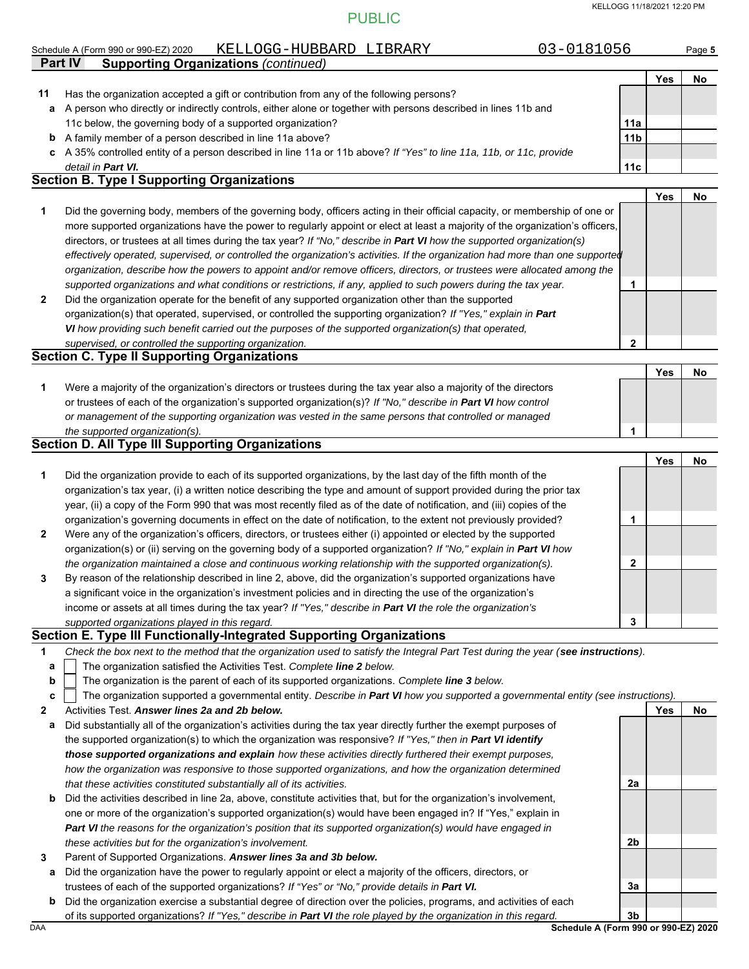|              | <b>PUBLIC</b>                                                                                                                     |                 | KELLOGG 11/18/2021 12:20 PM |        |
|--------------|-----------------------------------------------------------------------------------------------------------------------------------|-----------------|-----------------------------|--------|
|              | 03-0181056<br>KELLOGG-HUBBARD LIBRARY<br>Schedule A (Form 990 or 990-EZ) 2020                                                     |                 |                             | Page 5 |
|              | <b>Supporting Organizations (continued)</b><br>Part IV                                                                            |                 |                             |        |
|              |                                                                                                                                   |                 | Yes                         | No     |
| 11           | Has the organization accepted a gift or contribution from any of the following persons?                                           |                 |                             |        |
| а            | A person who directly or indirectly controls, either alone or together with persons described in lines 11b and                    |                 |                             |        |
|              | 11c below, the governing body of a supported organization?                                                                        | 11a             |                             |        |
| b            | A family member of a person described in line 11a above?                                                                          | 11 <sub>b</sub> |                             |        |
|              | c A 35% controlled entity of a person described in line 11a or 11b above? If "Yes" to line 11a, 11b, or 11c, provide              |                 |                             |        |
|              | detail in Part VI.                                                                                                                | 11c             |                             |        |
|              | <b>Section B. Type I Supporting Organizations</b>                                                                                 |                 |                             |        |
|              |                                                                                                                                   |                 | Yes                         | No     |
| 1            | Did the governing body, members of the governing body, officers acting in their official capacity, or membership of one or        |                 |                             |        |
|              | more supported organizations have the power to regularly appoint or elect at least a majority of the organization's officers,     |                 |                             |        |
|              | directors, or trustees at all times during the tax year? If "No," describe in Part VI how the supported organization(s)           |                 |                             |        |
|              | effectively operated, supervised, or controlled the organization's activities. If the organization had more than one supported    |                 |                             |        |
|              | organization, describe how the powers to appoint and/or remove officers, directors, or trustees were allocated among the          |                 |                             |        |
|              | supported organizations and what conditions or restrictions, if any, applied to such powers during the tax year.                  | 1               |                             |        |
| $\mathbf{2}$ | Did the organization operate for the benefit of any supported organization other than the supported                               |                 |                             |        |
|              | organization(s) that operated, supervised, or controlled the supporting organization? If "Yes," explain in Part                   |                 |                             |        |
|              | VI how providing such benefit carried out the purposes of the supported organization(s) that operated,                            |                 |                             |        |
|              | supervised, or controlled the supporting organization.<br><b>Section C. Type II Supporting Organizations</b>                      | 2               |                             |        |
|              |                                                                                                                                   |                 | Yes                         | No     |
| 1            | Were a majority of the organization's directors or trustees during the tax year also a majority of the directors                  |                 |                             |        |
|              | or trustees of each of the organization's supported organization(s)? If "No," describe in Part VI how control                     |                 |                             |        |
|              | or management of the supporting organization was vested in the same persons that controlled or managed                            |                 |                             |        |
|              | the supported organization(s).                                                                                                    | 1               |                             |        |
|              | <b>Section D. All Type III Supporting Organizations</b>                                                                           |                 |                             |        |
|              |                                                                                                                                   |                 | Yes                         | No     |
| 1            | Did the organization provide to each of its supported organizations, by the last day of the fifth month of the                    |                 |                             |        |
|              | organization's tax year, (i) a written notice describing the type and amount of support provided during the prior tax             |                 |                             |        |
|              | year, (ii) a copy of the Form 990 that was most recently filed as of the date of notification, and (iii) copies of the            |                 |                             |        |
|              | organization's governing documents in effect on the date of notification, to the extent not previously provided?                  | 1               |                             |        |
| 2            | Were any of the organization's officers, directors, or trustees either (i) appointed or elected by the supported                  |                 |                             |        |
|              | organization(s) or (ii) serving on the governing body of a supported organization? If "No," explain in Part VI how                |                 |                             |        |
|              | the organization maintained a close and continuous working relationship with the supported organization(s).                       | $\mathbf{2}$    |                             |        |
| 3            | By reason of the relationship described in line 2, above, did the organization's supported organizations have                     |                 |                             |        |
|              | a significant voice in the organization's investment policies and in directing the use of the organization's                      |                 |                             |        |
|              | income or assets at all times during the tax year? If "Yes," describe in Part VI the role the organization's                      |                 |                             |        |
|              | supported organizations played in this regard.                                                                                    | 3               |                             |        |
|              | Section E. Type III Functionally-Integrated Supporting Organizations                                                              |                 |                             |        |
| 1            | Check the box next to the method that the organization used to satisfy the Integral Part Test during the year (see instructions). |                 |                             |        |
| a            | The organization satisfied the Activities Test. Complete line 2 below.                                                            |                 |                             |        |
| $\mathbf b$  | The organization is the parent of each of its supported organizations. Complete line 3 below.                                     |                 |                             |        |
| c            | The organization supported a governmental entity. Describe in Part VI how you supported a governmental entity (see instructions). |                 |                             |        |
| 2            | Activities Test. Answer lines 2a and 2b below.                                                                                    |                 | Yes                         | No     |
| а            | Did substantially all of the organization's activities during the tax year directly further the exempt purposes of                |                 |                             |        |
|              | the supported organization(s) to which the organization was responsive? If "Yes," then in Part VI identify                        |                 |                             |        |
|              | those supported organizations and explain how these activities directly furthered their exempt purposes,                          |                 |                             |        |
|              | how the organization was responsive to those supported organizations, and how the organization determined                         |                 |                             |        |
|              | that these activities constituted substantially all of its activities.                                                            | 2a              |                             |        |
| $\mathbf b$  | Did the activities described in line 2a, above, constitute activities that, but for the organization's involvement,               |                 |                             |        |
|              | one or more of the organization's supported organization(s) would have been engaged in? If "Yes," explain in                      |                 |                             |        |

- *Part VI the reasons for the organization's position that its supported organization(s) would have engaged in these activities but for the organization's involvement.*
- **3** Parent of Supported Organizations. *Answer lines 3a and 3b below.*
- **a** Did the organization have the power to regularly appoint or elect a majority of the officers, directors, or trustees of each of the supported organizations? *If "Yes" or "No," provide details in Part VI.*
- **b** Did the organization exercise a substantial degree of direction over the policies, programs, and activities of each of its supported organizations? *If "Yes," describe in Part VI the role played by the organization in this regard.*

DAA **Schedule A (Form 990 or 990-EZ) 2020 3b**

**2b**

**3a**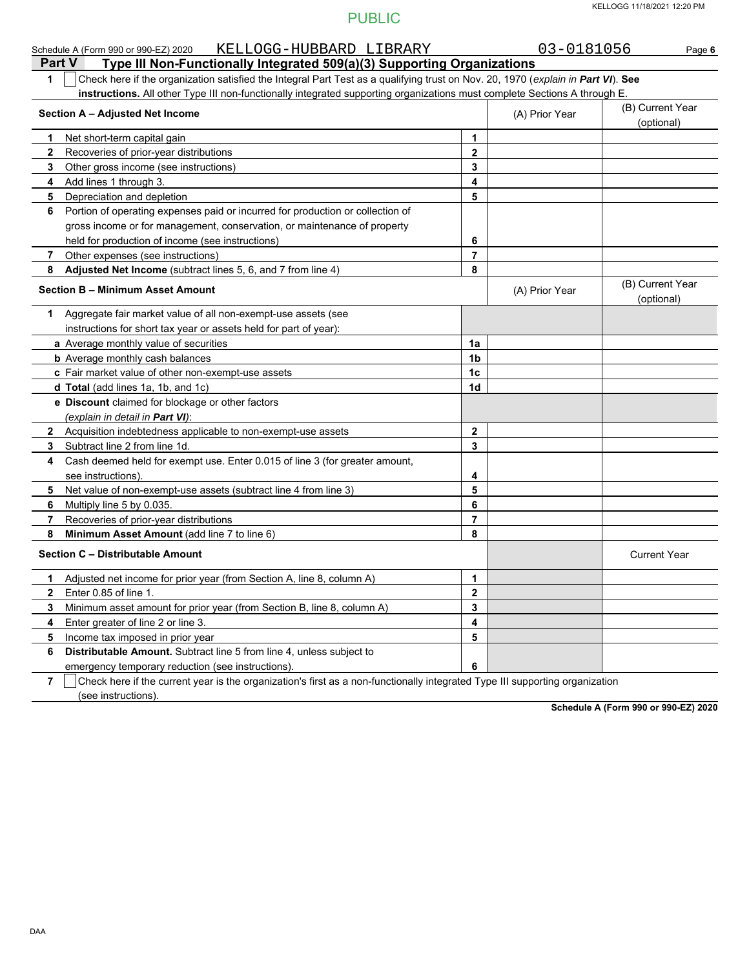|                | KELLOGG-HUBBARD LIBRARY<br>Schedule A (Form 990 or 990-EZ) 2020                                                                  |                | 03-0181056     | Page 6                         |
|----------------|----------------------------------------------------------------------------------------------------------------------------------|----------------|----------------|--------------------------------|
| <b>Part V</b>  | Type III Non-Functionally Integrated 509(a)(3) Supporting Organizations                                                          |                |                |                                |
| 1              | Check here if the organization satisfied the Integral Part Test as a qualifying trust on Nov. 20, 1970 (explain in Part VI). See |                |                |                                |
|                | instructions. All other Type III non-functionally integrated supporting organizations must complete Sections A through E.        |                |                |                                |
|                | Section A - Adjusted Net Income                                                                                                  |                | (A) Prior Year | (B) Current Year<br>(optional) |
| 1.             | Net short-term capital gain                                                                                                      | 1              |                |                                |
| $\mathbf{2}$   | Recoveries of prior-year distributions                                                                                           | 2              |                |                                |
| 3              | Other gross income (see instructions)                                                                                            | 3              |                |                                |
| 4              | Add lines 1 through 3.                                                                                                           | 4              |                |                                |
| 5              | Depreciation and depletion                                                                                                       | 5              |                |                                |
| 6              | Portion of operating expenses paid or incurred for production or collection of                                                   |                |                |                                |
|                | gross income or for management, conservation, or maintenance of property                                                         |                |                |                                |
|                | held for production of income (see instructions)                                                                                 | 6              |                |                                |
| 7              | Other expenses (see instructions)                                                                                                | 7              |                |                                |
| 8              | Adjusted Net Income (subtract lines 5, 6, and 7 from line 4)                                                                     | 8              |                |                                |
|                | <b>Section B - Minimum Asset Amount</b>                                                                                          |                | (A) Prior Year | (B) Current Year<br>(optional) |
| 1.             | Aggregate fair market value of all non-exempt-use assets (see                                                                    |                |                |                                |
|                | instructions for short tax year or assets held for part of year):                                                                |                |                |                                |
|                | a Average monthly value of securities                                                                                            | 1a             |                |                                |
|                | <b>b</b> Average monthly cash balances                                                                                           | 1b             |                |                                |
|                | c Fair market value of other non-exempt-use assets                                                                               | 1 <sub>c</sub> |                |                                |
|                | d Total (add lines 1a, 1b, and 1c)                                                                                               | 1d             |                |                                |
|                | e Discount claimed for blockage or other factors                                                                                 |                |                |                                |
|                | (explain in detail in Part VI):                                                                                                  |                |                |                                |
| $\mathbf{2}$   | Acquisition indebtedness applicable to non-exempt-use assets                                                                     | 2              |                |                                |
| 3              | Subtract line 2 from line 1d.                                                                                                    | 3              |                |                                |
| 4              | Cash deemed held for exempt use. Enter 0.015 of line 3 (for greater amount,                                                      |                |                |                                |
|                | see instructions)                                                                                                                | 4              |                |                                |
| 5.             | Net value of non-exempt-use assets (subtract line 4 from line 3)                                                                 | 5              |                |                                |
| 6              | Multiply line 5 by 0.035.                                                                                                        | 6              |                |                                |
| 7              | Recoveries of prior-year distributions                                                                                           | 7              |                |                                |
| 8              | Minimum Asset Amount (add line 7 to line 6)                                                                                      | 8              |                |                                |
|                | Section C - Distributable Amount                                                                                                 |                |                | <b>Current Year</b>            |
| 1              | Adjusted net income for prior year (from Section A, line 8, column A)                                                            | 1              |                |                                |
| 2              | Enter 0.85 of line 1.                                                                                                            | 2              |                |                                |
| 3              | Minimum asset amount for prior year (from Section B, line 8, column A)                                                           | 3              |                |                                |
| 4              | Enter greater of line 2 or line 3.                                                                                               | 4              |                |                                |
| 5              | Income tax imposed in prior year                                                                                                 | 5              |                |                                |
| 6              | Distributable Amount. Subtract line 5 from line 4, unless subject to                                                             |                |                |                                |
|                | emergency temporary reduction (see instructions)                                                                                 | 6              |                |                                |
| $\overline{7}$ | Check here if the current year is the organization's first as a non-functionally integrated Type III supporting organization     |                |                |                                |

Suicon is the seed instructions).

**Schedule A (Form 990 or 990-EZ) 2020**

i year is the organization's first as a non-functionally integrated Type III supporting orga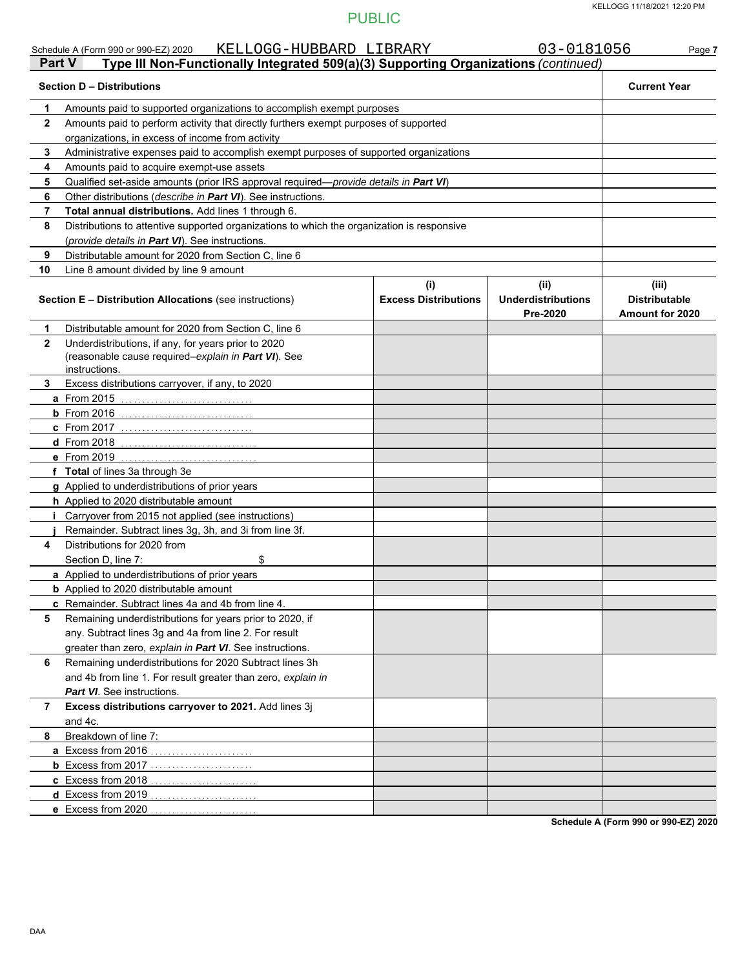|               | KELLOGG-HUBBARD LIBRARY<br>Schedule A (Form 990 or 990-EZ) 2020                               |                             | 03-0181056                            | Page 7                                         |  |  |  |  |  |
|---------------|-----------------------------------------------------------------------------------------------|-----------------------------|---------------------------------------|------------------------------------------------|--|--|--|--|--|
| <b>Part V</b> | Type III Non-Functionally Integrated 509(a)(3) Supporting Organizations (continued)           |                             |                                       |                                                |  |  |  |  |  |
|               | <b>Section D - Distributions</b>                                                              |                             |                                       | <b>Current Year</b>                            |  |  |  |  |  |
| 1             | Amounts paid to supported organizations to accomplish exempt purposes                         |                             |                                       |                                                |  |  |  |  |  |
| $\mathbf{2}$  | Amounts paid to perform activity that directly furthers exempt purposes of supported          |                             |                                       |                                                |  |  |  |  |  |
|               | organizations, in excess of income from activity                                              |                             |                                       |                                                |  |  |  |  |  |
| 3             | Administrative expenses paid to accomplish exempt purposes of supported organizations         |                             |                                       |                                                |  |  |  |  |  |
| 4             | Amounts paid to acquire exempt-use assets                                                     |                             |                                       |                                                |  |  |  |  |  |
| 5             | Qualified set-aside amounts (prior IRS approval required— <i>provide details in Part VI</i> ) |                             |                                       |                                                |  |  |  |  |  |
| 6             | Other distributions (describe in Part VI). See instructions.                                  |                             |                                       |                                                |  |  |  |  |  |
| 7             | Total annual distributions. Add lines 1 through 6.                                            |                             |                                       |                                                |  |  |  |  |  |
| 8             | Distributions to attentive supported organizations to which the organization is responsive    |                             |                                       |                                                |  |  |  |  |  |
|               | (provide details in Part VI). See instructions.                                               |                             |                                       |                                                |  |  |  |  |  |
| 9             | Distributable amount for 2020 from Section C, line 6                                          |                             |                                       |                                                |  |  |  |  |  |
| 10            | Line 8 amount divided by line 9 amount                                                        |                             |                                       |                                                |  |  |  |  |  |
|               |                                                                                               | (i)                         | (ii)                                  | (iii)                                          |  |  |  |  |  |
|               | <b>Section E - Distribution Allocations (see instructions)</b>                                | <b>Excess Distributions</b> | <b>Underdistributions</b><br>Pre-2020 | <b>Distributable</b><br><b>Amount for 2020</b> |  |  |  |  |  |
| 1             | Distributable amount for 2020 from Section C, line 6                                          |                             |                                       |                                                |  |  |  |  |  |
| $\mathbf{2}$  | Underdistributions, if any, for years prior to 2020                                           |                             |                                       |                                                |  |  |  |  |  |
|               | (reasonable cause required-explain in Part VI). See                                           |                             |                                       |                                                |  |  |  |  |  |
|               | instructions.                                                                                 |                             |                                       |                                                |  |  |  |  |  |
| 3             | Excess distributions carryover, if any, to 2020                                               |                             |                                       |                                                |  |  |  |  |  |
|               | a From 2015                                                                                   |                             |                                       |                                                |  |  |  |  |  |
|               | <b>b</b> From 2016                                                                            |                             |                                       |                                                |  |  |  |  |  |
|               |                                                                                               |                             |                                       |                                                |  |  |  |  |  |
|               | d From 2018<br>e From 2019                                                                    |                             |                                       |                                                |  |  |  |  |  |
|               | f Total of lines 3a through 3e                                                                |                             |                                       |                                                |  |  |  |  |  |
|               | g Applied to underdistributions of prior years                                                |                             |                                       |                                                |  |  |  |  |  |
|               | h Applied to 2020 distributable amount                                                        |                             |                                       |                                                |  |  |  |  |  |
| j.            | Carryover from 2015 not applied (see instructions)                                            |                             |                                       |                                                |  |  |  |  |  |
|               | Remainder. Subtract lines 3g, 3h, and 3i from line 3f.                                        |                             |                                       |                                                |  |  |  |  |  |
| 4             | Distributions for 2020 from                                                                   |                             |                                       |                                                |  |  |  |  |  |
|               | Section D, line 7:<br>\$                                                                      |                             |                                       |                                                |  |  |  |  |  |
|               | a Applied to underdistributions of prior years                                                |                             |                                       |                                                |  |  |  |  |  |
|               | <b>b</b> Applied to 2020 distributable amount                                                 |                             |                                       |                                                |  |  |  |  |  |
|               | c Remainder. Subtract lines 4a and 4b from line 4.                                            |                             |                                       |                                                |  |  |  |  |  |
| 5             | Remaining underdistributions for years prior to 2020, if                                      |                             |                                       |                                                |  |  |  |  |  |
|               | any. Subtract lines 3g and 4a from line 2. For result                                         |                             |                                       |                                                |  |  |  |  |  |
|               | greater than zero, explain in Part VI. See instructions.                                      |                             |                                       |                                                |  |  |  |  |  |
| 6             | Remaining underdistributions for 2020 Subtract lines 3h                                       |                             |                                       |                                                |  |  |  |  |  |
|               | and 4b from line 1. For result greater than zero, explain in                                  |                             |                                       |                                                |  |  |  |  |  |
|               | Part VI. See instructions.                                                                    |                             |                                       |                                                |  |  |  |  |  |
| 7             | Excess distributions carryover to 2021. Add lines 3j                                          |                             |                                       |                                                |  |  |  |  |  |
|               | and 4c.                                                                                       |                             |                                       |                                                |  |  |  |  |  |
| 8             | Breakdown of line 7:                                                                          |                             |                                       |                                                |  |  |  |  |  |
|               | a Excess from 2016                                                                            |                             |                                       |                                                |  |  |  |  |  |
|               | <b>b</b> Excess from 2017                                                                     |                             |                                       |                                                |  |  |  |  |  |
|               | <b>c</b> Excess from 2018                                                                     |                             |                                       |                                                |  |  |  |  |  |
|               | d Excess from 2019                                                                            |                             |                                       |                                                |  |  |  |  |  |
|               | e Excess from 2020                                                                            |                             |                                       |                                                |  |  |  |  |  |

**Schedule A (Form 990 or 990-EZ) 2020**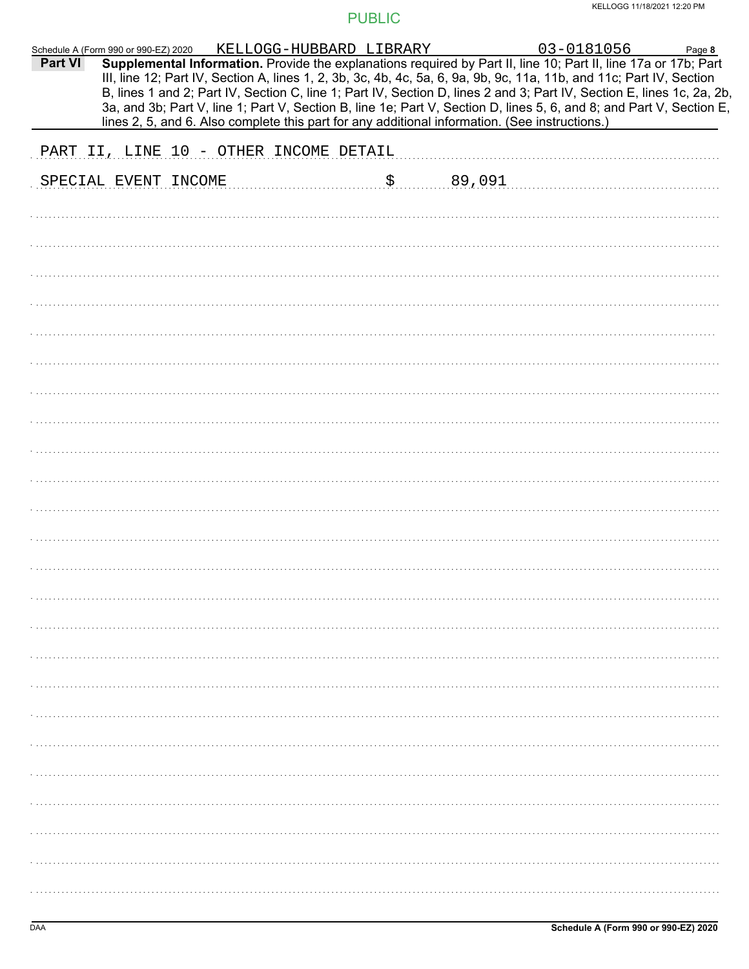| <b>Part VI</b> | Schedule A (Form 990 or 990-EZ) 2020<br>lines 2, 5, and 6. Also complete this part for any additional information. (See instructions.) |  | KELLOGG-HUBBARD LIBRARY |    |        | 03-0181056 | Supplemental Information. Provide the explanations required by Part II, line 10; Part II, line 17a or 17b; Part<br>III, line 12; Part IV, Section A, lines 1, 2, 3b, 3c, 4b, 4c, 5a, 6, 9a, 9b, 9c, 11a, 11b, and 11c; Part IV, Section<br>B, lines 1 and 2; Part IV, Section C, line 1; Part IV, Section D, lines 2 and 3; Part IV, Section E, lines 1c, 2a, 2b,<br>3a, and 3b; Part V, line 1; Part V, Section B, line 1e; Part V, Section D, lines 5, 6, and 8; and Part V, Section E, | Page 8 |
|----------------|----------------------------------------------------------------------------------------------------------------------------------------|--|-------------------------|----|--------|------------|-------------------------------------------------------------------------------------------------------------------------------------------------------------------------------------------------------------------------------------------------------------------------------------------------------------------------------------------------------------------------------------------------------------------------------------------------------------------------------------------|--------|
|                | PART II, LINE 10 - OTHER INCOME DETAIL                                                                                                 |  |                         |    |        |            |                                                                                                                                                                                                                                                                                                                                                                                                                                                                                           |        |
|                | SPECIAL EVENT INCOME                                                                                                                   |  |                         | \$ | 89,091 |            |                                                                                                                                                                                                                                                                                                                                                                                                                                                                                           |        |
|                |                                                                                                                                        |  |                         |    |        |            |                                                                                                                                                                                                                                                                                                                                                                                                                                                                                           |        |
|                |                                                                                                                                        |  |                         |    |        |            |                                                                                                                                                                                                                                                                                                                                                                                                                                                                                           |        |
|                |                                                                                                                                        |  |                         |    |        |            |                                                                                                                                                                                                                                                                                                                                                                                                                                                                                           |        |
|                |                                                                                                                                        |  |                         |    |        |            |                                                                                                                                                                                                                                                                                                                                                                                                                                                                                           |        |
|                |                                                                                                                                        |  |                         |    |        |            |                                                                                                                                                                                                                                                                                                                                                                                                                                                                                           |        |
|                |                                                                                                                                        |  |                         |    |        |            |                                                                                                                                                                                                                                                                                                                                                                                                                                                                                           |        |
|                |                                                                                                                                        |  |                         |    |        |            |                                                                                                                                                                                                                                                                                                                                                                                                                                                                                           |        |
|                |                                                                                                                                        |  |                         |    |        |            |                                                                                                                                                                                                                                                                                                                                                                                                                                                                                           |        |
|                |                                                                                                                                        |  |                         |    |        |            |                                                                                                                                                                                                                                                                                                                                                                                                                                                                                           |        |
|                |                                                                                                                                        |  |                         |    |        |            |                                                                                                                                                                                                                                                                                                                                                                                                                                                                                           |        |
|                |                                                                                                                                        |  |                         |    |        |            |                                                                                                                                                                                                                                                                                                                                                                                                                                                                                           |        |
|                |                                                                                                                                        |  |                         |    |        |            |                                                                                                                                                                                                                                                                                                                                                                                                                                                                                           |        |
|                |                                                                                                                                        |  |                         |    |        |            |                                                                                                                                                                                                                                                                                                                                                                                                                                                                                           |        |
|                |                                                                                                                                        |  |                         |    |        |            |                                                                                                                                                                                                                                                                                                                                                                                                                                                                                           |        |
|                |                                                                                                                                        |  |                         |    |        |            |                                                                                                                                                                                                                                                                                                                                                                                                                                                                                           |        |
|                |                                                                                                                                        |  |                         |    |        |            |                                                                                                                                                                                                                                                                                                                                                                                                                                                                                           |        |
|                |                                                                                                                                        |  |                         |    |        |            |                                                                                                                                                                                                                                                                                                                                                                                                                                                                                           |        |
|                |                                                                                                                                        |  |                         |    |        |            |                                                                                                                                                                                                                                                                                                                                                                                                                                                                                           |        |
|                |                                                                                                                                        |  |                         |    |        |            |                                                                                                                                                                                                                                                                                                                                                                                                                                                                                           |        |
|                |                                                                                                                                        |  |                         |    |        |            |                                                                                                                                                                                                                                                                                                                                                                                                                                                                                           |        |
|                |                                                                                                                                        |  |                         |    |        |            |                                                                                                                                                                                                                                                                                                                                                                                                                                                                                           |        |
|                |                                                                                                                                        |  |                         |    |        |            |                                                                                                                                                                                                                                                                                                                                                                                                                                                                                           |        |
|                |                                                                                                                                        |  |                         |    |        |            |                                                                                                                                                                                                                                                                                                                                                                                                                                                                                           |        |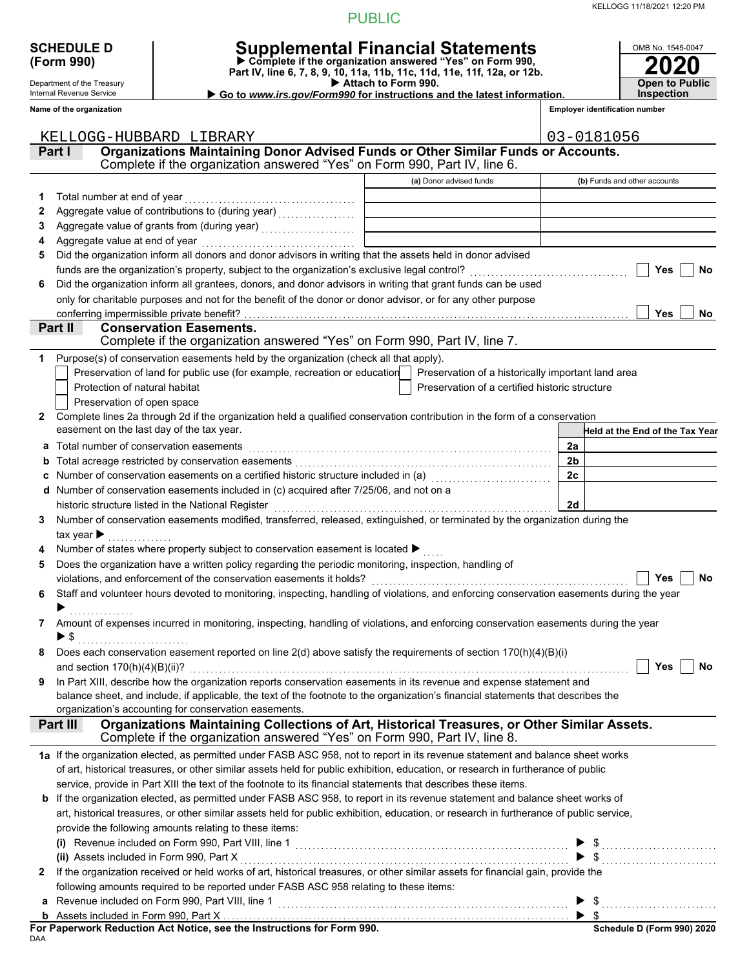KELLOGG 11/18/2021 12:20 PM

**2020**

OMB No. 1545-0047

#### PUBLIC

**SCHEDULE D Supplemental Financial Statements**

| (Form 990)                                                  |                                                                                                                                                                                                                                                     | ▶ Complete if the organization answered "Yes" on Form 990,<br>Part IV, line 6, 7, 8, 9, 10, 11a, 11b, 11c, 11d, 11e, 11f, 12a, or 12b. |                                       |                                 |
|-------------------------------------------------------------|-----------------------------------------------------------------------------------------------------------------------------------------------------------------------------------------------------------------------------------------------------|----------------------------------------------------------------------------------------------------------------------------------------|---------------------------------------|---------------------------------|
| Department of the Treasury<br>Internal Revenue Service      |                                                                                                                                                                                                                                                     | Attach to Form 990.<br>Go to www.irs.gov/Form990 for instructions and the latest information.                                          | <b>Open to Public</b><br>Inspection   |                                 |
| Name of the organization                                    |                                                                                                                                                                                                                                                     |                                                                                                                                        | <b>Employer identification number</b> |                                 |
|                                                             |                                                                                                                                                                                                                                                     |                                                                                                                                        |                                       |                                 |
| KELLOGG-HUBBARD LIBRARY                                     |                                                                                                                                                                                                                                                     |                                                                                                                                        | 03-0181056                            |                                 |
| Part I                                                      | Organizations Maintaining Donor Advised Funds or Other Similar Funds or Accounts.<br>Complete if the organization answered "Yes" on Form 990, Part IV, line 6.                                                                                      |                                                                                                                                        |                                       |                                 |
|                                                             |                                                                                                                                                                                                                                                     | (a) Donor advised funds                                                                                                                |                                       | (b) Funds and other accounts    |
| Total number at end of year<br>1                            |                                                                                                                                                                                                                                                     |                                                                                                                                        |                                       |                                 |
| 2                                                           |                                                                                                                                                                                                                                                     |                                                                                                                                        |                                       |                                 |
| 3                                                           |                                                                                                                                                                                                                                                     |                                                                                                                                        |                                       |                                 |
| Aggregate value at end of year                              |                                                                                                                                                                                                                                                     |                                                                                                                                        |                                       |                                 |
|                                                             | Did the organization inform all donors and donor advisors in writing that the assets held in donor advised                                                                                                                                          |                                                                                                                                        |                                       |                                 |
|                                                             | funds are the organization's property, subject to the organization's exclusive legal control?                                                                                                                                                       |                                                                                                                                        |                                       | Yes<br>No                       |
| 6                                                           | Did the organization inform all grantees, donors, and donor advisors in writing that grant funds can be used                                                                                                                                        |                                                                                                                                        |                                       |                                 |
|                                                             | only for charitable purposes and not for the benefit of the donor or donor advisor, or for any other purpose                                                                                                                                        |                                                                                                                                        |                                       |                                 |
| conferring impermissible private benefit?                   |                                                                                                                                                                                                                                                     |                                                                                                                                        |                                       | <b>Yes</b><br>No                |
| Part II                                                     | <b>Conservation Easements.</b>                                                                                                                                                                                                                      |                                                                                                                                        |                                       |                                 |
|                                                             | Complete if the organization answered "Yes" on Form 990, Part IV, line 7.                                                                                                                                                                           |                                                                                                                                        |                                       |                                 |
|                                                             | Purpose(s) of conservation easements held by the organization (check all that apply).<br>Preservation of land for public use (for example, recreation or education                                                                                  |                                                                                                                                        |                                       |                                 |
|                                                             |                                                                                                                                                                                                                                                     | Preservation of a historically important land area                                                                                     |                                       |                                 |
| Protection of natural habitat<br>Preservation of open space |                                                                                                                                                                                                                                                     | Preservation of a certified historic structure                                                                                         |                                       |                                 |
| 2                                                           | Complete lines 2a through 2d if the organization held a qualified conservation contribution in the form of a conservation                                                                                                                           |                                                                                                                                        |                                       |                                 |
| easement on the last day of the tax year.                   |                                                                                                                                                                                                                                                     |                                                                                                                                        |                                       | Held at the End of the Tax Year |
| Total number of conservation easements<br>а                 |                                                                                                                                                                                                                                                     |                                                                                                                                        | 2a                                    |                                 |
|                                                             |                                                                                                                                                                                                                                                     |                                                                                                                                        | 2 <sub>b</sub>                        |                                 |
|                                                             | Number of conservation easements on a certified historic structure included in (a) [11] Number of conservation easements on a certified historic structure included in (a)                                                                          |                                                                                                                                        | 2c                                    |                                 |
| d                                                           | Number of conservation easements included in (c) acquired after 7/25/06, and not on a                                                                                                                                                               |                                                                                                                                        |                                       |                                 |
|                                                             | historic structure listed in the National Register                                                                                                                                                                                                  |                                                                                                                                        | 2d                                    |                                 |
| 3                                                           | Number of conservation easements modified, transferred, released, extinguished, or terminated by the organization during the                                                                                                                        |                                                                                                                                        |                                       |                                 |
| tax year $\blacktriangleright$                              |                                                                                                                                                                                                                                                     |                                                                                                                                        |                                       |                                 |
|                                                             | Number of states where property subject to conservation easement is located ▶                                                                                                                                                                       |                                                                                                                                        |                                       |                                 |
| 5                                                           | Does the organization have a written policy regarding the periodic monitoring, inspection, handling of                                                                                                                                              |                                                                                                                                        |                                       |                                 |
|                                                             | violations, and enforcement of the conservation easements it holds?                                                                                                                                                                                 |                                                                                                                                        |                                       | No<br>Yes                       |
|                                                             | Staff and volunteer hours devoted to monitoring, inspecting, handling of violations, and enforcing conservation easements during the year                                                                                                           |                                                                                                                                        |                                       |                                 |
| .                                                           |                                                                                                                                                                                                                                                     |                                                                                                                                        |                                       |                                 |
|                                                             | 7 Amount of expenses incurred in monitoring, inspecting, handling of violations, and enforcing conservation easements during the year                                                                                                               |                                                                                                                                        |                                       |                                 |
| ▶ \$                                                        |                                                                                                                                                                                                                                                     |                                                                                                                                        |                                       |                                 |
| 8                                                           | Does each conservation easement reported on line 2(d) above satisfy the requirements of section 170(h)(4)(B)(i)                                                                                                                                     |                                                                                                                                        |                                       |                                 |
| and section $170(h)(4)(B)(ii)$ ?                            |                                                                                                                                                                                                                                                     |                                                                                                                                        |                                       | Yes<br>No                       |
| 9                                                           | In Part XIII, describe how the organization reports conservation easements in its revenue and expense statement and                                                                                                                                 |                                                                                                                                        |                                       |                                 |
|                                                             | balance sheet, and include, if applicable, the text of the footnote to the organization's financial statements that describes the                                                                                                                   |                                                                                                                                        |                                       |                                 |
|                                                             | organization's accounting for conservation easements.                                                                                                                                                                                               |                                                                                                                                        |                                       |                                 |
| Part III                                                    | Organizations Maintaining Collections of Art, Historical Treasures, or Other Similar Assets.<br>Complete if the organization answered "Yes" on Form 990, Part IV, line 8.                                                                           |                                                                                                                                        |                                       |                                 |
|                                                             |                                                                                                                                                                                                                                                     |                                                                                                                                        |                                       |                                 |
|                                                             | 1a If the organization elected, as permitted under FASB ASC 958, not to report in its revenue statement and balance sheet works                                                                                                                     |                                                                                                                                        |                                       |                                 |
|                                                             | of art, historical treasures, or other similar assets held for public exhibition, education, or research in furtherance of public<br>service, provide in Part XIII the text of the footnote to its financial statements that describes these items. |                                                                                                                                        |                                       |                                 |
| b                                                           | If the organization elected, as permitted under FASB ASC 958, to report in its revenue statement and balance sheet works of                                                                                                                         |                                                                                                                                        |                                       |                                 |
|                                                             | art, historical treasures, or other similar assets held for public exhibition, education, or research in furtherance of public service,                                                                                                             |                                                                                                                                        |                                       |                                 |
|                                                             | provide the following amounts relating to these items:                                                                                                                                                                                              |                                                                                                                                        |                                       |                                 |
|                                                             |                                                                                                                                                                                                                                                     |                                                                                                                                        |                                       |                                 |
| (ii) Assets included in Form 990, Part X                    |                                                                                                                                                                                                                                                     |                                                                                                                                        |                                       | \$                              |
| 2                                                           | If the organization received or held works of art, historical treasures, or other similar assets for financial gain, provide the                                                                                                                    |                                                                                                                                        |                                       | $\blacktriangleright$ \$        |
|                                                             | following amounts required to be reported under FASB ASC 958 relating to these items:                                                                                                                                                               |                                                                                                                                        |                                       |                                 |
|                                                             | Revenue included on Form 990, Part VIII, line 1                                                                                                                                                                                                     |                                                                                                                                        | $\blacktriangleright$ \$              |                                 |
|                                                             |                                                                                                                                                                                                                                                     |                                                                                                                                        |                                       |                                 |

Assets included in Form 990, Part X . . . . . . . . . . . . . . . . . . . . . . . . . . . . . . . . . . . . . . . . . . . . . . . . . . . . . . . . . . . . . . . . . . . . . . . . . . . . . . . . . **b**

DAA **For Paperwork Reduction Act Notice, see the Instructions for Form 990.** **Schedule D (Form 990) 2020**

\$

▶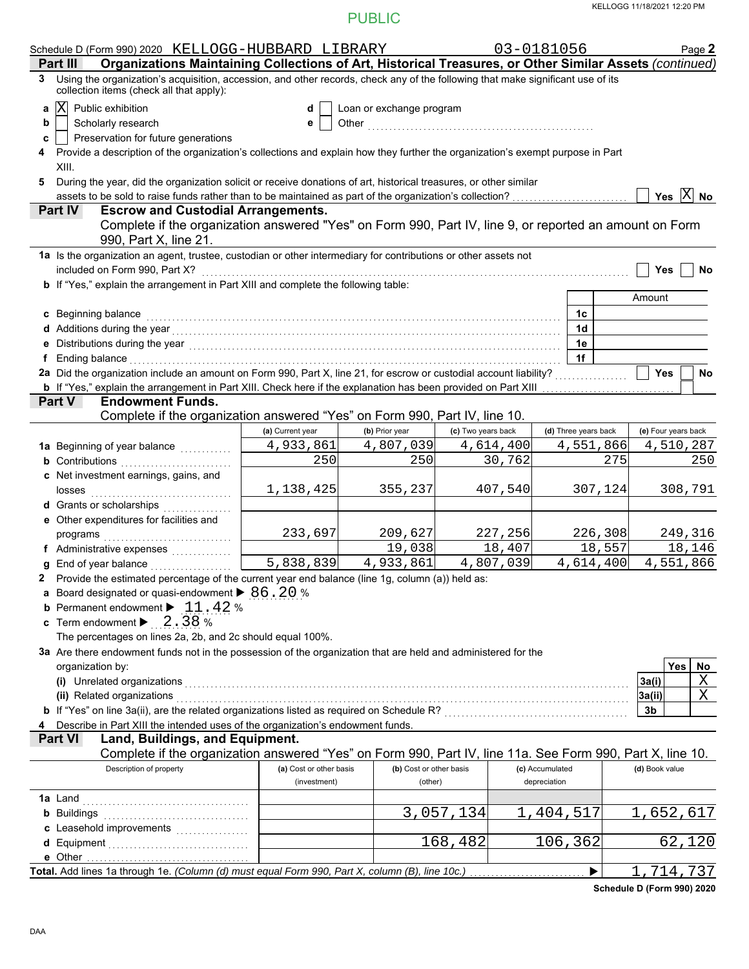|   | Schedule D (Form 990) 2020 KELLOGG-HUBBARD LIBRARY                                                                                                                                                                                                       |                         |                           |                    | 03-0181056           |         |                     | Page 2           |  |
|---|----------------------------------------------------------------------------------------------------------------------------------------------------------------------------------------------------------------------------------------------------------|-------------------------|---------------------------|--------------------|----------------------|---------|---------------------|------------------|--|
|   | Organizations Maintaining Collections of Art, Historical Treasures, or Other Similar Assets (continued)<br>Part III<br>3 Using the organization's acquisition, accession, and other records, check any of the following that make significant use of its |                         |                           |                    |                      |         |                     |                  |  |
|   | collection items (check all that apply):                                                                                                                                                                                                                 |                         |                           |                    |                      |         |                     |                  |  |
| a | $ {\rm X} $<br>Public exhibition                                                                                                                                                                                                                         | d                       | Loan or exchange program  |                    |                      |         |                     |                  |  |
| b | Scholarly research                                                                                                                                                                                                                                       | е                       |                           |                    |                      |         |                     |                  |  |
| C | Preservation for future generations                                                                                                                                                                                                                      |                         |                           |                    |                      |         |                     |                  |  |
|   | 4 Provide a description of the organization's collections and explain how they further the organization's exempt purpose in Part<br>XIII.                                                                                                                |                         |                           |                    |                      |         |                     |                  |  |
| 5 | During the year, did the organization solicit or receive donations of art, historical treasures, or other similar                                                                                                                                        |                         |                           |                    |                      |         |                     |                  |  |
|   | assets to be sold to raise funds rather than to be maintained as part of the organization's collection?                                                                                                                                                  |                         |                           |                    |                      |         |                     | Yes $X$ No       |  |
|   | Part IV<br><b>Escrow and Custodial Arrangements.</b>                                                                                                                                                                                                     |                         |                           |                    |                      |         |                     |                  |  |
|   | Complete if the organization answered "Yes" on Form 990, Part IV, line 9, or reported an amount on Form<br>990, Part X, line 21.                                                                                                                         |                         |                           |                    |                      |         |                     |                  |  |
|   | 1a Is the organization an agent, trustee, custodian or other intermediary for contributions or other assets not                                                                                                                                          |                         |                           |                    |                      |         |                     |                  |  |
|   | included on Form 990, Part X?                                                                                                                                                                                                                            |                         |                           |                    |                      |         | Yes                 | No               |  |
|   | b If "Yes," explain the arrangement in Part XIII and complete the following table:                                                                                                                                                                       |                         |                           |                    |                      |         |                     |                  |  |
|   |                                                                                                                                                                                                                                                          |                         |                           |                    |                      |         | Amount              |                  |  |
|   | c Beginning balance                                                                                                                                                                                                                                      |                         |                           |                    | 1c                   |         |                     |                  |  |
|   | d Additions during the year<br>interaction continuous continuous continuous during the year of Additional Contract of Additions during the year                                                                                                          |                         |                           |                    | 1d                   |         |                     |                  |  |
|   | e Distributions during the year<br>interaction continuous continuous during the year<br>interaction continuous continuous continuous continuous continuous continuous continuous continuous continuous<br>continuous continuous cont                     |                         |                           |                    | 1e                   |         |                     |                  |  |
|   | f Ending balance encourance and the contract of the contract of the contract of the contract of the contract of the contract of the contract of the contract of the contract of the contract of the contract of the contract o                           |                         |                           |                    | 1f                   |         |                     |                  |  |
|   | 2a Did the organization include an amount on Form 990, Part X, line 21, for escrow or custodial account liability?                                                                                                                                       |                         |                           |                    |                      |         | <b>Yes</b>          | No               |  |
|   | <b>b</b> If "Yes," explain the arrangement in Part XIII. Check here if the explanation has been provided on Part XIII                                                                                                                                    |                         |                           |                    |                      |         |                     |                  |  |
|   | Part V<br><b>Endowment Funds.</b>                                                                                                                                                                                                                        |                         |                           |                    |                      |         |                     |                  |  |
|   | Complete if the organization answered "Yes" on Form 990, Part IV, line 10.                                                                                                                                                                               |                         |                           |                    |                      |         |                     |                  |  |
|   |                                                                                                                                                                                                                                                          | (a) Current year        | (b) Prior year            | (c) Two years back | (d) Three years back |         | (e) Four years back |                  |  |
|   | 1a Beginning of year balance                                                                                                                                                                                                                             | 4,933,861               | 4,807,039                 | 4,614,400          | 4,551,866            |         |                     | 4,510,287        |  |
|   | <b>b</b> Contributions                                                                                                                                                                                                                                   | 250                     | 250                       | 30,762             |                      | 275     |                     | 250              |  |
|   | c Net investment earnings, gains, and                                                                                                                                                                                                                    |                         |                           |                    |                      |         |                     |                  |  |
|   | losses                                                                                                                                                                                                                                                   | 1,138,425               | 355,237                   | 407,540            |                      | 307,124 |                     | 308,791          |  |
|   | d Grants or scholarships                                                                                                                                                                                                                                 |                         |                           |                    |                      |         |                     |                  |  |
|   | e Other expenditures for facilities and                                                                                                                                                                                                                  |                         |                           |                    |                      |         |                     |                  |  |
|   | programs                                                                                                                                                                                                                                                 | 233,697                 | 209,627                   | 227,256            |                      | 226,308 |                     | 249,316          |  |
|   | f Administrative expenses                                                                                                                                                                                                                                |                         | 19,038                    | 18,407             |                      | 18,557  |                     | 18,146           |  |
|   | g End of year balance                                                                                                                                                                                                                                    | 5,838,839               | $\overline{4}$ , 933, 861 | 4,807,039          | 4,614,400            |         |                     | 4,551,866        |  |
|   | 2 Provide the estimated percentage of the current year end balance (line 1g, column (a)) held as:                                                                                                                                                        |                         |                           |                    |                      |         |                     |                  |  |
|   | a Board designated or quasi-endowment ▶ 86.20 %                                                                                                                                                                                                          |                         |                           |                    |                      |         |                     |                  |  |
|   | Permanent endowment ▶ 11.42 %                                                                                                                                                                                                                            |                         |                           |                    |                      |         |                     |                  |  |
|   | c Term endowment $\blacktriangleright$ 2.38 %                                                                                                                                                                                                            |                         |                           |                    |                      |         |                     |                  |  |
|   | The percentages on lines 2a, 2b, and 2c should equal 100%.                                                                                                                                                                                               |                         |                           |                    |                      |         |                     |                  |  |
|   | 3a Are there endowment funds not in the possession of the organization that are held and administered for the                                                                                                                                            |                         |                           |                    |                      |         |                     |                  |  |
|   | organization by:                                                                                                                                                                                                                                         |                         |                           |                    |                      |         |                     | <b>Yes</b><br>No |  |
|   | (i) Unrelated organizations                                                                                                                                                                                                                              |                         |                           |                    |                      |         | 3a(i)               | Χ                |  |
|   | (ii) Related organizations                                                                                                                                                                                                                               |                         |                           |                    |                      |         | 3a(ii)              | X                |  |
|   | b If "Yes" on line 3a(ii), are the related organizations listed as required on Schedule R? [[[[[[[[[[[[[[[[[[[                                                                                                                                           |                         |                           |                    |                      |         | 3b                  |                  |  |
|   | Describe in Part XIII the intended uses of the organization's endowment funds.                                                                                                                                                                           |                         |                           |                    |                      |         |                     |                  |  |
|   | Land, Buildings, and Equipment.<br><b>Part VI</b>                                                                                                                                                                                                        |                         |                           |                    |                      |         |                     |                  |  |
|   | Complete if the organization answered "Yes" on Form 990, Part IV, line 11a. See Form 990, Part X, line 10.                                                                                                                                               |                         |                           |                    |                      |         |                     |                  |  |
|   | Description of property                                                                                                                                                                                                                                  | (a) Cost or other basis | (b) Cost or other basis   |                    | (c) Accumulated      |         | (d) Book value      |                  |  |
|   |                                                                                                                                                                                                                                                          | (investment)            | (other)                   |                    | depreciation         |         |                     |                  |  |
|   |                                                                                                                                                                                                                                                          |                         |                           |                    |                      |         |                     |                  |  |
|   | <b>b</b> Buildings                                                                                                                                                                                                                                       |                         |                           | 3,057,134<br>1     | ,404,517             |         | 1,652,617           |                  |  |
|   | c Leasehold improvements                                                                                                                                                                                                                                 |                         |                           |                    |                      |         |                     |                  |  |
|   |                                                                                                                                                                                                                                                          |                         |                           | 168,482            | 106,362              |         |                     | 62,120           |  |
|   |                                                                                                                                                                                                                                                          |                         |                           |                    |                      |         |                     |                  |  |
|   | Total. Add lines 1a through 1e. (Column (d) must equal Form 990, Part X, column (B), line 10c.)                                                                                                                                                          |                         |                           |                    | ▶                    |         |                     | 714,737          |  |

**Schedule D (Form 990) 2020**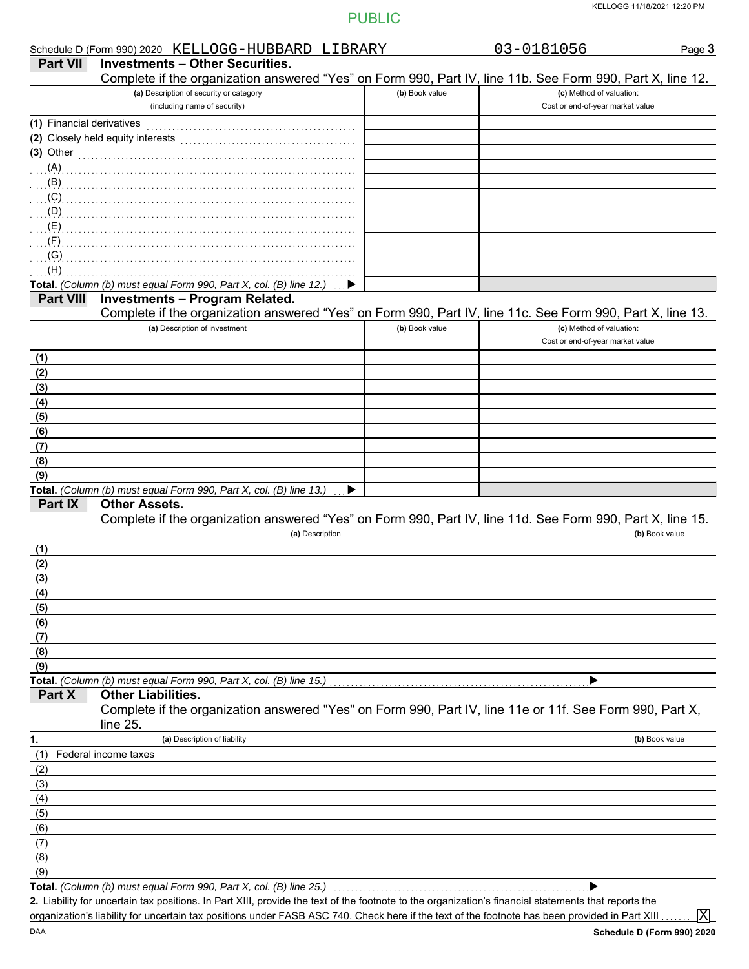|                           | Schedule D (Form 990) 2020 KELLOGG-HUBBARD LIBRARY                                                                                                    |                | 03-0181056                       | Page 3         |
|---------------------------|-------------------------------------------------------------------------------------------------------------------------------------------------------|----------------|----------------------------------|----------------|
| <b>Part VII</b>           | <b>Investments - Other Securities.</b>                                                                                                                |                |                                  |                |
|                           | Complete if the organization answered "Yes" on Form 990, Part IV, line 11b. See Form 990, Part X, line 12.<br>(a) Description of security or category | (b) Book value | (c) Method of valuation:         |                |
|                           | (including name of security)                                                                                                                          |                | Cost or end-of-year market value |                |
| (1) Financial derivatives |                                                                                                                                                       |                |                                  |                |
|                           | (2) Closely held equity interests                                                                                                                     |                |                                  |                |
| (3) Other                 |                                                                                                                                                       |                |                                  |                |
| (A)                       |                                                                                                                                                       |                |                                  |                |
| (B)                       |                                                                                                                                                       |                |                                  |                |
| (C)                       |                                                                                                                                                       |                |                                  |                |
| (D)                       |                                                                                                                                                       |                |                                  |                |
| (E)                       |                                                                                                                                                       |                |                                  |                |
| (F)                       |                                                                                                                                                       |                |                                  |                |
| (G)                       |                                                                                                                                                       |                |                                  |                |
| (H)                       |                                                                                                                                                       |                |                                  |                |
|                           | Total. (Column (b) must equal Form 990, Part X, col. (B) line 12.)                                                                                    |                |                                  |                |
| <b>Part VIII</b>          | <b>Investments - Program Related.</b>                                                                                                                 |                |                                  |                |
|                           | Complete if the organization answered "Yes" on Form 990, Part IV, line 11c. See Form 990, Part X, line 13.                                            |                |                                  |                |
|                           | (a) Description of investment                                                                                                                         | (b) Book value | (c) Method of valuation:         |                |
|                           |                                                                                                                                                       |                | Cost or end-of-year market value |                |
| (1)                       |                                                                                                                                                       |                |                                  |                |
| (2)                       |                                                                                                                                                       |                |                                  |                |
| (3)                       |                                                                                                                                                       |                |                                  |                |
| (4)                       |                                                                                                                                                       |                |                                  |                |
| (5)                       |                                                                                                                                                       |                |                                  |                |
| (6)                       |                                                                                                                                                       |                |                                  |                |
| (7)                       |                                                                                                                                                       |                |                                  |                |
| (8)                       |                                                                                                                                                       |                |                                  |                |
| (9)                       |                                                                                                                                                       |                |                                  |                |
|                           | Total. (Column (b) must equal Form 990, Part X, col. (B) line 13.)<br>▶                                                                               |                |                                  |                |
| Part IX                   | <b>Other Assets.</b>                                                                                                                                  |                |                                  |                |
|                           | Complete if the organization answered "Yes" on Form 990, Part IV, line 11d. See Form 990, Part X, line 15.                                            |                |                                  |                |
|                           | (a) Description                                                                                                                                       |                |                                  | (b) Book value |
| (1)                       |                                                                                                                                                       |                |                                  |                |
| (2)                       |                                                                                                                                                       |                |                                  |                |
| (3)                       |                                                                                                                                                       |                |                                  |                |
| (4)                       |                                                                                                                                                       |                |                                  |                |
| (5)                       |                                                                                                                                                       |                |                                  |                |
| (6)                       |                                                                                                                                                       |                |                                  |                |
| (7)                       |                                                                                                                                                       |                |                                  |                |
| (8)                       |                                                                                                                                                       |                |                                  |                |
| (9)                       | Total. (Column (b) must equal Form 990, Part X, col. (B) line 15.)                                                                                    |                |                                  |                |
| <b>Part X</b>             | <b>Other Liabilities.</b>                                                                                                                             |                |                                  |                |
|                           | Complete if the organization answered "Yes" on Form 990, Part IV, line 11e or 11f. See Form 990, Part X,                                              |                |                                  |                |
|                           | line 25.                                                                                                                                              |                |                                  |                |
| 1.                        | (a) Description of liability                                                                                                                          |                |                                  | (b) Book value |
| (1)                       | Federal income taxes                                                                                                                                  |                |                                  |                |
| (2)                       |                                                                                                                                                       |                |                                  |                |
|                           |                                                                                                                                                       |                |                                  |                |
|                           |                                                                                                                                                       |                |                                  |                |
| (3)                       |                                                                                                                                                       |                |                                  |                |
| (4)                       |                                                                                                                                                       |                |                                  |                |
| (5)                       |                                                                                                                                                       |                |                                  |                |
| (6)                       |                                                                                                                                                       |                |                                  |                |
| (7)                       |                                                                                                                                                       |                |                                  |                |
| (8)<br>(9)                |                                                                                                                                                       |                |                                  |                |
|                           | Total. (Column (b) must equal Form 990, Part X, col. (B) line 25.)                                                                                    |                |                                  |                |
|                           | 2. Liability for uncertain tax positions. In Part XIII, provide the text of the footnote to the organization's financial statements that reports the  |                |                                  |                |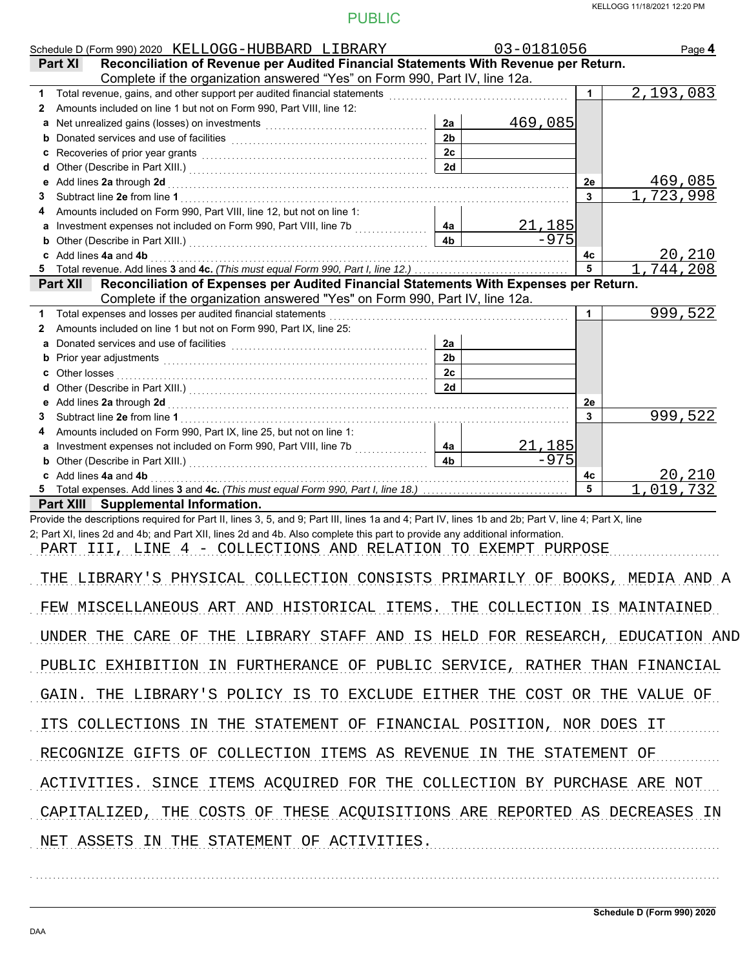| <b>Part XI</b>  | Reconciliation of Revenue per Audited Financial Statements With Revenue per Return.                                                                                                                                            |                |         |                      |                                      |
|-----------------|--------------------------------------------------------------------------------------------------------------------------------------------------------------------------------------------------------------------------------|----------------|---------|----------------------|--------------------------------------|
|                 | Complete if the organization answered "Yes" on Form 990, Part IV, line 12a.                                                                                                                                                    |                |         |                      |                                      |
| 1               |                                                                                                                                                                                                                                |                |         | $\mathbf{1}$         | 2,193,083                            |
| 2.              | Amounts included on line 1 but not on Form 990, Part VIII, line 12:                                                                                                                                                            |                |         |                      |                                      |
| a               |                                                                                                                                                                                                                                | 2a             | 469,085 |                      |                                      |
|                 |                                                                                                                                                                                                                                | 2 <sub>b</sub> |         |                      |                                      |
| c               |                                                                                                                                                                                                                                | 2c             |         |                      |                                      |
| d               |                                                                                                                                                                                                                                | 2d             |         |                      |                                      |
| е<br>3          | Add lines 2a through 2d [11] Additional Process of Additional Process of Additional Process of Additional Process of Additional Process of Additional Process of Additional Process of Additional Process of Additional Proces |                |         | 2е<br>3 <sup>1</sup> | 469,085<br>$\overline{1}$ , 723, 998 |
|                 | Amounts included on Form 990, Part VIII, line 12, but not on line 1:                                                                                                                                                           |                |         |                      |                                      |
|                 | Investment expenses not included on Form 990, Part VIII, line 7b [ <i>[[[[[[[[[[[[]]]]</i> ]                                                                                                                                   |                | 21,185  |                      |                                      |
| b               |                                                                                                                                                                                                                                | 4 <sub>b</sub> | $-975$  |                      |                                      |
| c               | Add lines 4a and 4b                                                                                                                                                                                                            |                |         | 4с                   | 20,210                               |
|                 |                                                                                                                                                                                                                                |                |         | 5                    | 1,744,208                            |
| <b>Part XII</b> | Reconciliation of Expenses per Audited Financial Statements With Expenses per Return.                                                                                                                                          |                |         |                      |                                      |
|                 | Complete if the organization answered "Yes" on Form 990, Part IV, line 12a.                                                                                                                                                    |                |         |                      |                                      |
|                 | Total expenses and losses per audited financial statements                                                                                                                                                                     |                |         | $\mathbf{1}$         | 999,522                              |
| 2.              | Amounts included on line 1 but not on Form 990, Part IX, line 25:                                                                                                                                                              | 2a             |         |                      |                                      |
| a<br>b          |                                                                                                                                                                                                                                | 2 <sub>b</sub> |         |                      |                                      |
| с               | Prior year adjustments [11, 12] All the contract of the contract of the contract of the contract of the contract of the contract of the contract of the contract of the contract of the contract of the contract of the contra | 2c             |         |                      |                                      |
|                 |                                                                                                                                                                                                                                | 2d             |         |                      |                                      |
|                 | Add lines 2a through 2d [11] Additional Property and Table 2a through 2d [11] Additional Property and Property and Property and Property and Property and Property and Property and Property and Property and Property and Pro |                |         | 2e                   |                                      |
| 3               |                                                                                                                                                                                                                                |                |         | 3 <sup>1</sup>       | 999,522                              |
|                 | Amounts included on Form 990, Part IX, line 25, but not on line 1:                                                                                                                                                             |                |         |                      |                                      |
| a               |                                                                                                                                                                                                                                | 4a             | 21,185  |                      |                                      |
| b               |                                                                                                                                                                                                                                | 4 <sub>b</sub> | $-975$  |                      |                                      |
|                 |                                                                                                                                                                                                                                |                |         |                      |                                      |
|                 | c Add lines 4a and 4b                                                                                                                                                                                                          |                |         | 4с                   |                                      |
|                 |                                                                                                                                                                                                                                |                |         | 5                    |                                      |
|                 | Part XIII Supplemental Information.                                                                                                                                                                                            |                |         |                      | 20,210<br>1,019,732                  |
|                 | Provide the descriptions required for Part II, lines 3, 5, and 9; Part III, lines 1a and 4; Part IV, lines 1b and 2b; Part V, line 4; Part X, line                                                                             |                |         |                      |                                      |
|                 | 2; Part XI, lines 2d and 4b; and Part XII, lines 2d and 4b. Also complete this part to provide any additional information.                                                                                                     |                |         |                      |                                      |
|                 | PART III, LINE 4 - COLLECTIONS AND RELATION TO EXEMPT PURPOSE                                                                                                                                                                  |                |         |                      |                                      |
|                 | THE LIBRARY'S PHYSICAL COLLECTION CONSISTS PRIMARILY OF BOOKS, MEDIA AND A                                                                                                                                                     |                |         |                      |                                      |
|                 |                                                                                                                                                                                                                                |                |         |                      |                                      |
|                 | FEW MISCELLANEOUS ART AND HISTORICAL ITEMS. THE COLLECTION IS MAINTAINED                                                                                                                                                       |                |         |                      |                                      |
|                 |                                                                                                                                                                                                                                |                |         |                      |                                      |
|                 | UNDER THE CARE OF THE LIBRARY STAFF AND IS HELD FOR RESEARCH, EDUCATION AND                                                                                                                                                    |                |         |                      |                                      |
|                 |                                                                                                                                                                                                                                |                |         |                      |                                      |
|                 | PUBLIC EXHIBITION IN FURTHERANCE OF PUBLIC SERVICE, RATHER THAN FINANCIAL                                                                                                                                                      |                |         |                      |                                      |
|                 | GAIN. THE LIBRARY'S POLICY IS TO EXCLUDE EITHER THE COST OR THE VALUE OF                                                                                                                                                       |                |         |                      |                                      |
|                 |                                                                                                                                                                                                                                |                |         |                      |                                      |
|                 | ITS COLLECTIONS IN THE STATEMENT OF FINANCIAL POSITION, NOR DOES IT                                                                                                                                                            |                |         |                      |                                      |
|                 |                                                                                                                                                                                                                                |                |         |                      |                                      |
|                 | RECOGNIZE GIFTS OF COLLECTION ITEMS AS REVENUE IN THE STATEMENT OF                                                                                                                                                             |                |         |                      |                                      |
|                 |                                                                                                                                                                                                                                |                |         |                      |                                      |
|                 | ACTIVITIES. SINCE ITEMS ACQUIRED FOR THE COLLECTION BY PURCHASE ARE NOT                                                                                                                                                        |                |         |                      |                                      |
|                 |                                                                                                                                                                                                                                |                |         |                      |                                      |
|                 | CAPITALIZED, THE COSTS OF THESE ACQUISITIONS ARE REPORTED AS DECREASES IN                                                                                                                                                      |                |         |                      |                                      |
|                 | NET ASSETS IN THE STATEMENT OF ACTIVITIES.                                                                                                                                                                                     |                |         |                      |                                      |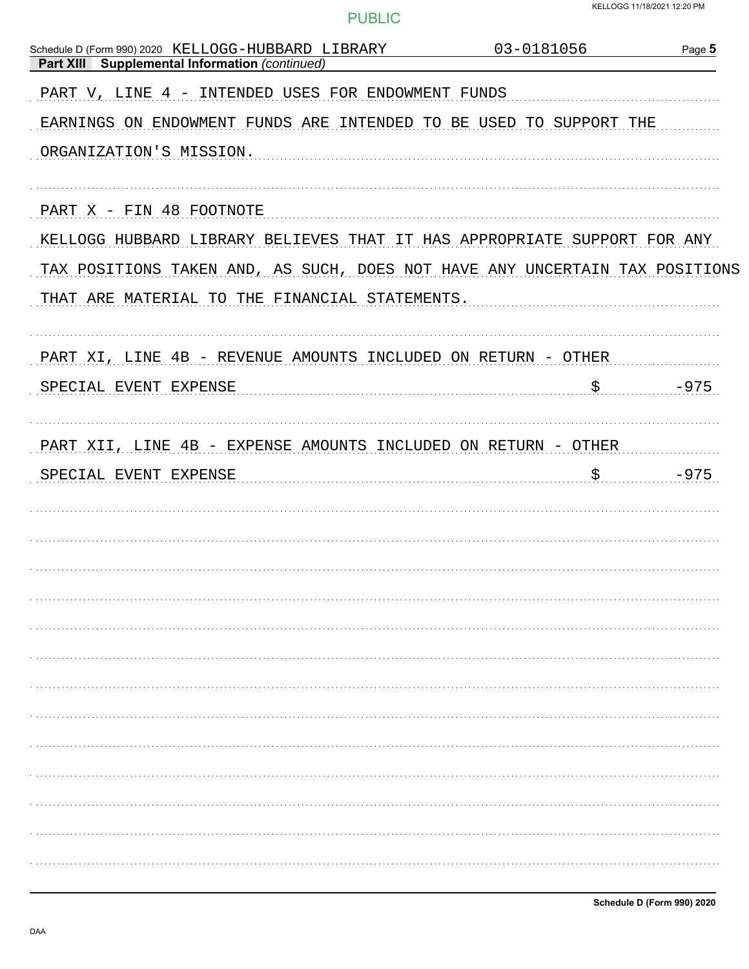| Schedule D (Form 990) 2020 KELLOGG-HUBBARD LIBRARY<br><b>Supplemental Information (continued)</b><br>Part XIII                | 03-0181056                | Page 5 |
|-------------------------------------------------------------------------------------------------------------------------------|---------------------------|--------|
| PART V, LINE 4 - INTENDED USES FOR ENDOWMENT FUNDS                                                                            |                           |        |
| EARNINGS ON ENDOWMENT FUNDS ARE INTENDED TO BE USED TO SUPPORT THE                                                            |                           |        |
| ORGANIZATION'S MISSION.                                                                                                       |                           |        |
| PART X - FIN 48 FOOTNOTE                                                                                                      |                           |        |
| KELLOGG HUBBARD LIBRARY BELIEVES THAT IT HAS APPROPRIATE SUPPORT FOR ANY                                                      |                           |        |
| TAX POSITIONS TAKEN AND, AS SUCH, DOES NOT HAVE ANY UNCERTAIN TAX POSITIONS<br>THAT ARE MATERIAL TO THE FINANCIAL STATEMENTS. |                           |        |
| PART XI, LINE 4B - REVENUE AMOUNTS INCLUDED ON RETURN - OTHER                                                                 |                           |        |
| SPECIAL EVENT EXPENSE                                                                                                         | $\boldsymbol{\mathsf{S}}$ | $-975$ |
| SPECIAL EVENT EXPENSE                                                                                                         | $\mathsf{S}$ .            | $-975$ |
|                                                                                                                               |                           |        |
|                                                                                                                               |                           |        |
|                                                                                                                               |                           |        |
|                                                                                                                               |                           |        |
|                                                                                                                               |                           |        |
|                                                                                                                               |                           |        |
|                                                                                                                               |                           |        |
|                                                                                                                               |                           |        |
|                                                                                                                               |                           |        |
|                                                                                                                               |                           |        |
|                                                                                                                               |                           |        |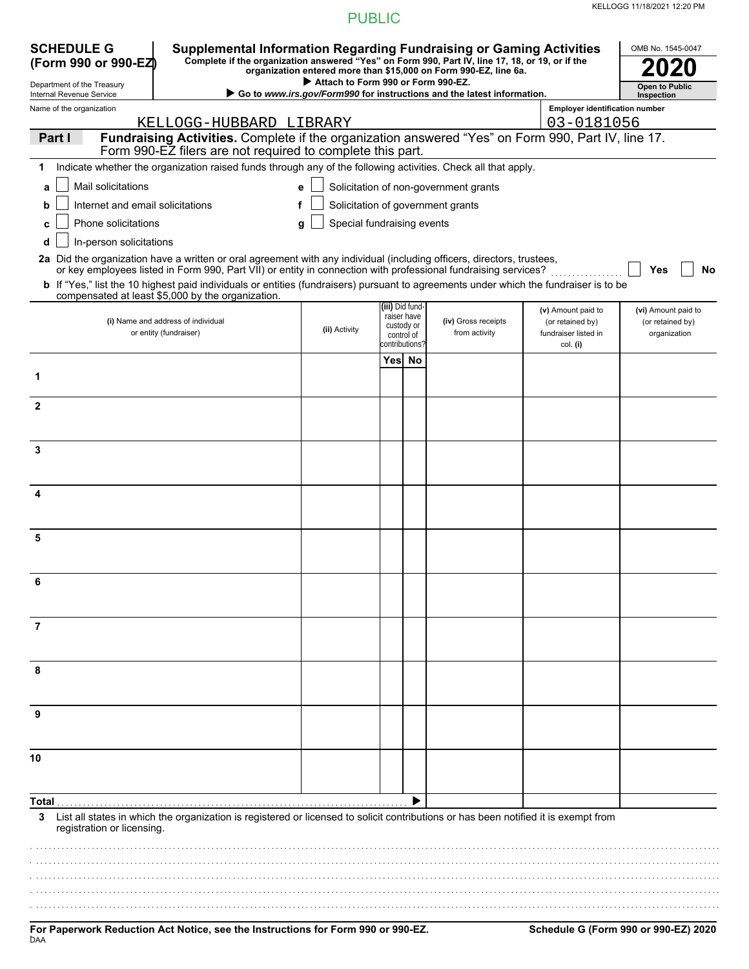| <b>SCHEDULE G</b><br>(Form 990 or 990-EZ)            | <b>Supplemental Information Regarding Fundraising or Gaming Activities</b><br>Complete if the organization answered "Yes" on Form 990, Part IV, line 17, 18, or 19, or if the                                                            |                                    |                 |                              | organization entered more than \$15,000 on Form 990-EZ, line 6a.       |                                        | OMB No. 1545-0047                       |
|------------------------------------------------------|------------------------------------------------------------------------------------------------------------------------------------------------------------------------------------------------------------------------------------------|------------------------------------|-----------------|------------------------------|------------------------------------------------------------------------|----------------------------------------|-----------------------------------------|
| Department of the Treasury                           |                                                                                                                                                                                                                                          | Attach to Form 990 or Form 990-EZ. |                 |                              |                                                                        |                                        | <b>Open to Public</b>                   |
| Internal Revenue Service<br>Name of the organization |                                                                                                                                                                                                                                          |                                    |                 |                              | Go to www.irs.gov/Form990 for instructions and the latest information. | <b>Employer identification number</b>  | Inspection                              |
|                                                      | KELLOGG-HUBBARD LIBRARY                                                                                                                                                                                                                  |                                    |                 |                              |                                                                        | 03-0181056                             |                                         |
| Part I                                               | Fundraising Activities. Complete if the organization answered "Yes" on Form 990, Part IV, line 17.<br>Form 990-EZ filers are not required to complete this part.                                                                         |                                    |                 |                              |                                                                        |                                        |                                         |
| 1                                                    | Indicate whether the organization raised funds through any of the following activities. Check all that apply.                                                                                                                            |                                    |                 |                              |                                                                        |                                        |                                         |
| Mail solicitations<br>a                              |                                                                                                                                                                                                                                          | e                                  |                 |                              | Solicitation of non-government grants                                  |                                        |                                         |
| Internet and email solicitations<br>b                | f                                                                                                                                                                                                                                        |                                    |                 |                              | Solicitation of government grants                                      |                                        |                                         |
| Phone solicitations<br>c                             |                                                                                                                                                                                                                                          | Special fundraising events<br>g    |                 |                              |                                                                        |                                        |                                         |
| d<br>In-person solicitations                         |                                                                                                                                                                                                                                          |                                    |                 |                              |                                                                        |                                        |                                         |
|                                                      | 2a Did the organization have a written or oral agreement with any individual (including officers, directors, trustees,<br>or key employees listed in Form 990, Part VII) or entity in connection with professional fundraising services? |                                    |                 |                              |                                                                        |                                        | Yes<br>No                               |
|                                                      | b If "Yes," list the 10 highest paid individuals or entities (fundraisers) pursuant to agreements under which the fundraiser is to be                                                                                                    |                                    |                 |                              |                                                                        |                                        |                                         |
|                                                      | compensated at least \$5,000 by the organization.                                                                                                                                                                                        |                                    | (iii) Did fund- |                              |                                                                        |                                        |                                         |
|                                                      | (i) Name and address of individual                                                                                                                                                                                                       |                                    |                 | raiser have<br>custody or    | (iv) Gross receipts                                                    | (v) Amount paid to<br>(or retained by) | (vi) Amount paid to<br>(or retained by) |
|                                                      | or entity (fundraiser)                                                                                                                                                                                                                   | (ii) Activity                      |                 | control of<br>contributions? | from activity                                                          | fundraiser listed in<br>col. (i)       | organization                            |
|                                                      |                                                                                                                                                                                                                                          |                                    | Yes No          |                              |                                                                        |                                        |                                         |
| 1                                                    |                                                                                                                                                                                                                                          |                                    |                 |                              |                                                                        |                                        |                                         |
|                                                      |                                                                                                                                                                                                                                          |                                    |                 |                              |                                                                        |                                        |                                         |
| $\mathbf{2}$                                         |                                                                                                                                                                                                                                          |                                    |                 |                              |                                                                        |                                        |                                         |
|                                                      |                                                                                                                                                                                                                                          |                                    |                 |                              |                                                                        |                                        |                                         |
| 3                                                    |                                                                                                                                                                                                                                          |                                    |                 |                              |                                                                        |                                        |                                         |
|                                                      |                                                                                                                                                                                                                                          |                                    |                 |                              |                                                                        |                                        |                                         |
| 4                                                    |                                                                                                                                                                                                                                          |                                    |                 |                              |                                                                        |                                        |                                         |
|                                                      |                                                                                                                                                                                                                                          |                                    |                 |                              |                                                                        |                                        |                                         |
| 5                                                    |                                                                                                                                                                                                                                          |                                    |                 |                              |                                                                        |                                        |                                         |
|                                                      |                                                                                                                                                                                                                                          |                                    |                 |                              |                                                                        |                                        |                                         |
|                                                      |                                                                                                                                                                                                                                          |                                    |                 |                              |                                                                        |                                        |                                         |
| 6                                                    |                                                                                                                                                                                                                                          |                                    |                 |                              |                                                                        |                                        |                                         |
|                                                      |                                                                                                                                                                                                                                          |                                    |                 |                              |                                                                        |                                        |                                         |
| 7                                                    |                                                                                                                                                                                                                                          |                                    |                 |                              |                                                                        |                                        |                                         |
|                                                      |                                                                                                                                                                                                                                          |                                    |                 |                              |                                                                        |                                        |                                         |
| 8                                                    |                                                                                                                                                                                                                                          |                                    |                 |                              |                                                                        |                                        |                                         |
|                                                      |                                                                                                                                                                                                                                          |                                    |                 |                              |                                                                        |                                        |                                         |
| 9                                                    |                                                                                                                                                                                                                                          |                                    |                 |                              |                                                                        |                                        |                                         |
|                                                      |                                                                                                                                                                                                                                          |                                    |                 |                              |                                                                        |                                        |                                         |
|                                                      |                                                                                                                                                                                                                                          |                                    |                 |                              |                                                                        |                                        |                                         |
| 10                                                   |                                                                                                                                                                                                                                          |                                    |                 |                              |                                                                        |                                        |                                         |
|                                                      |                                                                                                                                                                                                                                          |                                    |                 |                              |                                                                        |                                        |                                         |
| Total                                                |                                                                                                                                                                                                                                          |                                    |                 |                              |                                                                        |                                        |                                         |
| 3<br>registration or licensing.                      | List all states in which the organization is registered or licensed to solicit contributions or has been notified it is exempt from                                                                                                      |                                    |                 |                              |                                                                        |                                        |                                         |
|                                                      |                                                                                                                                                                                                                                          |                                    |                 |                              |                                                                        |                                        |                                         |
|                                                      |                                                                                                                                                                                                                                          |                                    |                 |                              |                                                                        |                                        |                                         |
|                                                      |                                                                                                                                                                                                                                          |                                    |                 |                              |                                                                        |                                        |                                         |
|                                                      |                                                                                                                                                                                                                                          |                                    |                 |                              |                                                                        |                                        |                                         |
|                                                      |                                                                                                                                                                                                                                          |                                    |                 |                              |                                                                        |                                        |                                         |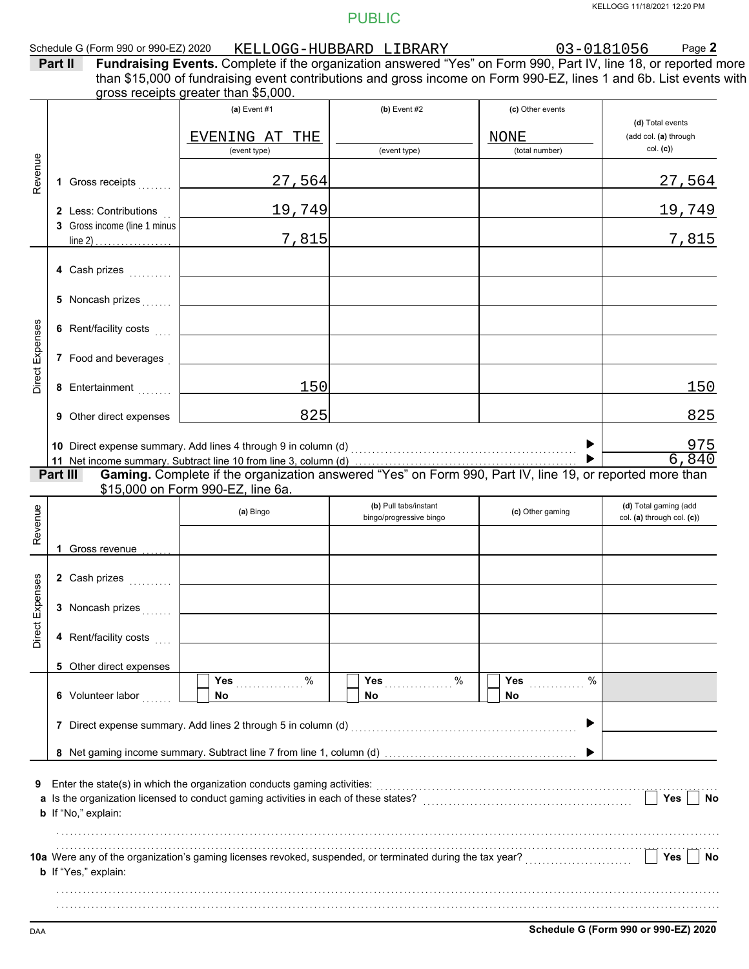|                 |                                | Schedule G (Form 990 or 990-EZ) 2020                                                                                                                       | <u>KELLOGG-HUBBARD LIBR</u> ARY | 03-0181056       | Page 2                     |
|-----------------|--------------------------------|------------------------------------------------------------------------------------------------------------------------------------------------------------|---------------------------------|------------------|----------------------------|
|                 | Part II                        | Fundraising Events. Complete if the organization answered "Yes" on Form 990, Part IV, line 18, or reported more                                            |                                 |                  |                            |
|                 |                                | than \$15,000 of fundraising event contributions and gross income on Form 990-EZ, lines 1 and 6b. List events with<br>gross receipts greater than \$5,000. |                                 |                  |                            |
|                 |                                | (a) Event $#1$                                                                                                                                             | (b) Event $#2$                  | (c) Other events |                            |
|                 |                                |                                                                                                                                                            |                                 |                  | (d) Total events           |
|                 |                                | EVENING AT THE                                                                                                                                             |                                 | <b>NONE</b>      | (add col. (a) through      |
|                 |                                | (event type)                                                                                                                                               | (event type)                    | (total number)   | col. (c)                   |
|                 |                                |                                                                                                                                                            |                                 |                  |                            |
| Revenue         | 1 Gross receipts               | 27,564                                                                                                                                                     |                                 |                  | 27,564                     |
|                 |                                |                                                                                                                                                            |                                 |                  |                            |
|                 | 2 Less: Contributions          | 19,749                                                                                                                                                     |                                 |                  | 19,749                     |
|                 | 3 Gross income (line 1 minus   |                                                                                                                                                            |                                 |                  |                            |
|                 |                                | 7,815                                                                                                                                                      |                                 |                  | 7,815                      |
|                 | 4 Cash prizes                  |                                                                                                                                                            |                                 |                  |                            |
|                 |                                |                                                                                                                                                            |                                 |                  |                            |
|                 | 5 Noncash prizes               |                                                                                                                                                            |                                 |                  |                            |
|                 |                                |                                                                                                                                                            |                                 |                  |                            |
|                 | 6 Rent/facility costs [111]    | the contract of the contract of the contract of                                                                                                            |                                 |                  |                            |
|                 |                                |                                                                                                                                                            |                                 |                  |                            |
|                 | 7 Food and beverages           |                                                                                                                                                            |                                 |                  |                            |
| Direct Expenses |                                |                                                                                                                                                            |                                 |                  |                            |
|                 | 8 Entertainment                | 150                                                                                                                                                        |                                 |                  | 150                        |
|                 |                                |                                                                                                                                                            |                                 |                  |                            |
|                 | <b>9</b> Other direct expenses | 825                                                                                                                                                        |                                 |                  | 825                        |
|                 |                                |                                                                                                                                                            |                                 |                  | 975                        |
|                 |                                |                                                                                                                                                            |                                 |                  | 6,840                      |
|                 | Part III                       | Gaming. Complete if the organization answered "Yes" on Form 990, Part IV, line 19, or reported more than                                                   |                                 |                  |                            |
|                 |                                | \$15,000 on Form 990-EZ, line 6a.                                                                                                                          |                                 |                  |                            |
|                 |                                |                                                                                                                                                            | (b) Pull tabs/instant           |                  | (d) Total gaming (add      |
|                 |                                | (a) Bingo                                                                                                                                                  | bingo/progressive bingo         | (c) Other gaming | col. (a) through col. (c)) |
| Revenue         |                                |                                                                                                                                                            |                                 |                  |                            |
|                 |                                |                                                                                                                                                            |                                 |                  |                            |
|                 | Gross revenue <i></i><br>1.    |                                                                                                                                                            |                                 |                  |                            |
|                 |                                |                                                                                                                                                            |                                 |                  |                            |
|                 |                                |                                                                                                                                                            |                                 |                  |                            |
|                 |                                |                                                                                                                                                            |                                 |                  |                            |
| ses             | 3 Noncash prizes               |                                                                                                                                                            |                                 |                  |                            |
|                 |                                |                                                                                                                                                            |                                 |                  |                            |
|                 | 4 Rent/facility costs          |                                                                                                                                                            |                                 |                  |                            |
| Direct Exper    |                                |                                                                                                                                                            |                                 |                  |                            |
|                 | 5 Other direct expenses        | <b>Yes</b>                                                                                                                                                 | %<br>Yes                        | $\%$             |                            |
|                 |                                | $\%$<br>No.                                                                                                                                                | No                              | Yes<br><b>No</b> |                            |
|                 | 6 Volunteer labor              |                                                                                                                                                            |                                 |                  |                            |
|                 |                                | 7 Direct expense summary. Add lines 2 through 5 in column (d)                                                                                              |                                 | ▶                |                            |
|                 |                                |                                                                                                                                                            |                                 |                  |                            |
|                 |                                |                                                                                                                                                            |                                 |                  |                            |
|                 |                                |                                                                                                                                                            |                                 |                  |                            |
| 9               |                                | Enter the state(s) in which the organization conducts gaming activities:                                                                                   |                                 |                  |                            |
|                 |                                | a Is the organization licensed to conduct gaming activities in each of these states?                                                                       |                                 |                  | Yes<br><b>No</b>           |
|                 | <b>b</b> If "No," explain:     |                                                                                                                                                            |                                 |                  |                            |
|                 |                                |                                                                                                                                                            |                                 |                  |                            |
|                 |                                |                                                                                                                                                            |                                 |                  |                            |
|                 |                                | 10a Were any of the organization's gaming licenses revoked, suspended, or terminated during the tax year?                                                  |                                 |                  | Yes<br><b>No</b>           |
|                 | <b>b</b> If "Yes," explain:    |                                                                                                                                                            |                                 |                  |                            |

. . . . . . . . . . . . . . . . . . . . . . . . . . . . . . . . . . . . . . . . . . . . . . . . . . . . . . . . . . . . . . . . . . . . . . . . . . . . . . . . . . . . . . . . . . . . . . . . . . . . . . . . . . . . . . . . . . . . . . . . . . . . . . . . . . . . . . . . . . . . . . . . . . . . . . . . . . .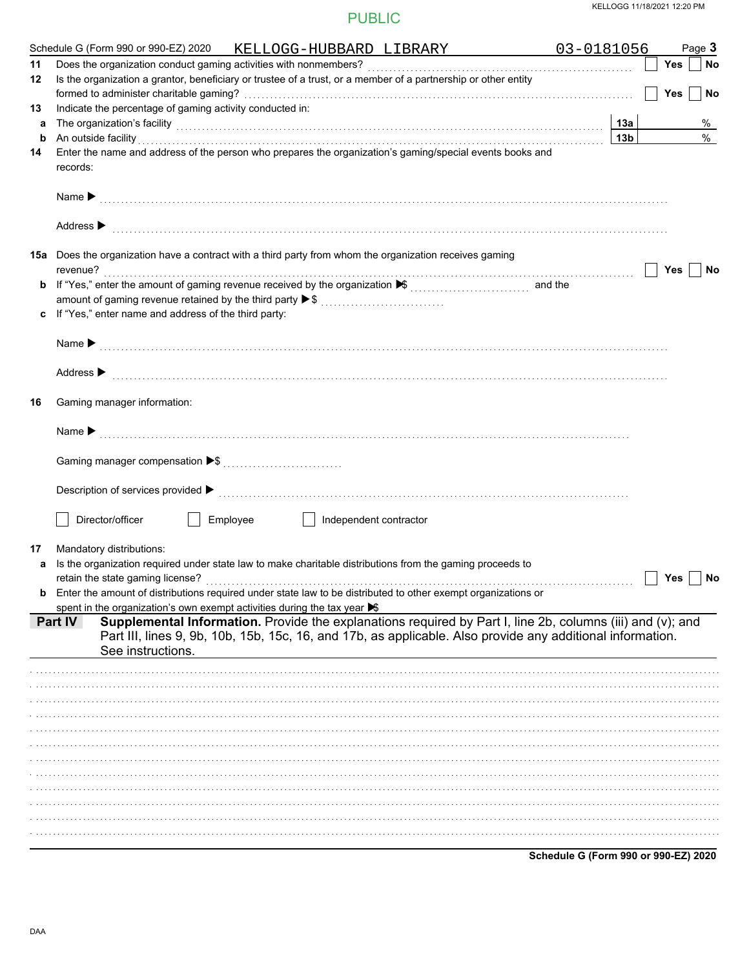|    |          | Schedule G (Form 990 or 990-EZ) 2020                                                                           |          |                        | KELLOGG-HUBBARD LIBRARY                                                                                                                                                                                                        | $03 - 0181056$                       |                 | Page 3           |
|----|----------|----------------------------------------------------------------------------------------------------------------|----------|------------------------|--------------------------------------------------------------------------------------------------------------------------------------------------------------------------------------------------------------------------------|--------------------------------------|-----------------|------------------|
| 11 |          |                                                                                                                |          |                        |                                                                                                                                                                                                                                |                                      |                 | Yes<br>No        |
| 12 |          | Is the organization a grantor, beneficiary or trustee of a trust, or a member of a partnership or other entity |          |                        |                                                                                                                                                                                                                                |                                      |                 |                  |
|    |          |                                                                                                                |          |                        |                                                                                                                                                                                                                                |                                      |                 | Yes<br><b>No</b> |
| 13 |          | Indicate the percentage of gaming activity conducted in:                                                       |          |                        |                                                                                                                                                                                                                                |                                      |                 |                  |
| а  |          |                                                                                                                |          |                        | The organization's facility [13a] 13a [135] The organization's facility [13a] 13a [13a] 13a [13a] [13a] [13a] [13a] [13a] [13a] [13a] [13a] [13a] [13a] [13a] [13a] [13a] [13a] [13a] [13a] [13a] [13a] [13a] [13a] [13a] [13a |                                      |                 | %                |
| b  |          | An outside facility                                                                                            |          |                        |                                                                                                                                                                                                                                |                                      | 13 <sub>b</sub> | $\%$             |
| 14 |          |                                                                                                                |          |                        | Enter the name and address of the person who prepares the organization's gaming/special events books and                                                                                                                       |                                      |                 |                  |
|    | records: |                                                                                                                |          |                        |                                                                                                                                                                                                                                |                                      |                 |                  |
|    |          |                                                                                                                |          |                        |                                                                                                                                                                                                                                |                                      |                 |                  |
|    |          |                                                                                                                |          |                        | Address > medical contract of the contract of the contract of the contract of the contract of the contract of the contract of the contract of the contract of the contract of the contract of the contract of the contract of  |                                      |                 |                  |
|    |          | <b>15a</b> Does the organization have a contract with a third party from whom the organization receives gaming |          |                        |                                                                                                                                                                                                                                |                                      |                 |                  |
|    | revenue? |                                                                                                                |          |                        |                                                                                                                                                                                                                                |                                      |                 | Yes<br>No        |
|    |          | amount of gaming revenue retained by the third party ▶ \$                                                      |          |                        |                                                                                                                                                                                                                                |                                      |                 |                  |
|    |          | c If "Yes," enter name and address of the third party:                                                         |          |                        |                                                                                                                                                                                                                                |                                      |                 |                  |
|    |          |                                                                                                                |          |                        |                                                                                                                                                                                                                                |                                      |                 |                  |
|    |          |                                                                                                                |          |                        | Address > medical contract of the contract of the contract of the contract of the contract of the contract of the contract of the contract of the contract of the contract of the contract of the contract of the contract of  |                                      |                 |                  |
| 16 |          | Gaming manager information:                                                                                    |          |                        |                                                                                                                                                                                                                                |                                      |                 |                  |
|    |          |                                                                                                                |          |                        |                                                                                                                                                                                                                                |                                      |                 |                  |
|    |          |                                                                                                                |          |                        |                                                                                                                                                                                                                                |                                      |                 |                  |
|    |          |                                                                                                                |          |                        |                                                                                                                                                                                                                                |                                      |                 |                  |
|    |          |                                                                                                                |          |                        |                                                                                                                                                                                                                                |                                      |                 |                  |
|    |          | Director/officer                                                                                               | Employee | Independent contractor |                                                                                                                                                                                                                                |                                      |                 |                  |
| 17 |          | Mandatory distributions:                                                                                       |          |                        |                                                                                                                                                                                                                                |                                      |                 |                  |
|    |          | Is the organization required under state law to make charitable distributions from the gaming proceeds to      |          |                        |                                                                                                                                                                                                                                |                                      |                 |                  |
|    |          |                                                                                                                |          |                        |                                                                                                                                                                                                                                |                                      |                 | Yes<br>No        |
|    |          | Enter the amount of distributions required under state law to be distributed to other exempt organizations or  |          |                        |                                                                                                                                                                                                                                |                                      |                 |                  |
|    | Part IV  | spent in the organization's own exempt activities during the tax year $\blacktriangleright$                    |          |                        | Supplemental Information. Provide the explanations required by Part I, line 2b, columns (iii) and (v); and                                                                                                                     |                                      |                 |                  |
|    |          | See instructions.                                                                                              |          |                        | Part III, lines 9, 9b, 10b, 15b, 15c, 16, and 17b, as applicable. Also provide any additional information.                                                                                                                     |                                      |                 |                  |
|    |          |                                                                                                                |          |                        |                                                                                                                                                                                                                                |                                      |                 |                  |
|    |          |                                                                                                                |          |                        |                                                                                                                                                                                                                                |                                      |                 |                  |
|    |          |                                                                                                                |          |                        |                                                                                                                                                                                                                                |                                      |                 |                  |
|    |          |                                                                                                                |          |                        |                                                                                                                                                                                                                                |                                      |                 |                  |
|    |          |                                                                                                                |          |                        |                                                                                                                                                                                                                                |                                      |                 |                  |
|    |          |                                                                                                                |          |                        |                                                                                                                                                                                                                                |                                      |                 |                  |
|    |          |                                                                                                                |          |                        |                                                                                                                                                                                                                                |                                      |                 |                  |
|    |          |                                                                                                                |          |                        |                                                                                                                                                                                                                                |                                      |                 |                  |
|    |          |                                                                                                                |          |                        |                                                                                                                                                                                                                                |                                      |                 |                  |
|    |          |                                                                                                                |          |                        |                                                                                                                                                                                                                                |                                      |                 |                  |
|    |          |                                                                                                                |          |                        |                                                                                                                                                                                                                                |                                      |                 |                  |
|    |          |                                                                                                                |          |                        |                                                                                                                                                                                                                                |                                      |                 |                  |
|    |          |                                                                                                                |          |                        |                                                                                                                                                                                                                                | Schedule G (Form 990 or 990-EZ) 2020 |                 |                  |

DAA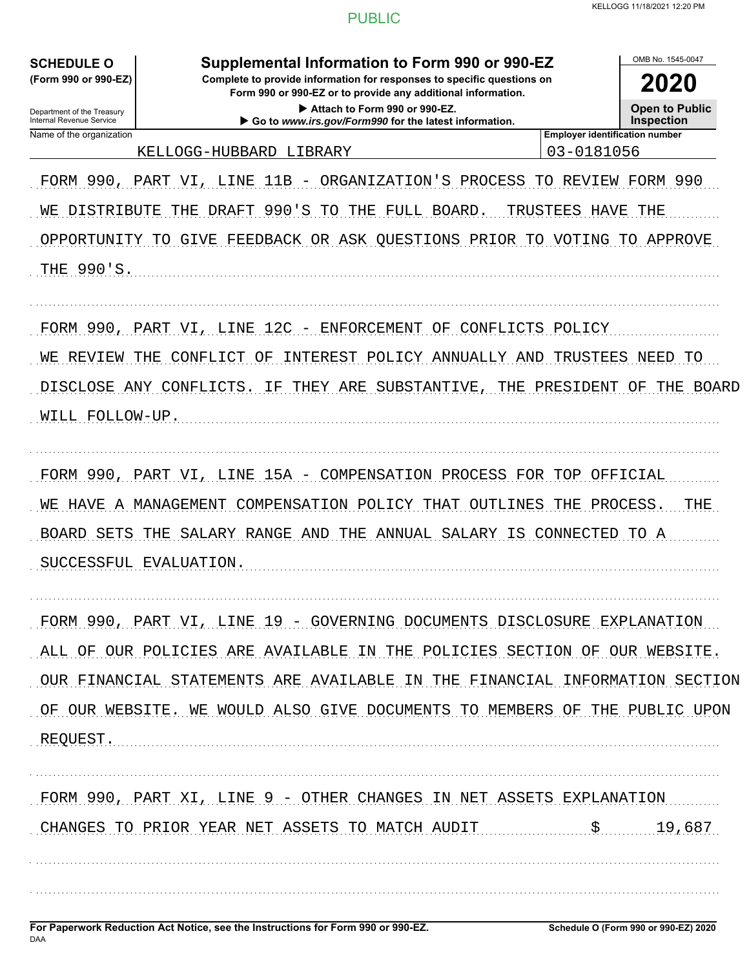| <b>SCHEDULE O</b><br>(Form 990 or 990-EZ)<br>Department of the Treasury<br>Internal Revenue Service | Supplemental Information to Form 990 or 990-EZ<br>Complete to provide information for responses to specific questions on<br>Form 990 or 990-EZ or to provide any additional information.<br>Attach to Form 990 or 990-EZ.<br>Go to www.irs.gov/Form990 for the latest information. |                                                     |           |  |  |  |  |
|-----------------------------------------------------------------------------------------------------|------------------------------------------------------------------------------------------------------------------------------------------------------------------------------------------------------------------------------------------------------------------------------------|-----------------------------------------------------|-----------|--|--|--|--|
| Name of the organization                                                                            | KELLOGG-HUBBARD LIBRARY                                                                                                                                                                                                                                                            | <b>Employer identification number</b><br>03-0181056 |           |  |  |  |  |
|                                                                                                     | FORM 990, PART VI, LINE 11B - ORGANIZATION'S PROCESS TO REVIEW FORM 990                                                                                                                                                                                                            |                                                     |           |  |  |  |  |
| WE DISTRIBUTE                                                                                       | THE DRAFT 990'S TO THE FULL BOARD.                                                                                                                                                                                                                                                 | TRUSTEES HAVE THE                                   |           |  |  |  |  |
|                                                                                                     | OPPORTUNITY TO GIVE FEEDBACK OR ASK QUESTIONS PRIOR TO VOTING TO APPROVE                                                                                                                                                                                                           |                                                     |           |  |  |  |  |
| THE 990'S.                                                                                          |                                                                                                                                                                                                                                                                                    |                                                     |           |  |  |  |  |
|                                                                                                     |                                                                                                                                                                                                                                                                                    |                                                     |           |  |  |  |  |
|                                                                                                     | FORM 990, PART VI, LINE 12C - ENFORCEMENT OF CONFLICTS POLICY                                                                                                                                                                                                                      |                                                     |           |  |  |  |  |
| WE REVIEW THE                                                                                       | INTEREST POLICY ANNUALLY AND TRUSTEES NEED TO<br>CONFLICT OF                                                                                                                                                                                                                       |                                                     |           |  |  |  |  |
|                                                                                                     | DISCLOSE ANY CONFLICTS. IF THEY ARE SUBSTANTIVE, THE PRESIDENT OF                                                                                                                                                                                                                  |                                                     | THE BOARD |  |  |  |  |
| WILL FOLLOW-UP.                                                                                     |                                                                                                                                                                                                                                                                                    |                                                     |           |  |  |  |  |
|                                                                                                     |                                                                                                                                                                                                                                                                                    |                                                     |           |  |  |  |  |
|                                                                                                     | FORM 990, PART VI, LINE 15A - COMPENSATION PROCESS FOR TOP OFFICIAL                                                                                                                                                                                                                |                                                     |           |  |  |  |  |
|                                                                                                     | WE HAVE A MANAGEMENT COMPENSATION POLICY THAT OUTLINES THE PROCESS.                                                                                                                                                                                                                |                                                     | THE       |  |  |  |  |
|                                                                                                     | BOARD SETS THE SALARY RANGE AND THE ANNUAL SALARY IS CONNECTED TO A                                                                                                                                                                                                                |                                                     |           |  |  |  |  |
| SUCCESSFUL EVALUATION.                                                                              |                                                                                                                                                                                                                                                                                    |                                                     |           |  |  |  |  |
|                                                                                                     |                                                                                                                                                                                                                                                                                    |                                                     |           |  |  |  |  |
|                                                                                                     | FORM 990, PART VI, LINE 19 - GOVERNING DOCUMENTS DISCLOSURE EXPLANATION                                                                                                                                                                                                            |                                                     |           |  |  |  |  |
|                                                                                                     | ALL OF OUR POLICIES ARE AVAILABLE IN THE POLICIES SECTION OF OUR WEBSITE.                                                                                                                                                                                                          |                                                     |           |  |  |  |  |
|                                                                                                     | OUR FINANCIAL STATEMENTS ARE AVAILABLE IN THE FINANCIAL INFORMATION SECTION                                                                                                                                                                                                        |                                                     |           |  |  |  |  |
|                                                                                                     | OF OUR WEBSITE. WE WOULD ALSO GIVE DOCUMENTS TO MEMBERS OF THE PUBLIC UPON                                                                                                                                                                                                         |                                                     |           |  |  |  |  |
| REQUEST.                                                                                            |                                                                                                                                                                                                                                                                                    |                                                     |           |  |  |  |  |
|                                                                                                     | FORM 990, PART XI, LINE 9 - OTHER CHANGES IN NET ASSETS EXPLANATION                                                                                                                                                                                                                |                                                     |           |  |  |  |  |
|                                                                                                     | CHANGES TO PRIOR YEAR NET ASSETS TO MATCH AUDIT                                                                                                                                                                                                                                    | \$ 19,687                                           |           |  |  |  |  |
|                                                                                                     |                                                                                                                                                                                                                                                                                    |                                                     |           |  |  |  |  |
|                                                                                                     |                                                                                                                                                                                                                                                                                    |                                                     |           |  |  |  |  |

For Paperwork Reduction Act Notice, see the Instructions for Form 990 or 990-EZ. DAA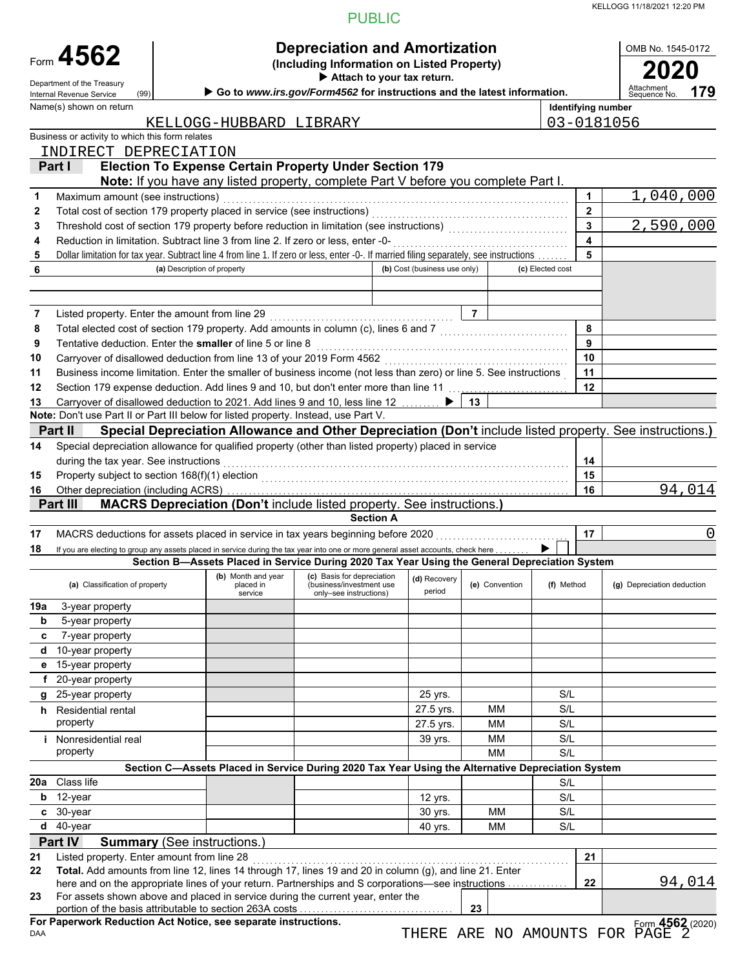|          | Form 4562                                                                                                                                                                                  |                                    |                                            | <b>Depreciation and Amortization</b><br>(Including Information on Listed Property)<br>Attach to your tax return.                                    |                  |                              |                |                |                  | OMB No. 1545-0172 |                                                                                                          |  |
|----------|--------------------------------------------------------------------------------------------------------------------------------------------------------------------------------------------|------------------------------------|--------------------------------------------|-----------------------------------------------------------------------------------------------------------------------------------------------------|------------------|------------------------------|----------------|----------------|------------------|-------------------|----------------------------------------------------------------------------------------------------------|--|
|          | Department of the Treasury<br>(99)<br>Internal Revenue Service                                                                                                                             |                                    |                                            | Go to www.irs.gov/Form4562 for instructions and the latest information.                                                                             |                  |                              |                |                |                  |                   | Attachment<br>179<br>Sequence No.                                                                        |  |
|          | Name(s) shown on return                                                                                                                                                                    |                                    |                                            |                                                                                                                                                     |                  |                              |                |                |                  |                   | Identifying number                                                                                       |  |
|          |                                                                                                                                                                                            | KELLOGG-HUBBARD LIBRARY            |                                            |                                                                                                                                                     |                  |                              |                |                |                  |                   | 03-0181056                                                                                               |  |
|          | Business or activity to which this form relates                                                                                                                                            |                                    |                                            |                                                                                                                                                     |                  |                              |                |                |                  |                   |                                                                                                          |  |
|          | INDIRECT DEPRECIATION                                                                                                                                                                      |                                    |                                            |                                                                                                                                                     |                  |                              |                |                |                  |                   |                                                                                                          |  |
|          | Part I                                                                                                                                                                                     |                                    |                                            | <b>Election To Expense Certain Property Under Section 179</b><br>Note: If you have any listed property, complete Part V before you complete Part I. |                  |                              |                |                |                  |                   |                                                                                                          |  |
| 1        | Maximum amount (see instructions)                                                                                                                                                          |                                    |                                            |                                                                                                                                                     |                  |                              |                |                |                  | 1                 | 040,000                                                                                                  |  |
| 2        | Total cost of section 179 property placed in service (see instructions)                                                                                                                    |                                    |                                            |                                                                                                                                                     |                  |                              |                |                |                  | $\mathbf{2}$      |                                                                                                          |  |
| 3        |                                                                                                                                                                                            |                                    |                                            |                                                                                                                                                     |                  |                              |                |                |                  | 3                 | 2,590,000                                                                                                |  |
| 4        | Reduction in limitation. Subtract line 3 from line 2. If zero or less, enter -0-                                                                                                           |                                    |                                            |                                                                                                                                                     |                  |                              |                |                |                  | 4                 |                                                                                                          |  |
| 5        | Dollar limitation for tax year. Subtract line 4 from line 1. If zero or less, enter -0-. If married filing separately, see instructions                                                    |                                    |                                            |                                                                                                                                                     |                  |                              |                |                |                  | 5                 |                                                                                                          |  |
| 6        |                                                                                                                                                                                            | (a) Description of property        |                                            |                                                                                                                                                     |                  | (b) Cost (business use only) |                |                | (c) Elected cost |                   |                                                                                                          |  |
|          |                                                                                                                                                                                            |                                    |                                            |                                                                                                                                                     |                  |                              |                |                |                  |                   |                                                                                                          |  |
|          |                                                                                                                                                                                            |                                    |                                            |                                                                                                                                                     |                  |                              |                |                |                  |                   |                                                                                                          |  |
| 7        | Listed property. Enter the amount from line 29                                                                                                                                             |                                    |                                            |                                                                                                                                                     |                  |                              | $\overline{7}$ |                |                  |                   |                                                                                                          |  |
| 8        | Total elected cost of section 179 property. Add amounts in column (c), lines 6 and 7                                                                                                       |                                    |                                            |                                                                                                                                                     |                  |                              |                |                |                  | 8                 |                                                                                                          |  |
| 9        | Tentative deduction. Enter the smaller of line 5 or line 8                                                                                                                                 |                                    |                                            |                                                                                                                                                     |                  |                              |                |                |                  | 9                 |                                                                                                          |  |
| 10<br>11 | Carryover of disallowed deduction from line 13 of your 2019 Form 4562<br>Business income limitation. Enter the smaller of business income (not less than zero) or line 5. See instructions |                                    |                                            |                                                                                                                                                     |                  |                              |                |                |                  | 10<br>11          |                                                                                                          |  |
| 12       | Section 179 expense deduction. Add lines 9 and 10, but don't enter more than line 11                                                                                                       |                                    |                                            |                                                                                                                                                     |                  |                              |                |                |                  | 12                |                                                                                                          |  |
| 13       | Carryover of disallowed deduction to 2021. Add lines 9 and 10, less line 12                                                                                                                |                                    |                                            |                                                                                                                                                     |                  |                              | 13             |                |                  |                   |                                                                                                          |  |
|          | Note: Don't use Part II or Part III below for listed property. Instead, use Part V.                                                                                                        |                                    |                                            |                                                                                                                                                     |                  |                              |                |                |                  |                   |                                                                                                          |  |
|          | Part II                                                                                                                                                                                    |                                    |                                            |                                                                                                                                                     |                  |                              |                |                |                  |                   | Special Depreciation Allowance and Other Depreciation (Don't include listed property. See instructions.) |  |
| 14       | Special depreciation allowance for qualified property (other than listed property) placed in service                                                                                       |                                    |                                            |                                                                                                                                                     |                  |                              |                |                |                  |                   |                                                                                                          |  |
|          | during the tax year. See instructions                                                                                                                                                      |                                    |                                            |                                                                                                                                                     |                  |                              |                |                |                  | 14                |                                                                                                          |  |
| 15       | Property subject to section 168(f)(1) election                                                                                                                                             |                                    |                                            |                                                                                                                                                     |                  |                              |                |                |                  | 15                |                                                                                                          |  |
| 16       | Other depreciation (including ACRS)                                                                                                                                                        |                                    |                                            |                                                                                                                                                     |                  |                              |                |                |                  | 16                | 94,014                                                                                                   |  |
|          | Part III                                                                                                                                                                                   |                                    |                                            | MACRS Depreciation (Don't include listed property. See instructions.)                                                                               |                  |                              |                |                |                  |                   |                                                                                                          |  |
|          |                                                                                                                                                                                            |                                    |                                            |                                                                                                                                                     | <b>Section A</b> |                              |                |                |                  |                   |                                                                                                          |  |
| 17       | MACRS deductions for assets placed in service in tax years beginning before 2020                                                                                                           |                                    |                                            |                                                                                                                                                     |                  |                              |                |                |                  | 17                | 0                                                                                                        |  |
| 18       | If you are electing to group any assets placed in service during the tax year into one or more general asset accounts, check here                                                          |                                    |                                            | Section B-Assets Placed in Service During 2020 Tax Year Using the General Depreciation System                                                       |                  |                              |                |                |                  |                   |                                                                                                          |  |
|          | (a) Classification of property                                                                                                                                                             |                                    | (b) Month and year<br>placed in<br>service | (c) Basis for depreciation<br>(business/investment use<br>only-see instructions)                                                                    |                  | (d) Recovery<br>period       |                | (e) Convention | (f) Method       |                   | (g) Depreciation deduction                                                                               |  |
| 19a      | 3-year property                                                                                                                                                                            |                                    |                                            |                                                                                                                                                     |                  |                              |                |                |                  |                   |                                                                                                          |  |
| b        | 5-year property                                                                                                                                                                            |                                    |                                            |                                                                                                                                                     |                  |                              |                |                |                  |                   |                                                                                                          |  |
| c        | 7-year property                                                                                                                                                                            |                                    |                                            |                                                                                                                                                     |                  |                              |                |                |                  |                   |                                                                                                          |  |
| d        | 10-year property                                                                                                                                                                           |                                    |                                            |                                                                                                                                                     |                  |                              |                |                |                  |                   |                                                                                                          |  |
| е        | 15-year property                                                                                                                                                                           |                                    |                                            |                                                                                                                                                     |                  |                              |                |                |                  |                   |                                                                                                          |  |
|          | f 20-year property                                                                                                                                                                         |                                    |                                            |                                                                                                                                                     |                  |                              |                |                |                  |                   |                                                                                                          |  |
|          | g 25-year property                                                                                                                                                                         |                                    |                                            |                                                                                                                                                     |                  | 25 yrs.                      |                |                | S/L              |                   |                                                                                                          |  |
|          | h Residential rental<br>property                                                                                                                                                           |                                    |                                            |                                                                                                                                                     |                  | 27.5 yrs.                    |                | MМ             | S/L              |                   |                                                                                                          |  |
|          |                                                                                                                                                                                            |                                    |                                            |                                                                                                                                                     |                  | 27.5 yrs.                    |                | MМ             | S/L              |                   |                                                                                                          |  |
|          | <i>i</i> Nonresidential real<br>property                                                                                                                                                   |                                    |                                            |                                                                                                                                                     |                  | 39 yrs.                      |                | MМ<br>МM       | S/L<br>S/L       |                   |                                                                                                          |  |
|          |                                                                                                                                                                                            |                                    |                                            | Section C-Assets Placed in Service During 2020 Tax Year Using the Alternative Depreciation System                                                   |                  |                              |                |                |                  |                   |                                                                                                          |  |
| 20a      | Class life                                                                                                                                                                                 |                                    |                                            |                                                                                                                                                     |                  |                              |                |                | S/L              |                   |                                                                                                          |  |
| b        | 12-year                                                                                                                                                                                    |                                    |                                            |                                                                                                                                                     |                  | 12 yrs.                      |                |                | S/L              |                   |                                                                                                          |  |
|          | c 30-year                                                                                                                                                                                  |                                    |                                            |                                                                                                                                                     |                  | 30 yrs.                      |                | <b>MM</b>      | S/L              |                   |                                                                                                          |  |
|          | d 40-year                                                                                                                                                                                  |                                    |                                            |                                                                                                                                                     |                  | 40 yrs.                      |                | MМ             | S/L              |                   |                                                                                                          |  |
|          | Part IV                                                                                                                                                                                    | <b>Summary (See instructions.)</b> |                                            |                                                                                                                                                     |                  |                              |                |                |                  |                   |                                                                                                          |  |
| 21       | Listed property. Enter amount from line 28                                                                                                                                                 |                                    |                                            |                                                                                                                                                     |                  |                              |                |                |                  | 21                |                                                                                                          |  |
| 22       | Total. Add amounts from line 12, lines 14 through 17, lines 19 and 20 in column (g), and line 21. Enter                                                                                    |                                    |                                            |                                                                                                                                                     |                  |                              |                |                |                  |                   |                                                                                                          |  |
| 23       | here and on the appropriate lines of your return. Partnerships and S corporations—see instructions<br>For assets shown above and placed in service during the current year, enter the      |                                    |                                            |                                                                                                                                                     |                  |                              |                |                |                  | 22                | 94,014                                                                                                   |  |
|          |                                                                                                                                                                                            |                                    |                                            |                                                                                                                                                     |                  |                              | 23             |                |                  |                   |                                                                                                          |  |
|          | For Paperwork Reduction Act Notice, see separate instructions.                                                                                                                             |                                    |                                            |                                                                                                                                                     |                  |                              |                |                |                  |                   | Form 4562 (2020)                                                                                         |  |
| DAA      |                                                                                                                                                                                            |                                    |                                            |                                                                                                                                                     |                  |                              |                |                |                  |                   | THERE ARE NO AMOUNTS FOR PAGE 2                                                                          |  |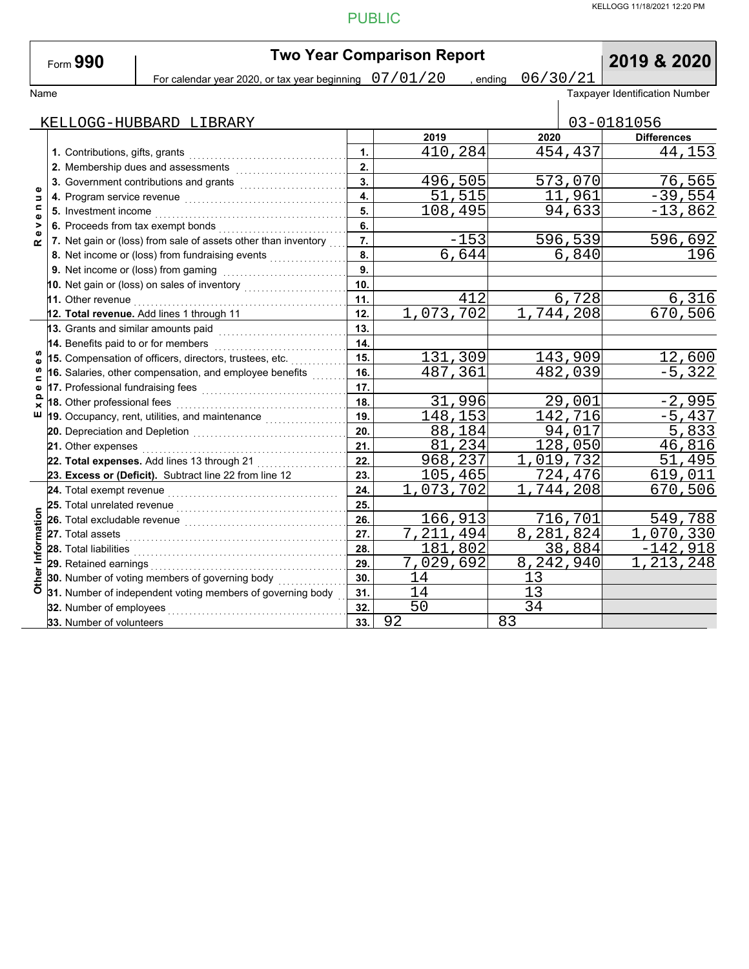Form **990**

# **Two Year Comparison Report 2019 & 2020**

| For calendar year 2020, or tax year beginning $07/01/20$ , ending<br>06/30/21<br><b>Taxpayer Identification Number</b><br>Name<br>03-0181056<br>KELLOGG-HUBBARD LIBRARY<br>2019<br><b>Differences</b><br>2020<br>410,284<br>454,437<br>44,153<br>1.<br>2.<br>2. Membership dues and assessments<br>76,565<br>3.<br>496,505<br>573,070<br>3. Government contributions and grants<br>$\bullet$<br>51,515<br>11,961<br>$-39,554$<br>4.<br>4. Program service revenue <i>manual</i> contract extensive contract extensive contract extending to the contract extending of the contract extending of the contract extending of the contract extending of the contract extending<br>$\Rightarrow$<br>$\blacksquare$<br>5.<br>$-13,862$<br>108,495<br>94,633<br>$\bullet$<br>6.<br>6. Proceeds from tax exempt bonds<br>><br>7.<br>$-153$<br>596,539<br>596,692<br>7. Net gain or (loss) from sale of assets other than inventory<br>$\alpha$<br>6,644<br>6,840<br>8.<br>8. Net income or (loss) from fundraising events<br>9.<br>10. Net gain or (loss) on sales of inventory [10. Net gain or<br>10.<br>412<br>6,728<br>11.<br>1,073,702<br>1,744,208<br>670,506<br>12. Total revenue. Add lines 1 through 11<br>12.<br>13.<br>14.<br>14. Benefits paid to or for members<br>15 <sub>1</sub><br>131,309<br>143,909<br>15. Compensation of officers, directors, trustees, etc.<br>$\omega$<br>$-5,322$<br>487,361<br>482,039<br>n<br>16. Salaries, other compensation, and employee benefits<br>16.<br>$\blacksquare$<br>17.<br>Φ<br>$\Omega$<br>31,996<br>29,001<br>18. Other professional fees<br>18.<br>$\times$<br>142,716<br>ш<br>19.<br>148,153<br>19. Occupancy, rent, utilities, and maintenance <i>maintering</i><br>20.<br>88,184<br>94,017<br>128,050<br>81,234<br>21.<br>21. Other expenses <b>constants</b> and a set of the set of the set of the set of the set of the set of the set of the set of the set of the set of the set of the set of the set of the set of the set of the set of the set of th<br>968, 237<br>1,019,732<br>22.<br>22. Total expenses. Add lines 13 through 21<br>105,465<br>619,011<br>724,476<br>23.<br>23. Excess or (Deficit). Subtract line 22 from line 12<br>744,208<br>1,073,702<br>24.<br>24. Total exempt revenue<br>25. Total unrelated revenue <i>[[[[[[[[[[[[[[[[[[[[[[[[[[[]]]]]</i> ]]<br>25.<br>Other Information<br>716,701<br>549,788<br>166,913<br>26. Total excludable revenue <i>communically</i> contained a set of the set of the set of the set of the set of the set of the set of the set of the set of the set of the set of the set of the set of the set of the set of the s<br>26.<br>8,281,824<br>1,070,330<br>27.<br>7,211,494<br>28.<br>181,802<br>38,884<br>28. Total liabilities <b>Manual Lieuwing and State Professor</b> and Contact the Contact of the Contact of the Contact State Dental Dental Dental Dental Dental Dental Dental Dental Dental Dental Dental Dental Dental Dental Dent<br>7,029,692<br>8,242,940<br>29.<br>30. Number of voting members of governing body<br>30.<br>14<br>13<br>13<br>31. Number of independent voting members of governing body<br>14<br>31.<br>50<br>34<br>32.<br>32. Number of employees<br>92<br>83<br>33.<br>33. Number of volunteers | Form 990 |  | Two Year Comparison Report | 2019 & 2020 |            |
|----------------------------------------------------------------------------------------------------------------------------------------------------------------------------------------------------------------------------------------------------------------------------------------------------------------------------------------------------------------------------------------------------------------------------------------------------------------------------------------------------------------------------------------------------------------------------------------------------------------------------------------------------------------------------------------------------------------------------------------------------------------------------------------------------------------------------------------------------------------------------------------------------------------------------------------------------------------------------------------------------------------------------------------------------------------------------------------------------------------------------------------------------------------------------------------------------------------------------------------------------------------------------------------------------------------------------------------------------------------------------------------------------------------------------------------------------------------------------------------------------------------------------------------------------------------------------------------------------------------------------------------------------------------------------------------------------------------------------------------------------------------------------------------------------------------------------------------------------------------------------------------------------------------------------------------------------------------------------------------------------------------------------------------------------------------------------------------------------------------------------------------------------------------------------------------------------------------------------------------------------------------------------------------------------------------------------------------------------------------------------------------------------------------------------------------------------------------------------------------------------------------------------------------------------------------------------------------------------------------------------------------------------------------------------------------------------------------------------------------------------------------------------------------------------------------------------------------------------------------------------------------------------------------------------------------------------------------------------------------------------------------------------------------------------------------------------------------------------------------------------------------------------------------------------------------------------------------------------------------------------------|----------|--|----------------------------|-------------|------------|
|                                                                                                                                                                                                                                                                                                                                                                                                                                                                                                                                                                                                                                                                                                                                                                                                                                                                                                                                                                                                                                                                                                                                                                                                                                                                                                                                                                                                                                                                                                                                                                                                                                                                                                                                                                                                                                                                                                                                                                                                                                                                                                                                                                                                                                                                                                                                                                                                                                                                                                                                                                                                                                                                                                                                                                                                                                                                                                                                                                                                                                                                                                                                                                                                                                                          |          |  |                            |             |            |
|                                                                                                                                                                                                                                                                                                                                                                                                                                                                                                                                                                                                                                                                                                                                                                                                                                                                                                                                                                                                                                                                                                                                                                                                                                                                                                                                                                                                                                                                                                                                                                                                                                                                                                                                                                                                                                                                                                                                                                                                                                                                                                                                                                                                                                                                                                                                                                                                                                                                                                                                                                                                                                                                                                                                                                                                                                                                                                                                                                                                                                                                                                                                                                                                                                                          |          |  |                            |             |            |
|                                                                                                                                                                                                                                                                                                                                                                                                                                                                                                                                                                                                                                                                                                                                                                                                                                                                                                                                                                                                                                                                                                                                                                                                                                                                                                                                                                                                                                                                                                                                                                                                                                                                                                                                                                                                                                                                                                                                                                                                                                                                                                                                                                                                                                                                                                                                                                                                                                                                                                                                                                                                                                                                                                                                                                                                                                                                                                                                                                                                                                                                                                                                                                                                                                                          |          |  |                            |             |            |
|                                                                                                                                                                                                                                                                                                                                                                                                                                                                                                                                                                                                                                                                                                                                                                                                                                                                                                                                                                                                                                                                                                                                                                                                                                                                                                                                                                                                                                                                                                                                                                                                                                                                                                                                                                                                                                                                                                                                                                                                                                                                                                                                                                                                                                                                                                                                                                                                                                                                                                                                                                                                                                                                                                                                                                                                                                                                                                                                                                                                                                                                                                                                                                                                                                                          |          |  |                            |             |            |
|                                                                                                                                                                                                                                                                                                                                                                                                                                                                                                                                                                                                                                                                                                                                                                                                                                                                                                                                                                                                                                                                                                                                                                                                                                                                                                                                                                                                                                                                                                                                                                                                                                                                                                                                                                                                                                                                                                                                                                                                                                                                                                                                                                                                                                                                                                                                                                                                                                                                                                                                                                                                                                                                                                                                                                                                                                                                                                                                                                                                                                                                                                                                                                                                                                                          |          |  |                            |             |            |
|                                                                                                                                                                                                                                                                                                                                                                                                                                                                                                                                                                                                                                                                                                                                                                                                                                                                                                                                                                                                                                                                                                                                                                                                                                                                                                                                                                                                                                                                                                                                                                                                                                                                                                                                                                                                                                                                                                                                                                                                                                                                                                                                                                                                                                                                                                                                                                                                                                                                                                                                                                                                                                                                                                                                                                                                                                                                                                                                                                                                                                                                                                                                                                                                                                                          |          |  |                            |             |            |
|                                                                                                                                                                                                                                                                                                                                                                                                                                                                                                                                                                                                                                                                                                                                                                                                                                                                                                                                                                                                                                                                                                                                                                                                                                                                                                                                                                                                                                                                                                                                                                                                                                                                                                                                                                                                                                                                                                                                                                                                                                                                                                                                                                                                                                                                                                                                                                                                                                                                                                                                                                                                                                                                                                                                                                                                                                                                                                                                                                                                                                                                                                                                                                                                                                                          |          |  |                            |             |            |
|                                                                                                                                                                                                                                                                                                                                                                                                                                                                                                                                                                                                                                                                                                                                                                                                                                                                                                                                                                                                                                                                                                                                                                                                                                                                                                                                                                                                                                                                                                                                                                                                                                                                                                                                                                                                                                                                                                                                                                                                                                                                                                                                                                                                                                                                                                                                                                                                                                                                                                                                                                                                                                                                                                                                                                                                                                                                                                                                                                                                                                                                                                                                                                                                                                                          |          |  |                            |             |            |
|                                                                                                                                                                                                                                                                                                                                                                                                                                                                                                                                                                                                                                                                                                                                                                                                                                                                                                                                                                                                                                                                                                                                                                                                                                                                                                                                                                                                                                                                                                                                                                                                                                                                                                                                                                                                                                                                                                                                                                                                                                                                                                                                                                                                                                                                                                                                                                                                                                                                                                                                                                                                                                                                                                                                                                                                                                                                                                                                                                                                                                                                                                                                                                                                                                                          |          |  |                            |             |            |
|                                                                                                                                                                                                                                                                                                                                                                                                                                                                                                                                                                                                                                                                                                                                                                                                                                                                                                                                                                                                                                                                                                                                                                                                                                                                                                                                                                                                                                                                                                                                                                                                                                                                                                                                                                                                                                                                                                                                                                                                                                                                                                                                                                                                                                                                                                                                                                                                                                                                                                                                                                                                                                                                                                                                                                                                                                                                                                                                                                                                                                                                                                                                                                                                                                                          |          |  |                            |             |            |
|                                                                                                                                                                                                                                                                                                                                                                                                                                                                                                                                                                                                                                                                                                                                                                                                                                                                                                                                                                                                                                                                                                                                                                                                                                                                                                                                                                                                                                                                                                                                                                                                                                                                                                                                                                                                                                                                                                                                                                                                                                                                                                                                                                                                                                                                                                                                                                                                                                                                                                                                                                                                                                                                                                                                                                                                                                                                                                                                                                                                                                                                                                                                                                                                                                                          |          |  |                            |             |            |
|                                                                                                                                                                                                                                                                                                                                                                                                                                                                                                                                                                                                                                                                                                                                                                                                                                                                                                                                                                                                                                                                                                                                                                                                                                                                                                                                                                                                                                                                                                                                                                                                                                                                                                                                                                                                                                                                                                                                                                                                                                                                                                                                                                                                                                                                                                                                                                                                                                                                                                                                                                                                                                                                                                                                                                                                                                                                                                                                                                                                                                                                                                                                                                                                                                                          |          |  |                            |             |            |
|                                                                                                                                                                                                                                                                                                                                                                                                                                                                                                                                                                                                                                                                                                                                                                                                                                                                                                                                                                                                                                                                                                                                                                                                                                                                                                                                                                                                                                                                                                                                                                                                                                                                                                                                                                                                                                                                                                                                                                                                                                                                                                                                                                                                                                                                                                                                                                                                                                                                                                                                                                                                                                                                                                                                                                                                                                                                                                                                                                                                                                                                                                                                                                                                                                                          |          |  |                            |             | 196        |
|                                                                                                                                                                                                                                                                                                                                                                                                                                                                                                                                                                                                                                                                                                                                                                                                                                                                                                                                                                                                                                                                                                                                                                                                                                                                                                                                                                                                                                                                                                                                                                                                                                                                                                                                                                                                                                                                                                                                                                                                                                                                                                                                                                                                                                                                                                                                                                                                                                                                                                                                                                                                                                                                                                                                                                                                                                                                                                                                                                                                                                                                                                                                                                                                                                                          |          |  |                            |             |            |
|                                                                                                                                                                                                                                                                                                                                                                                                                                                                                                                                                                                                                                                                                                                                                                                                                                                                                                                                                                                                                                                                                                                                                                                                                                                                                                                                                                                                                                                                                                                                                                                                                                                                                                                                                                                                                                                                                                                                                                                                                                                                                                                                                                                                                                                                                                                                                                                                                                                                                                                                                                                                                                                                                                                                                                                                                                                                                                                                                                                                                                                                                                                                                                                                                                                          |          |  |                            |             |            |
|                                                                                                                                                                                                                                                                                                                                                                                                                                                                                                                                                                                                                                                                                                                                                                                                                                                                                                                                                                                                                                                                                                                                                                                                                                                                                                                                                                                                                                                                                                                                                                                                                                                                                                                                                                                                                                                                                                                                                                                                                                                                                                                                                                                                                                                                                                                                                                                                                                                                                                                                                                                                                                                                                                                                                                                                                                                                                                                                                                                                                                                                                                                                                                                                                                                          |          |  |                            |             | 6,316      |
|                                                                                                                                                                                                                                                                                                                                                                                                                                                                                                                                                                                                                                                                                                                                                                                                                                                                                                                                                                                                                                                                                                                                                                                                                                                                                                                                                                                                                                                                                                                                                                                                                                                                                                                                                                                                                                                                                                                                                                                                                                                                                                                                                                                                                                                                                                                                                                                                                                                                                                                                                                                                                                                                                                                                                                                                                                                                                                                                                                                                                                                                                                                                                                                                                                                          |          |  |                            |             |            |
|                                                                                                                                                                                                                                                                                                                                                                                                                                                                                                                                                                                                                                                                                                                                                                                                                                                                                                                                                                                                                                                                                                                                                                                                                                                                                                                                                                                                                                                                                                                                                                                                                                                                                                                                                                                                                                                                                                                                                                                                                                                                                                                                                                                                                                                                                                                                                                                                                                                                                                                                                                                                                                                                                                                                                                                                                                                                                                                                                                                                                                                                                                                                                                                                                                                          |          |  |                            |             |            |
|                                                                                                                                                                                                                                                                                                                                                                                                                                                                                                                                                                                                                                                                                                                                                                                                                                                                                                                                                                                                                                                                                                                                                                                                                                                                                                                                                                                                                                                                                                                                                                                                                                                                                                                                                                                                                                                                                                                                                                                                                                                                                                                                                                                                                                                                                                                                                                                                                                                                                                                                                                                                                                                                                                                                                                                                                                                                                                                                                                                                                                                                                                                                                                                                                                                          |          |  |                            |             |            |
|                                                                                                                                                                                                                                                                                                                                                                                                                                                                                                                                                                                                                                                                                                                                                                                                                                                                                                                                                                                                                                                                                                                                                                                                                                                                                                                                                                                                                                                                                                                                                                                                                                                                                                                                                                                                                                                                                                                                                                                                                                                                                                                                                                                                                                                                                                                                                                                                                                                                                                                                                                                                                                                                                                                                                                                                                                                                                                                                                                                                                                                                                                                                                                                                                                                          |          |  |                            |             | 12,600     |
|                                                                                                                                                                                                                                                                                                                                                                                                                                                                                                                                                                                                                                                                                                                                                                                                                                                                                                                                                                                                                                                                                                                                                                                                                                                                                                                                                                                                                                                                                                                                                                                                                                                                                                                                                                                                                                                                                                                                                                                                                                                                                                                                                                                                                                                                                                                                                                                                                                                                                                                                                                                                                                                                                                                                                                                                                                                                                                                                                                                                                                                                                                                                                                                                                                                          |          |  |                            |             |            |
|                                                                                                                                                                                                                                                                                                                                                                                                                                                                                                                                                                                                                                                                                                                                                                                                                                                                                                                                                                                                                                                                                                                                                                                                                                                                                                                                                                                                                                                                                                                                                                                                                                                                                                                                                                                                                                                                                                                                                                                                                                                                                                                                                                                                                                                                                                                                                                                                                                                                                                                                                                                                                                                                                                                                                                                                                                                                                                                                                                                                                                                                                                                                                                                                                                                          |          |  |                            |             |            |
|                                                                                                                                                                                                                                                                                                                                                                                                                                                                                                                                                                                                                                                                                                                                                                                                                                                                                                                                                                                                                                                                                                                                                                                                                                                                                                                                                                                                                                                                                                                                                                                                                                                                                                                                                                                                                                                                                                                                                                                                                                                                                                                                                                                                                                                                                                                                                                                                                                                                                                                                                                                                                                                                                                                                                                                                                                                                                                                                                                                                                                                                                                                                                                                                                                                          |          |  |                            |             | $-2,995$   |
|                                                                                                                                                                                                                                                                                                                                                                                                                                                                                                                                                                                                                                                                                                                                                                                                                                                                                                                                                                                                                                                                                                                                                                                                                                                                                                                                                                                                                                                                                                                                                                                                                                                                                                                                                                                                                                                                                                                                                                                                                                                                                                                                                                                                                                                                                                                                                                                                                                                                                                                                                                                                                                                                                                                                                                                                                                                                                                                                                                                                                                                                                                                                                                                                                                                          |          |  |                            |             | $-5,437$   |
|                                                                                                                                                                                                                                                                                                                                                                                                                                                                                                                                                                                                                                                                                                                                                                                                                                                                                                                                                                                                                                                                                                                                                                                                                                                                                                                                                                                                                                                                                                                                                                                                                                                                                                                                                                                                                                                                                                                                                                                                                                                                                                                                                                                                                                                                                                                                                                                                                                                                                                                                                                                                                                                                                                                                                                                                                                                                                                                                                                                                                                                                                                                                                                                                                                                          |          |  |                            |             | 5,833      |
|                                                                                                                                                                                                                                                                                                                                                                                                                                                                                                                                                                                                                                                                                                                                                                                                                                                                                                                                                                                                                                                                                                                                                                                                                                                                                                                                                                                                                                                                                                                                                                                                                                                                                                                                                                                                                                                                                                                                                                                                                                                                                                                                                                                                                                                                                                                                                                                                                                                                                                                                                                                                                                                                                                                                                                                                                                                                                                                                                                                                                                                                                                                                                                                                                                                          |          |  |                            |             | 46,816     |
|                                                                                                                                                                                                                                                                                                                                                                                                                                                                                                                                                                                                                                                                                                                                                                                                                                                                                                                                                                                                                                                                                                                                                                                                                                                                                                                                                                                                                                                                                                                                                                                                                                                                                                                                                                                                                                                                                                                                                                                                                                                                                                                                                                                                                                                                                                                                                                                                                                                                                                                                                                                                                                                                                                                                                                                                                                                                                                                                                                                                                                                                                                                                                                                                                                                          |          |  |                            |             | 51,495     |
|                                                                                                                                                                                                                                                                                                                                                                                                                                                                                                                                                                                                                                                                                                                                                                                                                                                                                                                                                                                                                                                                                                                                                                                                                                                                                                                                                                                                                                                                                                                                                                                                                                                                                                                                                                                                                                                                                                                                                                                                                                                                                                                                                                                                                                                                                                                                                                                                                                                                                                                                                                                                                                                                                                                                                                                                                                                                                                                                                                                                                                                                                                                                                                                                                                                          |          |  |                            |             |            |
|                                                                                                                                                                                                                                                                                                                                                                                                                                                                                                                                                                                                                                                                                                                                                                                                                                                                                                                                                                                                                                                                                                                                                                                                                                                                                                                                                                                                                                                                                                                                                                                                                                                                                                                                                                                                                                                                                                                                                                                                                                                                                                                                                                                                                                                                                                                                                                                                                                                                                                                                                                                                                                                                                                                                                                                                                                                                                                                                                                                                                                                                                                                                                                                                                                                          |          |  |                            |             | 670,506    |
|                                                                                                                                                                                                                                                                                                                                                                                                                                                                                                                                                                                                                                                                                                                                                                                                                                                                                                                                                                                                                                                                                                                                                                                                                                                                                                                                                                                                                                                                                                                                                                                                                                                                                                                                                                                                                                                                                                                                                                                                                                                                                                                                                                                                                                                                                                                                                                                                                                                                                                                                                                                                                                                                                                                                                                                                                                                                                                                                                                                                                                                                                                                                                                                                                                                          |          |  |                            |             |            |
|                                                                                                                                                                                                                                                                                                                                                                                                                                                                                                                                                                                                                                                                                                                                                                                                                                                                                                                                                                                                                                                                                                                                                                                                                                                                                                                                                                                                                                                                                                                                                                                                                                                                                                                                                                                                                                                                                                                                                                                                                                                                                                                                                                                                                                                                                                                                                                                                                                                                                                                                                                                                                                                                                                                                                                                                                                                                                                                                                                                                                                                                                                                                                                                                                                                          |          |  |                            |             |            |
|                                                                                                                                                                                                                                                                                                                                                                                                                                                                                                                                                                                                                                                                                                                                                                                                                                                                                                                                                                                                                                                                                                                                                                                                                                                                                                                                                                                                                                                                                                                                                                                                                                                                                                                                                                                                                                                                                                                                                                                                                                                                                                                                                                                                                                                                                                                                                                                                                                                                                                                                                                                                                                                                                                                                                                                                                                                                                                                                                                                                                                                                                                                                                                                                                                                          |          |  |                            |             |            |
|                                                                                                                                                                                                                                                                                                                                                                                                                                                                                                                                                                                                                                                                                                                                                                                                                                                                                                                                                                                                                                                                                                                                                                                                                                                                                                                                                                                                                                                                                                                                                                                                                                                                                                                                                                                                                                                                                                                                                                                                                                                                                                                                                                                                                                                                                                                                                                                                                                                                                                                                                                                                                                                                                                                                                                                                                                                                                                                                                                                                                                                                                                                                                                                                                                                          |          |  |                            |             | $-142,918$ |
|                                                                                                                                                                                                                                                                                                                                                                                                                                                                                                                                                                                                                                                                                                                                                                                                                                                                                                                                                                                                                                                                                                                                                                                                                                                                                                                                                                                                                                                                                                                                                                                                                                                                                                                                                                                                                                                                                                                                                                                                                                                                                                                                                                                                                                                                                                                                                                                                                                                                                                                                                                                                                                                                                                                                                                                                                                                                                                                                                                                                                                                                                                                                                                                                                                                          |          |  |                            |             | 1,213,248  |
|                                                                                                                                                                                                                                                                                                                                                                                                                                                                                                                                                                                                                                                                                                                                                                                                                                                                                                                                                                                                                                                                                                                                                                                                                                                                                                                                                                                                                                                                                                                                                                                                                                                                                                                                                                                                                                                                                                                                                                                                                                                                                                                                                                                                                                                                                                                                                                                                                                                                                                                                                                                                                                                                                                                                                                                                                                                                                                                                                                                                                                                                                                                                                                                                                                                          |          |  |                            |             |            |
|                                                                                                                                                                                                                                                                                                                                                                                                                                                                                                                                                                                                                                                                                                                                                                                                                                                                                                                                                                                                                                                                                                                                                                                                                                                                                                                                                                                                                                                                                                                                                                                                                                                                                                                                                                                                                                                                                                                                                                                                                                                                                                                                                                                                                                                                                                                                                                                                                                                                                                                                                                                                                                                                                                                                                                                                                                                                                                                                                                                                                                                                                                                                                                                                                                                          |          |  |                            |             |            |
|                                                                                                                                                                                                                                                                                                                                                                                                                                                                                                                                                                                                                                                                                                                                                                                                                                                                                                                                                                                                                                                                                                                                                                                                                                                                                                                                                                                                                                                                                                                                                                                                                                                                                                                                                                                                                                                                                                                                                                                                                                                                                                                                                                                                                                                                                                                                                                                                                                                                                                                                                                                                                                                                                                                                                                                                                                                                                                                                                                                                                                                                                                                                                                                                                                                          |          |  |                            |             |            |
|                                                                                                                                                                                                                                                                                                                                                                                                                                                                                                                                                                                                                                                                                                                                                                                                                                                                                                                                                                                                                                                                                                                                                                                                                                                                                                                                                                                                                                                                                                                                                                                                                                                                                                                                                                                                                                                                                                                                                                                                                                                                                                                                                                                                                                                                                                                                                                                                                                                                                                                                                                                                                                                                                                                                                                                                                                                                                                                                                                                                                                                                                                                                                                                                                                                          |          |  |                            |             |            |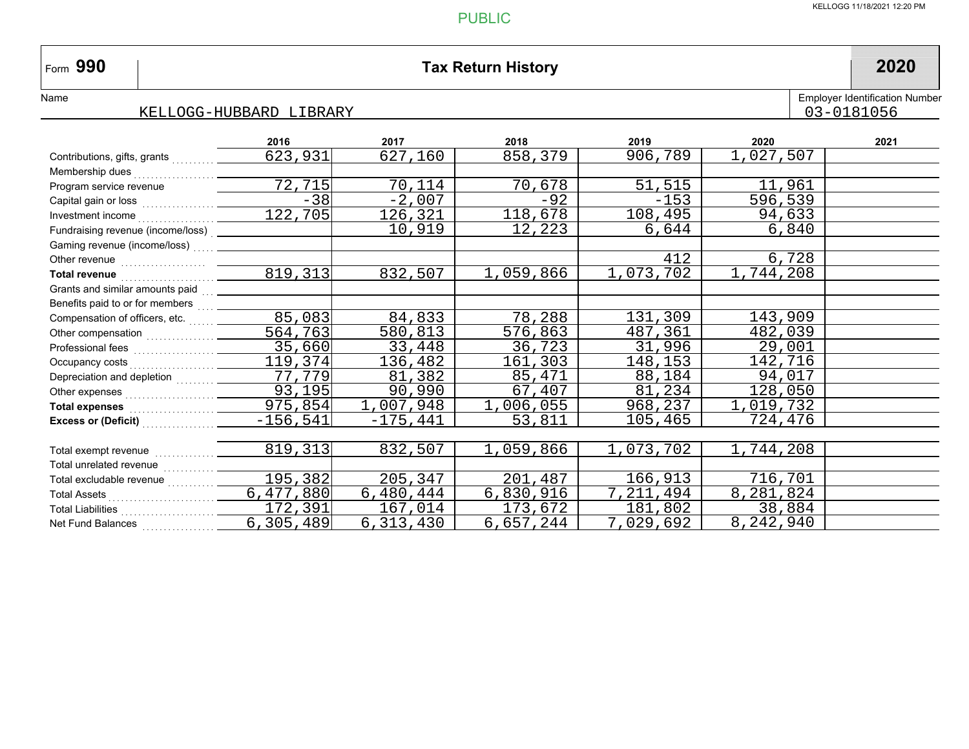# Form 990

# **990 Tax Return History 2020**



Name

#### KELLOGG-HUBBARD LIBRARY

 Employer Identification Number 03-0181056

|                                                                                                                                                                                                                                      | 2016        | 2017       | 2018      | 2019      | 2020      | 2021 |
|--------------------------------------------------------------------------------------------------------------------------------------------------------------------------------------------------------------------------------------|-------------|------------|-----------|-----------|-----------|------|
| Contributions, gifts, grants                                                                                                                                                                                                         | 623,931     | 627,160    | 858,379   | 906,789   | 1,027,507 |      |
| Membership dues <i>www.</i>                                                                                                                                                                                                          |             |            |           |           |           |      |
| Program service revenue                                                                                                                                                                                                              | 72,715      | 70,114     | 70,678    | 51,515    | 11,961    |      |
| Capital gain or loss [11] [11] Capital gain or loss [11] [11] [11] Capital gain of loss [11] [11] [11] Capital G                                                                                                                     | $-38$       | $-2,007$   | $-92$     | $-153$    | 596,539   |      |
|                                                                                                                                                                                                                                      | 122,705     | 126,321    | 118,678   | 108,495   | 94,633    |      |
|                                                                                                                                                                                                                                      |             | 10,919     | 12,223    | 6,644     | 6,840     |      |
|                                                                                                                                                                                                                                      |             |            |           |           |           |      |
| Other revenue <b>contract and the contract of the contract of the contract of the contract of the contract of the contract of the contract of the contract of the contract of the contract of the contract of the contract of th</b> |             |            |           | 412       | 6,728     |      |
| Total revenue <b>contract to the contract of the contract of the contract of the contract of the contract of the contract of the contract of the contract of the contract of the contract of the contract of the contract of the</b> | 819,313     | 832,507    | 1,059,866 | 1,073,702 | 1,744,208 |      |
|                                                                                                                                                                                                                                      |             |            |           |           |           |      |
| Benefits paid to or for members [111] _____                                                                                                                                                                                          |             |            |           |           |           |      |
| Compensation of officers, etc.                                                                                                                                                                                                       | 85,083      | 84,833     | 78,288    | 131,309   | 143,909   |      |
|                                                                                                                                                                                                                                      | 564,763     | 580,813    | 576,863   | 487,361   | 482,039   |      |
|                                                                                                                                                                                                                                      | 35,660      | 33,448     | 36,723    | 31,996    | 29,001    |      |
|                                                                                                                                                                                                                                      | 119,374     | 136,482    | 161,303   | 148,153   | 142,716   |      |
| Depreciation and depletion [11] [11] Depreciation and depletion                                                                                                                                                                      | 77,779      | 81,382     | 85,471    | 88,184    | 94,017    |      |
|                                                                                                                                                                                                                                      | 93,195      | 90,990     | 67,407    | 81,234    | 128,050   |      |
|                                                                                                                                                                                                                                      | 975,854     | 1,007,948  | 1,006,055 | 968,237   | 1,019,732 |      |
| Excess or (Deficit)                                                                                                                                                                                                                  | $-156, 541$ | $-175,441$ | 53,811    | 105,465   | 724,476   |      |
|                                                                                                                                                                                                                                      |             |            |           |           |           |      |
| Total exempt revenue <i>[[[[[[[[[[[[[[[[[[[[[[[[[[[[[[]]]]]</i> ]]                                                                                                                                                                   | 819, 313    | 832,507    | 1,059,866 | 1,073,702 | 1,744,208 |      |
| Total unrelated revenue                                                                                                                                                                                                              |             |            |           |           |           |      |
| Total excludable revenue                                                                                                                                                                                                             | 195,382     | 205,347    | 201,487   | 166,913   | 716,701   |      |
|                                                                                                                                                                                                                                      | 6, 477, 880 | 6,480,444  | 6,830,916 | 7,211,494 | 8,281,824 |      |
| Total Liabilities                                                                                                                                                                                                                    | 172, 391    | 167,014    | 173,672   | 181,802   | 38,884    |      |
| Net Fund Balances                                                                                                                                                                                                                    | 6,305,489   | 6,313,430  | 6,657,244 | 7,029,692 | 8,242,940 |      |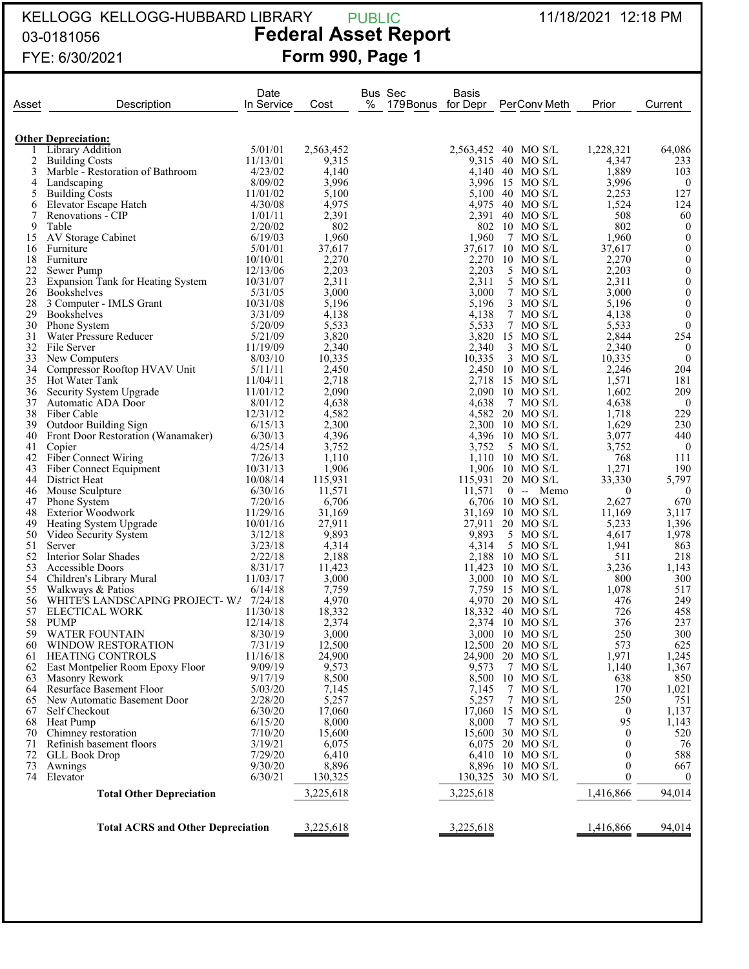#### KELLOGG KELLOGG-HUBBARD LIBRARY 11/18/2021 12:18 PM 03-0181056 **Federal Asset Report** FYE: 6/30/2021 **Form 990, Page 1** PUBLIC

| Asset    | Description                                      | In Service         | Cost           | ℅ | 179 Bonus for Depr |                | PerConv Meth                       | Prior          | Current                 |
|----------|--------------------------------------------------|--------------------|----------------|---|--------------------|----------------|------------------------------------|----------------|-------------------------|
|          |                                                  |                    |                |   |                    |                |                                    |                |                         |
|          |                                                  |                    |                |   |                    |                |                                    |                |                         |
|          | <b>Other Depreciation:</b><br>Library Addition   | 5/01/01            | 2,563,452      |   |                    |                | 2,563,452 40 MO S/L                | 1,228,321      | 64,086                  |
| 2        | <b>Building Costs</b>                            | 11/13/01           | 9,315          |   |                    |                | 9,315 40 MO S/L                    | 4,347          | 233                     |
| 3        | Marble - Restoration of Bathroom                 | 4/23/02            | 4,140          |   |                    |                | 4.140 40 MO S/L                    | 1,889          | 103                     |
| 4        | Landscaping                                      | 8/09/02            | 3,996          |   |                    |                | 3,996 15 MO S/L                    | 3,996          | $\overline{0}$          |
| 5        | <b>Building Costs</b>                            | 11/01/02           | 5,100          |   |                    |                | 5,100 40 MO S/L                    | 2,253          | 127                     |
| 6        | Elevator Escape Hatch                            | 4/30/08            | 4,975          |   |                    |                | 4,975 40 MO S/L                    | 1,524          | 124                     |
| 7        | Renovations - CIP                                | 1/01/11            | 2,391          |   |                    |                | 2,391 40 MO S/L                    | 508            | 60                      |
| 9        | Table                                            | 2/20/02            | 802            |   |                    |                | 802 10 MO S/L                      | 802            | $\bf{0}$                |
| 15       | AV Storage Cabinet                               | 6/19/03            | 1,960          |   |                    | 1,960          | 7 MO S/L                           | 1,960          | $\boldsymbol{0}$        |
| 16       | Furniture                                        | 5/01/01            | 37,617         |   |                    | 37,617         | $10$ MO S/L                        | 37,617         | $\boldsymbol{0}$        |
| 18       | Furniture                                        | 10/10/01           | 2,270          |   |                    | 2,270          | $10$ MO S/L                        | 2,270          | $\boldsymbol{0}$        |
| 22       | Sewer Pump                                       | 12/13/06           | 2,203          |   |                    | 2,203          | 5 MO S/L                           | 2,203          | $\boldsymbol{0}$        |
| 23       | Expansion Tank for Heating System                | 10/31/07           | 2,311          |   |                    | 2,311          | 5 MO S/L                           | 2,311          | $\boldsymbol{0}$        |
| 26       | <b>Bookshelves</b>                               | 5/31/05            | 3,000          |   |                    | 3,000          | 7<br>MO S/L                        | 3,000          | $\boldsymbol{0}$        |
| 28       | 3 Computer - IMLS Grant                          | 10/31/08           | 5,196          |   |                    | 5,196          | $3$ MO S/L                         | 5,196          | $\boldsymbol{0}$        |
| 29       | <b>Bookshelves</b>                               | 3/31/09            | 4,138          |   |                    | 4,138          | 7 MO S/L                           | 4,138          | $\mathbf{0}$            |
| 30<br>31 | Phone System                                     | 5/20/09<br>5/21/09 | 5,533<br>3,820 |   |                    | 5,533          | 7 MO S/L<br>15 MO S/L              | 5,533<br>2,844 | $\boldsymbol{0}$<br>254 |
| 32       | Water Pressure Reducer<br>File Server            | 11/19/09           | 2,340          |   |                    | 3,820<br>2,340 | $3$ MO S/L                         | 2,340          | $\overline{0}$          |
| 33       | New Computers                                    | 8/03/10            | 10,335         |   |                    | 10,335         | $3$ MO S/L                         | 10,335         | $\bf{0}$                |
| 34       | Compressor Rooftop HVAV Unit                     | 5/11/11            | 2,450          |   |                    |                | 2,450 10 MO S/L                    | 2,246          | 204                     |
| 35       | Hot Water Tank                                   | 11/04/11           | 2,718          |   |                    | 2,718          | 15 MO S/L                          | 1,571          | 181                     |
| 36       | Security System Upgrade                          | 11/01/12           | 2,090          |   |                    |                | 2,090 10 MO S/L                    | 1,602          | 209                     |
| 37       | Automatic ADA Door                               | 8/01/12            | 4,638          |   |                    | 4,638          | 7 MO S/L                           | 4,638          | $\bf{0}$                |
| 38       | Fiber Cable                                      | 12/31/12           | 4,582          |   |                    | 4,582          | $20$ MO S/L                        | 1.718          | 229                     |
| 39       | Outdoor Building Sign                            | 6/15/13            | 2,300          |   |                    |                | 2,300 10 MO S/L                    | 1,629          | 230                     |
| 40       | Front Door Restoration (Wanamaker)               | 6/30/13            | 4,396          |   |                    |                | 4,396 10 MO S/L                    | 3,077          | 440                     |
| 41       | Copier                                           | 4/25/14            | 3,752          |   |                    | 3,752          | 5 MO S/L                           | 3,752          | $\boldsymbol{0}$        |
| 42       | <b>Fiber Connect Wiring</b>                      | 7/26/13            | 1,110          |   |                    |                | $1,110$ 10 MO S/L                  | 768            | 111                     |
| 43       | Fiber Connect Equipment                          | 10/31/13           | 1,906          |   |                    |                | 1,906 10 MO S/L                    | 1,271          | 190                     |
| 44       | District Heat                                    | 10/08/14           | 115,931        |   |                    |                | 115,931 20 MO S/L                  | 33,330         | 5,797                   |
| 46       | Mouse Sculpture                                  | 6/30/16            | 11,571         |   |                    | 11,571         | $0 - Memo$                         | $\mathbf{0}$   | $\boldsymbol{0}$        |
| 47       | <b>Phone System</b>                              | 7/20/16            | 6,706          |   |                    |                | 6,706 10 MO S/L                    | 2,627          | 670                     |
| 48       | <b>Exterior Woodwork</b>                         | 11/29/16           | 31,169         |   |                    |                | 31,169 10 MO S/L                   | 11,169         | 3,117                   |
| 49       | Heating System Upgrade                           | 10/01/16           | 27,911         |   |                    |                | 27,911 20 MO S/L                   | 5,233          | 1,396                   |
| 50<br>51 | Video Security System<br>Server                  | 3/12/18<br>3/23/18 | 9,893          |   |                    | 9,893<br>4,314 | 5 MO S/L<br>5 MO S/L               | 4,617          | 1,978<br>863            |
| 52       | Interior Solar Shades                            | 2/22/18            | 4,314<br>2,188 |   |                    | 2,188          | $10$ MO S/L                        | 1,941<br>511   | 218                     |
| 53       | Accessible Doors                                 | 8/31/17            | 11,423         |   |                    | 11,423         | $10$ MO S/L                        | 3,236          | 1,143                   |
| 54       | Children's Library Mural                         | 11/03/17           | 3,000          |   |                    |                | 3,000 10 MO S/L                    | 800            | 300                     |
| 55       | Walkways & Patios                                | 6/14/18            | 7,759          |   |                    |                | 7.759 15 MO S/L                    | 1,078          | 517                     |
| 56       | WHITE'S LANDSCAPING PROJECT-W/ 7/24/18           |                    | 4,970          |   |                    |                | 4,970 20 MO S/L                    | 476            | 249                     |
| 57       | ELECTICAL WORK                                   | 11/30/18           | 18,332         |   |                    |                | 18.332 40 MO S/L                   | 726            | 458                     |
| 58       | <b>PUMP</b>                                      | 12/14/18           | 2,374          |   |                    |                | 2,374 10 MO S/L                    | 376            | 237                     |
| 59       | <b>WATER FOUNTAIN</b>                            | 8/30/19            | 3,000          |   |                    |                | $3,000$ 10 MO S/L                  | 250            | 300                     |
| 60       | WINDOW RESTORATION                               | 7/31/19            | 12,500         |   |                    |                | 12,500 20 MO S/L                   | 573            | 625                     |
| 61       | <b>HEATING CONTROLS</b>                          | 11/16/18           | 24,900         |   |                    |                | 24,900 20 MO S/L                   | 1,971          | 1,245                   |
| 62       | East Montpelier Room Epoxy Floor                 | 9/09/19            | 9,573          |   |                    | 9,573          | 7<br>MO S/L                        | 1,140          | 1,367                   |
| 63       | <b>Masonry Rework</b>                            | 9/17/19            | 8,500          |   |                    | 8,500          | 10<br>MO S/L                       | 638            | 850                     |
| 64       | <b>Resurface Basement Floor</b>                  | 5/03/20            | 7,145          |   |                    | 7,145          | MO S/L<br>7                        | 170            | 1,021                   |
| 65       | New Automatic Basement Door                      | 2/28/20            | 5,257          |   |                    | 5,257          | $7\phantom{.0}$<br>MO S/L          | 250            | 751                     |
| 67       | Self Checkout                                    | 6/30/20            | 17,060         |   |                    | 17,060         | 15 MO S/L                          | $\bf{0}$       | 1,137                   |
| 68       | Heat Pump                                        | 6/15/20            | 8,000          |   |                    | 8,000          | 7 MO S/L                           | 95             | 1,143                   |
| 70       | Chimney restoration                              | 7/10/20            | 15,600         |   |                    |                | 15,600 30 MO S/L                   | $\bf{0}$       | 520                     |
| 71<br>72 | Refinish basement floors<br><b>GLL Book Drop</b> | 3/19/21<br>7/29/20 | 6,075<br>6,410 |   |                    |                | 6,075 20 MO S/L<br>6,410 10 MO S/L | 0<br>0         | 76<br>588               |
| 73       | Awnings                                          | 9/30/20            | 8,896          |   |                    |                | 8,896 10 MO S/L                    | 0              | 667                     |
| 74       | Elevator                                         | 6/30/21            | 130,325        |   |                    | 130,325        | 30 MO S/L                          | 0              | $\boldsymbol{0}$        |
|          |                                                  |                    |                |   |                    |                |                                    |                |                         |
|          | <b>Total Other Depreciation</b>                  |                    | 3,225,618      |   |                    | 3,225,618      |                                    | 1,416,866      | 94,014                  |
|          |                                                  |                    |                |   |                    |                |                                    |                |                         |
|          |                                                  |                    |                |   |                    |                |                                    |                |                         |
|          | <b>Total ACRS and Other Depreciation</b>         |                    | 3,225,618      |   |                    | 3,225,618      |                                    | 1,416,866      | 94,014                  |
|          |                                                  |                    |                |   |                    |                |                                    |                |                         |

Date Bus Sec Basis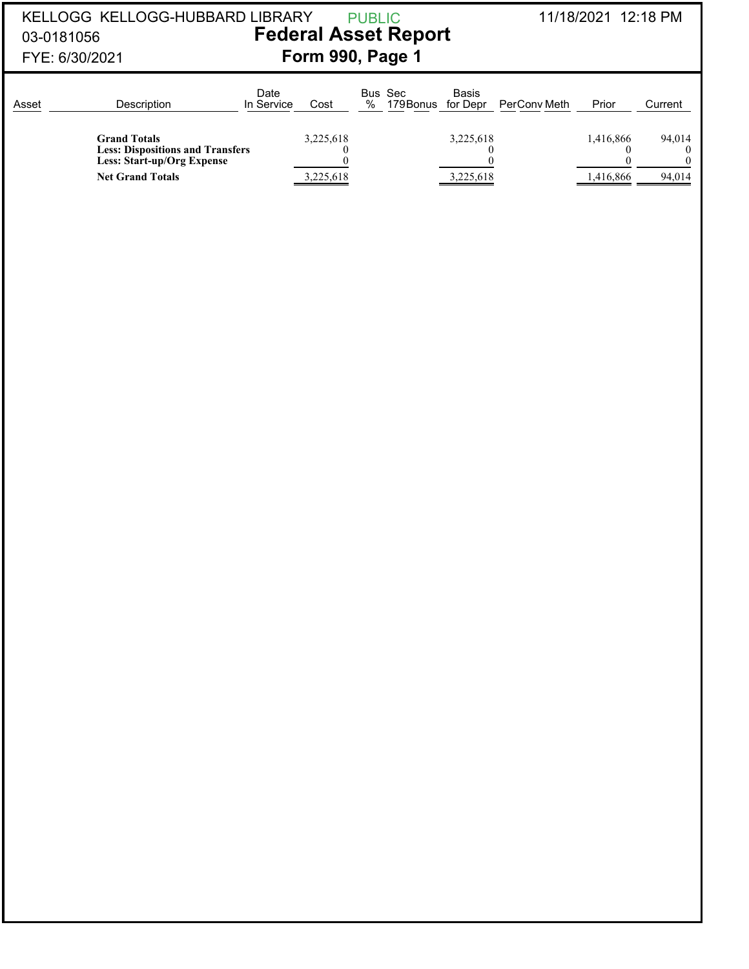# KELLOGG KELLOGG-HUBBARD LIBRARY 11/18/2021 12:18 PM PUBLIC03-0181056 **Federal Asset Report** FYE: 6/30/2021 **Form 990, Page 1**

Date Bus Sec Basis Asset Description In Service Cost % 179Bonus for Depr PerConv Meth Prior Current **Grand Totals** 3,225,618 3,225,618 1,416,866 94,014 **Less: Dispositions and Transfers**  $\hspace{1.6cm} 0 \hspace{1.2cm} 0 \hspace{1.2cm} 0 \hspace{1.2cm} 0 \hspace{1.2cm} 0$ **Less: Start-up/Org Expense** 0 0 00 **Net Grand Totals** 3,225,618 3,225,618 3,225,618 1,416,866 94,014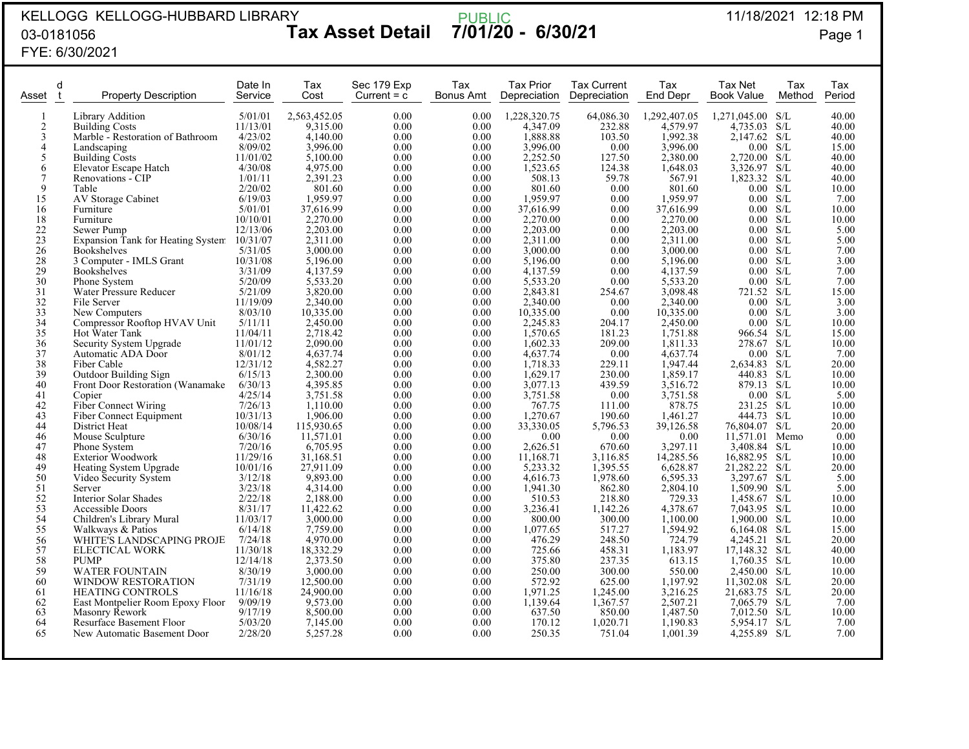| KELLOGG KELLOGG-HUBBARD LIBRARY<br>11/18/2021 12:18 PM<br><b>PUBLIC</b><br>7/01/20 - 6/30/21 |                                                 |                     |                         |                              |                  |                                  |                                    |                       |                                 |               |                |
|----------------------------------------------------------------------------------------------|-------------------------------------------------|---------------------|-------------------------|------------------------------|------------------|----------------------------------|------------------------------------|-----------------------|---------------------------------|---------------|----------------|
| 03-0181056                                                                                   |                                                 |                     |                         | Tax Asset Detail             |                  |                                  |                                    |                       |                                 |               | Page 1         |
| FYE: 6/30/2021                                                                               |                                                 |                     |                         |                              |                  |                                  |                                    |                       |                                 |               |                |
|                                                                                              |                                                 |                     |                         |                              |                  |                                  |                                    |                       |                                 |               |                |
| d<br>t<br>Asset                                                                              | <b>Property Description</b>                     | Date In<br>Service  | Tax<br>Cost             | Sec 179 Exp<br>Current $= c$ | Tax<br>Bonus Amt | <b>Tax Prior</b><br>Depreciation | <b>Tax Current</b><br>Depreciation | Tax<br>End Depr       | Tax Net<br><b>Book Value</b>    | Tax<br>Method | Tax<br>Period  |
|                                                                                              | Library Addition                                | 5/01/01             | 2,563,452.05            | 0.00                         | 0.00             | 1,228,320.75                     | 64,086.30                          | 1,292,407.05          | 1,271,045.00 S/L                |               | 40.00          |
| $\overline{\mathbf{c}}$                                                                      | <b>Building Costs</b>                           | 11/13/01            | 9,315.00                | 0.00                         | 0.00             | 4,347.09                         | 232.88                             | 4,579.97              | 4,735.03 S/L                    |               | 40.00          |
| $\mathfrak{Z}$<br>4                                                                          | Marble - Restoration of Bathroom<br>Landscaping | 4/23/02<br>8/09/02  | 4,140.00<br>3,996.00    | 0.00<br>0.00                 | 0.00<br>0.00     | 1,888.88<br>3,996.00             | 103.50<br>0.00                     | 1,992.38<br>3,996.00  | 2,147.62 S/L<br>0.00 S/L        |               | 40.00<br>15.00 |
| 5                                                                                            | <b>Building Costs</b>                           | 11/01/02            | 5,100.00                | 0.00                         | 0.00             | 2,252.50                         | 127.50                             | 2,380.00              | 2,720.00 S/L                    |               | 40.00          |
| 6                                                                                            | Elevator Escape Hatch                           | 4/30/08             | 4,975.00                | 0.00                         | 0.00             | 1,523.65                         | 124.38                             | 1,648.03              | 3,326.97 S/L                    |               | 40.00          |
| 7                                                                                            | Renovations - CIP                               | 1/01/11             | 2,391.23                | 0.00                         | 0.00             | 508.13                           | 59.78                              | 567.91                | 1,823.32 S/L                    |               | 40.00          |
| 9                                                                                            | Table                                           | 2/20/02             | 801.60                  | 0.00                         | 0.00             | 801.60                           | 0.00                               | 801.60                | 0.00 S/L                        |               | 10.00          |
| 15                                                                                           | AV Storage Cabinet                              | 6/19/03             | 1,959.97<br>37,616.99   | 0.00                         | 0.00             | 1,959.97                         | 0.00                               | 1,959.97              | 0.00 S/L                        |               | 7.00           |
| 16<br>18                                                                                     | Furniture<br>Furniture                          | 5/01/01<br>10/10/01 | 2,270.00                | 0.00<br>0.00                 | 0.00<br>0.00     | 37,616.99<br>2,270.00            | 0.00<br>0.00                       | 37,616.99<br>2,270.00 | 0.00 S/L<br>0.00 S/L            |               | 10.00<br>10.00 |
| $22\,$                                                                                       | Sewer Pump                                      | 12/13/06            | 2,203.00                | 0.00                         | 0.00             | 2,203.00                         | 0.00                               | 2,203.00              | 0.00 S/L                        |               | 5.00           |
| $\overline{23}$                                                                              | Expansion Tank for Heating System 10/31/07      |                     | 2,311.00                | 0.00                         | 0.00             | 2,311.00                         | 0.00                               | 2,311.00              | 0.00 S/L                        |               | 5.00           |
| 26                                                                                           | <b>Bookshelves</b>                              | 5/31/05             | 3,000.00                | 0.00                         | 0.00             | 3,000.00                         | 0.00                               | 3,000.00              | 0.00 S/L                        |               | 7.00           |
| 28                                                                                           | 3 Computer - IMLS Grant                         | 10/31/08            | 5,196.00                | 0.00                         | 0.00             | 5,196.00                         | 0.00                               | 5,196.00              | 0.00 S/L                        |               | 3.00           |
| 29                                                                                           | <b>Bookshelves</b>                              | 3/31/09             | 4,137.59                | 0.00                         | 0.00             | 4,137.59                         | 0.00                               | 4,137.59              | 0.00 S/L                        |               | 7.00           |
| 30<br>31                                                                                     | Phone System<br>Water Pressure Reducer          | 5/20/09<br>5/21/09  | 5,533.20<br>3,820.00    | 0.00<br>0.00                 | 0.00<br>0.00     | 5,533.20<br>2,843.81             | 0.00<br>254.67                     | 5,533.20<br>3,098.48  | 0.00 S/L<br>721.52 S/L          |               | 7.00<br>15.00  |
| 32                                                                                           | File Server                                     | 11/19/09            | 2,340.00                | 0.00                         | 0.00             | 2,340.00                         | 0.00                               | 2,340.00              | 0.00 S/L                        |               | 3.00           |
| 33                                                                                           | New Computers                                   | 8/03/10             | 10,335.00               | 0.00                         | 0.00             | 10,335.00                        | 0.00                               | 10,335.00             | 0.00 S/L                        |               | 3.00           |
| 34                                                                                           | Compressor Rooftop HVAV Unit                    | 5/11/11             | 2,450.00                | 0.00                         | 0.00             | 2,245.83                         | 204.17                             | 2,450.00              | $0.00$ S/L                      |               | 10.00          |
| 35                                                                                           | Hot Water Tank                                  | 11/04/11            | 2,718.42                | 0.00                         | 0.00             | 1,570.65                         | 181.23                             | 1,751.88              | 966.54 S/L                      |               | 15.00          |
| 36                                                                                           | Security System Upgrade                         | 11/01/12            | 2,090.00                | 0.00                         | 0.00             | 1,602.33                         | 209.00                             | 1,811.33              | 278.67 S/L                      |               | 10.00          |
| 37<br>38                                                                                     | Automatic ADA Door<br>Fiber Cable               | 8/01/12<br>12/31/12 | 4,637.74<br>4,582.27    | 0.00<br>0.00                 | 0.00<br>0.00     | 4,637.74<br>1,718.33             | 0.00<br>229.11                     | 4,637.74<br>1,947.44  | 0.00 S/L<br>2,634.83 S/L        |               | 7.00<br>20.00  |
| 39                                                                                           | Outdoor Building Sign                           | 6/15/13             | 2,300.00                | 0.00                         | 0.00             | 1,629.17                         | 230.00                             | 1,859.17              | 440.83                          | S/L           | 10.00          |
| 40                                                                                           | Front Door Restoration (Wanamake                | 6/30/13             | 4,395.85                | 0.00                         | 0.00             | 3,077.13                         | 439.59                             | 3,516.72              | 879.13 S/L                      |               | 10.00          |
| 41                                                                                           | Copier                                          | 4/25/14             | 3,751.58                | 0.00                         | 0.00             | 3,751.58                         | 0.00                               | 3,751.58              | 0.00 S/L                        |               | 5.00           |
| 42                                                                                           | Fiber Connect Wiring                            | 7/26/13             | 1,110.00                | 0.00                         | 0.00             | 767.75                           | 111.00                             | 878.75                | 231.25 S/L                      |               | 10.00          |
| 43                                                                                           | Fiber Connect Equipment                         | 10/31/13            | 1,906.00                | 0.00                         | 0.00             | 1,270.67                         | 190.60                             | 1,461.27              | 444.73 S/L                      |               | 10.00          |
| 44<br>46                                                                                     | District Heat<br>Mouse Sculpture                | 10/08/14<br>6/30/16 | 115,930.65<br>11,571.01 | 0.00<br>0.00                 | 0.00<br>0.00     | 33,330.05<br>0.00                | 5,796.53<br>0.00                   | 39,126.58<br>0.00     | 76,804.07 S/L<br>11,571.01 Memo |               | 20.00<br>0.00  |
| 47                                                                                           | Phone System                                    | 7/20/16             | 6,705.95                | 0.00                         | 0.00             | 2,626.51                         | 670.60                             | 3,297.11              | 3,408.84                        | S/L           | 10.00          |
| 48                                                                                           | <b>Exterior Woodwork</b>                        | 11/29/16            | 31,168.51               | 0.00                         | 0.00             | 11,168.71                        | 3,116.85                           | 14,285.56             | 16,882.95 S/L                   |               | 10.00          |
| 49                                                                                           | Heating System Upgrade                          | 10/01/16            | 27,911.09               | 0.00                         | 0.00             | 5,233.32                         | 1,395.55                           | 6,628.87              | 21,282.22 S/L                   |               | 20.00          |
| 50                                                                                           | Video Security System                           | 3/12/18             | 9.893.00                | 0.00                         | 0.00             | 4.616.73                         | 1,978.60                           | 6,595.33              | 3.297.67                        | S/L           | 5.00           |
| 51                                                                                           | Server                                          | 3/23/18             | 4,314.00                | 0.00                         | 0.00             | 1,941.30                         | 862.80                             | 2,804.10              | 1,509.90 S/L                    |               | 5.00           |
| 52<br>53                                                                                     | Interior Solar Shades                           | 2/22/18<br>8/31/17  | 2,188.00<br>11,422.62   | 0.00<br>0.00                 | 0.00             | 510.53<br>3,236.41               | 218.80<br>1,142.26                 | 729.33<br>4,378.67    | 1,458.67<br>7,043.95 S/L        | S/L           | 10.00<br>10.00 |
| 54                                                                                           | Accessible Doors<br>Children's Library Mural    | 11/03/17            | 3,000.00                | 0.00                         | 0.00<br>0.00     | 800.00                           | 300.00                             | 1,100.00              | $1,900.00$ S/L                  |               | 10.00          |
| 55                                                                                           | Walkways & Patios                               | 6/14/18             | 7,759.00                | 0.00                         | 0.00             | 1,077.65                         | 517.27                             | 1,594.92              | 6,164.08                        | S/L           | 15.00          |
| 56                                                                                           | WHITE'S LANDSCAPING PROJE                       | 7/24/18             | 4,970.00                | 0.00                         | 0.00             | 476.29                           | 248.50                             | 724.79                | 4,245.21 S/L                    |               | 20.00          |
| 57                                                                                           | <b>ELECTICAL WORK</b>                           | 11/30/18            | 18,332.29               | 0.00                         | 0.00             | 725.66                           | 458.31                             | 1,183.97              | 17,148.32 S/L                   |               | 40.00          |
| 58                                                                                           | <b>PUMP</b>                                     | 12/14/18            | 2,373.50                | 0.00                         | 0.00             | 375.80                           | 237.35                             | 613.15                | 1,760.35 S/L                    |               | 10.00          |
| 59                                                                                           | <b>WATER FOUNTAIN</b>                           | 8/30/19             | 3,000.00                | 0.00                         | 0.00             | 250.00                           | 300.00                             | 550.00                | 2,450.00 S/L                    |               | 10.00          |
| 60<br>61                                                                                     | WINDOW RESTORATION<br><b>HEATING CONTROLS</b>   | 7/31/19<br>11/16/18 | 12,500.00<br>24,900.00  | 0.00<br>0.00                 | 0.00<br>0.00     | 572.92<br>1,971.25               | 625.00<br>1,245.00                 | 1,197.92<br>3,216.25  | 11,302.08 S/L<br>21,683.75 S/L  |               | 20.00<br>20.00 |
| 62                                                                                           | East Montpelier Room Epoxy Floor                | 9/09/19             | 9,573.00                | 0.00                         | 0.00             | 1,139.64                         | 1,367.57                           | 2,507.21              | 7,065.79 S/L                    |               | 7.00           |
| 63                                                                                           | Masonry Rework                                  | 9/17/19             | 8,500.00                | 0.00                         | 0.00             | 637.50                           | 850.00                             | 1,487.50              | 7,012.50 S/L                    |               | 10.00          |
| 64                                                                                           | Resurface Basement Floor                        | 5/03/20             | 7,145.00                | 0.00                         | 0.00             | 170.12                           | 1,020.71                           | 1.190.83              | 5,954.17 S/L                    |               | 7.00           |
| 65                                                                                           | New Automatic Basement Door                     | 2/28/20             | 5,257.28                | 0.00                         | 0.00             | 250.35                           | 751.04                             | 1,001.39              | 4,255.89 S/L                    |               | 7.00           |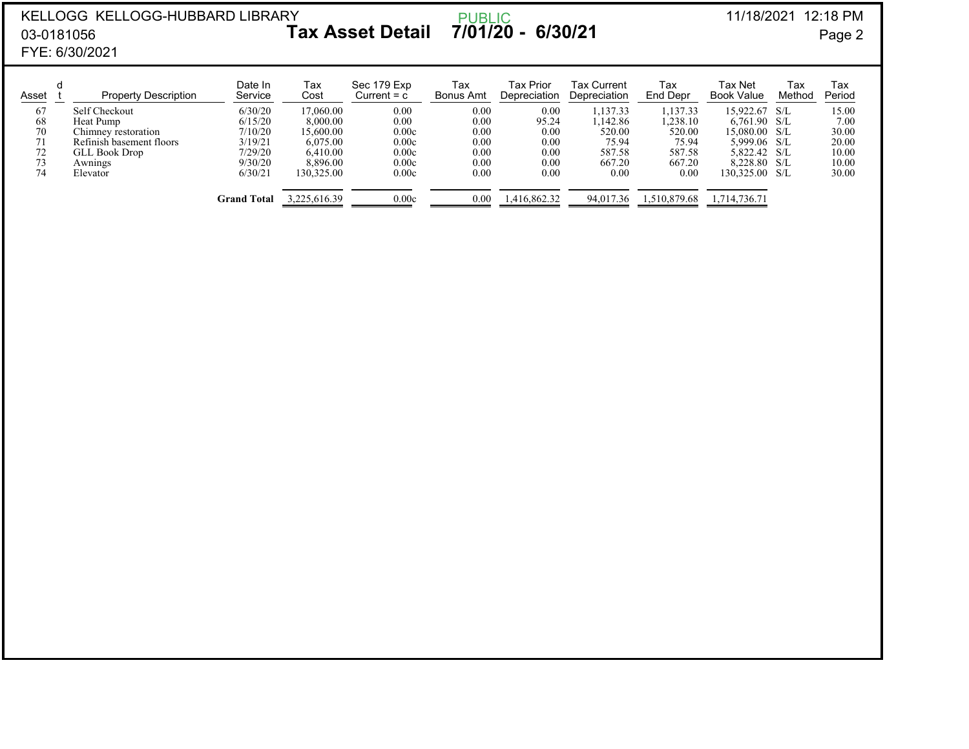| KELLOGG KELLOGG-HUBBARD LIBRARY<br>12:18 PM<br>11/18/2021<br><b>PUBLIC</b><br>$7/01/20 -$<br>6/30/21<br>Tax Asset Detail<br>03-0181056<br>FYE: 6/30/2021 |                             |                    |              |                              |                         |                                  |                             | Page 2          |                              |               |               |
|----------------------------------------------------------------------------------------------------------------------------------------------------------|-----------------------------|--------------------|--------------|------------------------------|-------------------------|----------------------------------|-----------------------------|-----------------|------------------------------|---------------|---------------|
| d<br>Asset                                                                                                                                               | <b>Property Description</b> | Date In<br>Service | Tax<br>Cost  | Sec 179 Exp<br>Current $= c$ | Tax<br><b>Bonus Amt</b> | <b>Tax Prior</b><br>Depreciation | Tax Current<br>Depreciation | Tax<br>End Depr | Tax Net<br><b>Book Value</b> | Tax<br>Method | Tax<br>Period |
| 67                                                                                                                                                       | Self Checkout               | 6/30/20            | 17,060.00    | 0.00                         | 0.00                    | 0.00                             | 1,137.33                    | 1,137.33        | 15.922.67 S/L                |               | 15.00         |
| 68                                                                                                                                                       | Heat Pump                   | 6/15/20            | 8,000.00     | 0.00                         | 0.00                    | 95.24                            | 1,142.86                    | 1,238.10        | $6.761.90$ S/L               |               | 7.00          |
| 70                                                                                                                                                       | Chimney restoration         | 7/10/20            | 15,600.00    | 0.00c                        | 0.00                    | 0.00                             | 520.00                      | 520.00          | 15,080.00 S/L                |               | 30.00         |
| 71                                                                                                                                                       | Refinish basement floors    | 3/19/21            | 6,075.00     | 0.00c                        | 0.00                    | 0.00                             | 75.94                       | 75.94           | 5.999.06 S/L                 |               | 20.00         |
| 72                                                                                                                                                       | <b>GLL Book Drop</b>        | 7/29/20            | 6,410.00     | 0.00c                        | 0.00                    | 0.00                             | 587.58                      | 587.58          | 5,822.42 S/L                 |               | 10.00         |
| 73                                                                                                                                                       | Awnings                     | 9/30/20            | 8.896.00     | 0.00c                        | 0.00                    | 0.00                             | 667.20                      | 667.20          | 8,228.80 S/L                 |               | 10.00         |
| 74                                                                                                                                                       | Elevator                    | 6/30/21            | 130,325.00   | 0.00c                        | 0.00                    | 0.00                             | 0.00                        | 0.00            | 130,325.00 S/L               |               | 30.00         |
|                                                                                                                                                          |                             | <b>Grand Total</b> | 3,225,616.39 | 0.00c                        | 0.00                    | 1,416,862.32                     | 94,017.36                   | 1,510,879.68    | 1,714,736.71                 |               |               |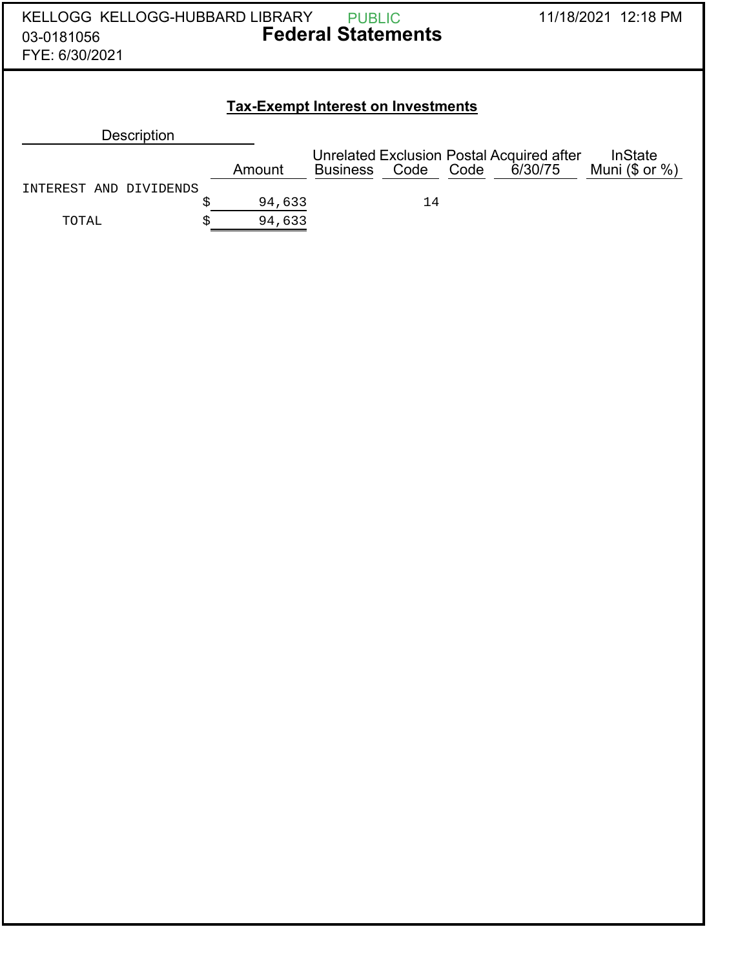|                        | Amount | <b>Business</b> | Code | Code | 6/30/75 | Muni $(\$ \ or \ \%)$ |
|------------------------|--------|-----------------|------|------|---------|-----------------------|
| INTEREST AND DIVIDENDS |        |                 |      |      |         |                       |
|                        | 94,633 |                 |      |      |         |                       |
| TOTAL                  | 94,633 |                 |      |      |         |                       |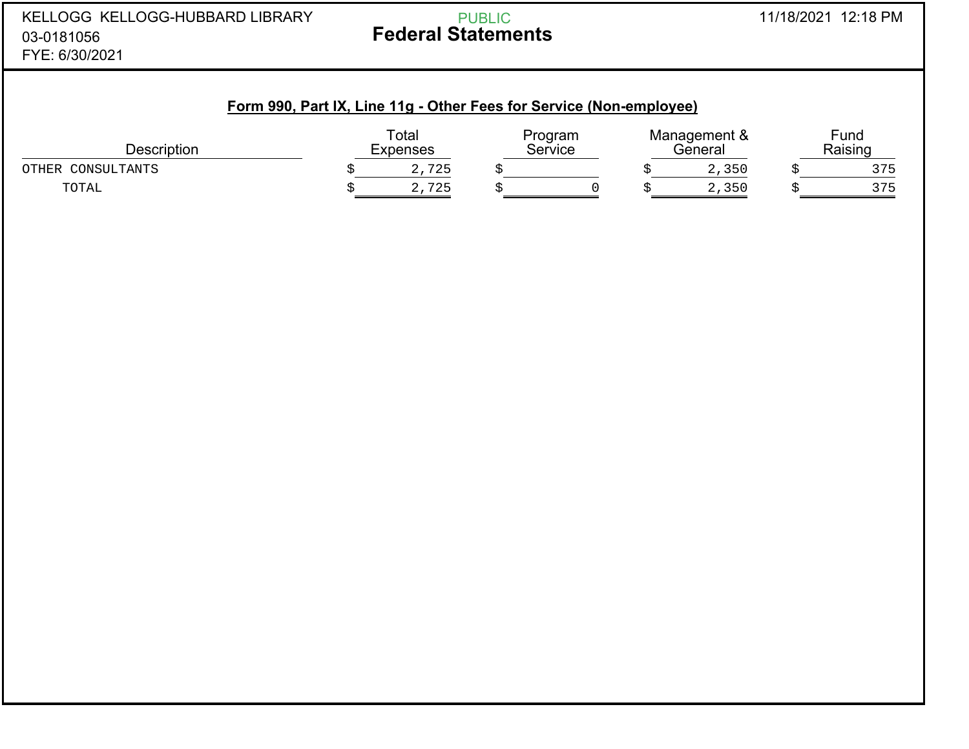#### 11/18/2021 12:18 PMPUBLIC

## **Form 990, Part IX, Line 11g - Other Fees for Service (Non-employee)**

| <b>Description</b>   | Total<br>Expenses |                      | Program<br>Service |  | Management &<br>' eneral |       | Fund<br>Raising |          |
|----------------------|-------------------|----------------------|--------------------|--|--------------------------|-------|-----------------|----------|
| CONSULTANTS<br>OTHER |                   | ,725<br><u>، ، ،</u> |                    |  |                          | 2,350 |                 | つワに<br>ັ |
| TOTAL                |                   | 2,725                |                    |  |                          | 2,350 |                 | つワロ<br>ັ |